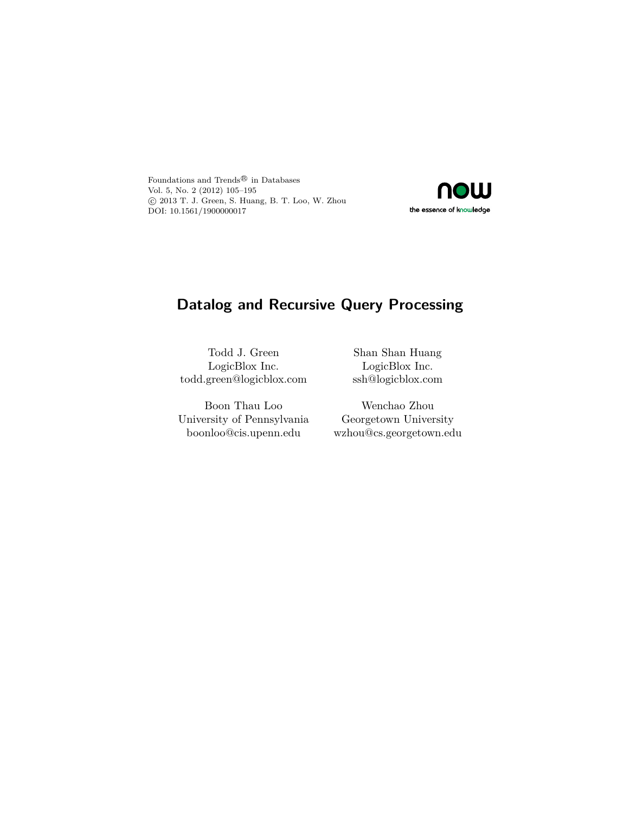Foundations and  $\operatorname{Trends}^{\textcircledR}$  in Databases Vol. 5, No. 2 (2012) 105–195 c 2013 T. J. Green, S. Huang, B. T. Loo, W. Zhou DOI: 10.1561/1900000017



# **Datalog and Recursive Query Processing**

Todd J. Green Shan Shan Huang LogicBlox Inc. LogicBlox Inc. todd.green@logicblox.com ssh@logicblox.com

Boon Thau Loo Wenchao Zhou University of Pennsylvania Georgetown University

boonloo@cis.upenn.edu wzhou@cs.georgetown.edu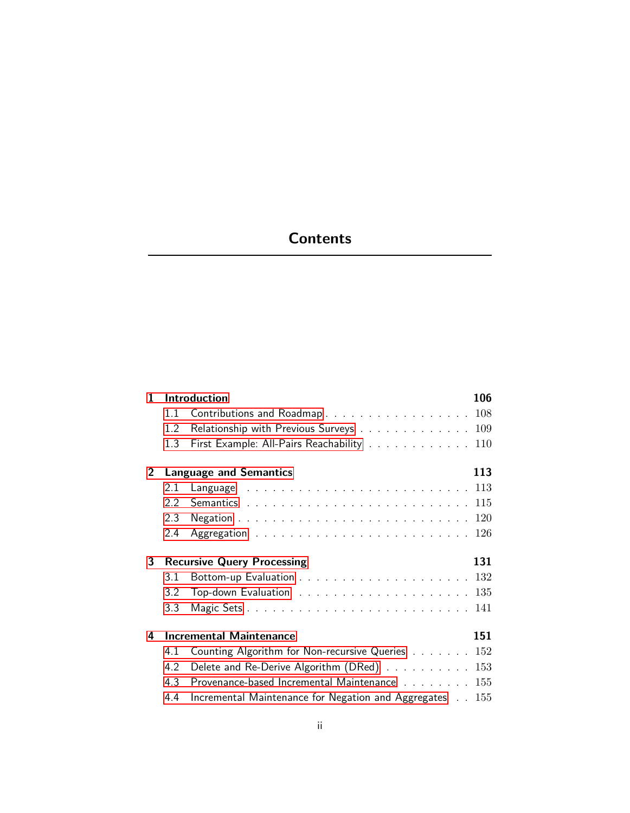# **Contents**

| 1              |                  | 106<br>Introduction                                                                   |     |  |  |  |  |  |  |  |
|----------------|------------------|---------------------------------------------------------------------------------------|-----|--|--|--|--|--|--|--|
|                | 1.1              | Contributions and Roadmap 108                                                         |     |  |  |  |  |  |  |  |
|                | 1.2 <sub>2</sub> | Relationship with Previous Surveys 109                                                |     |  |  |  |  |  |  |  |
|                | 1.3              | First Example: All-Pairs Reachability                                                 | 110 |  |  |  |  |  |  |  |
| $\overline{2}$ |                  | <b>Language and Semantics</b>                                                         | 113 |  |  |  |  |  |  |  |
|                | 2.1              |                                                                                       |     |  |  |  |  |  |  |  |
|                | 2.2              | Semantics $\ldots \ldots \ldots \ldots \ldots \ldots \ldots \ldots \ldots \ldots 115$ |     |  |  |  |  |  |  |  |
|                | 2.3              |                                                                                       |     |  |  |  |  |  |  |  |
|                | 2.4              |                                                                                       |     |  |  |  |  |  |  |  |
| 3              |                  | <b>Recursive Query Processing</b>                                                     | 131 |  |  |  |  |  |  |  |
|                | 3.1              |                                                                                       |     |  |  |  |  |  |  |  |
|                | 3.2              | Top-down Evaluation $\ldots \ldots \ldots \ldots \ldots \ldots \ldots \ldots 135$     |     |  |  |  |  |  |  |  |
|                | 3.3              |                                                                                       |     |  |  |  |  |  |  |  |
|                |                  |                                                                                       |     |  |  |  |  |  |  |  |
| 4              |                  | <b>Incremental Maintenance</b>                                                        | 151 |  |  |  |  |  |  |  |
|                | 4.1              | Counting Algorithm for Non-recursive Queries 152                                      |     |  |  |  |  |  |  |  |
|                | 4.2              | Delete and Re-Derive Algorithm (DRed) 153                                             |     |  |  |  |  |  |  |  |
|                | 4.3              | Provenance-based Incremental Maintenance 155                                          |     |  |  |  |  |  |  |  |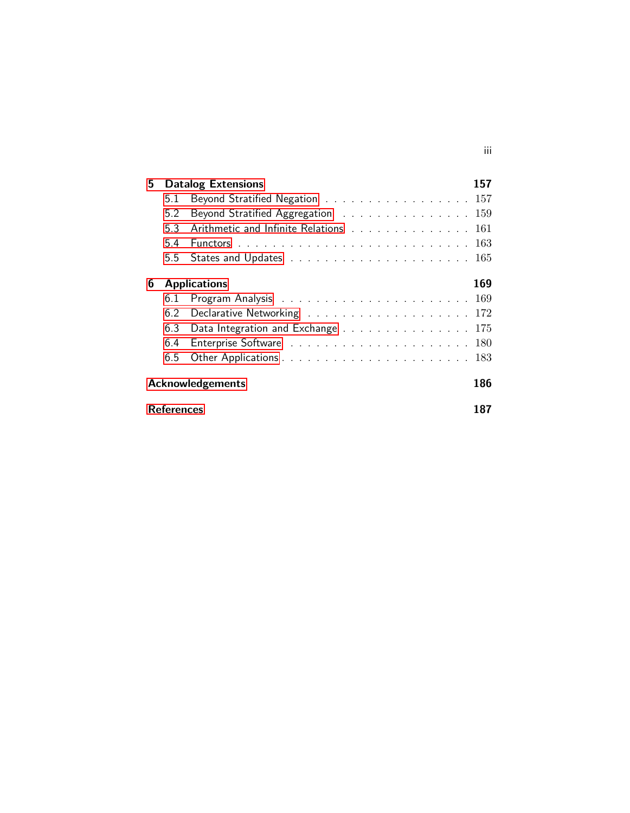| 5                       |     | <b>Datalog Extensions</b>                                                  | 157  |  |  |
|-------------------------|-----|----------------------------------------------------------------------------|------|--|--|
|                         | 5.1 | Beyond Stratified Negation $\ldots \ldots \ldots \ldots \ldots \ldots 157$ |      |  |  |
|                         | 5.2 | Beyond Stratified Aggregation 159                                          |      |  |  |
|                         | 5.3 | Arithmetic and Infinite Relations 161                                      |      |  |  |
|                         | 5.4 |                                                                            |      |  |  |
|                         | 5.5 |                                                                            |      |  |  |
| 6                       |     | <b>Applications</b>                                                        | 169  |  |  |
|                         | 6.1 |                                                                            |      |  |  |
|                         | 6.2 |                                                                            | 172  |  |  |
|                         | 6.3 | Data Integration and Exchange                                              | 175  |  |  |
|                         | 6.4 |                                                                            |      |  |  |
|                         | 6.5 |                                                                            | -183 |  |  |
| <b>Acknowledgements</b> |     |                                                                            |      |  |  |
| <b>References</b>       |     |                                                                            |      |  |  |

iii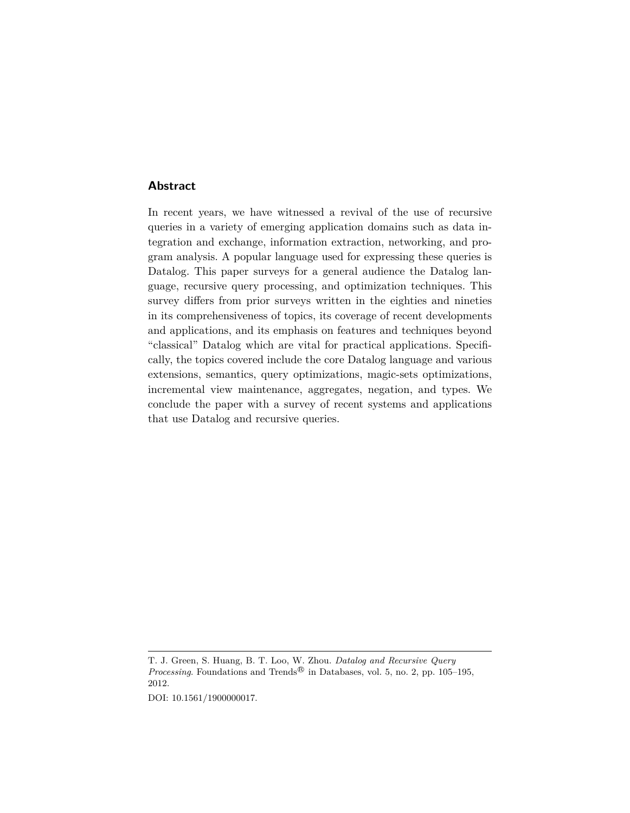# **Abstract**

In recent years, we have witnessed a revival of the use of recursive queries in a variety of emerging application domains such as data integration and exchange, information extraction, networking, and program analysis. A popular language used for expressing these queries is Datalog. This paper surveys for a general audience the Datalog language, recursive query processing, and optimization techniques. This survey differs from prior surveys written in the eighties and nineties in its comprehensiveness of topics, its coverage of recent developments and applications, and its emphasis on features and techniques beyond "classical" Datalog which are vital for practical applications. Specifically, the topics covered include the core Datalog language and various extensions, semantics, query optimizations, magic-sets optimizations, incremental view maintenance, aggregates, negation, and types. We conclude the paper with a survey of recent systems and applications that use Datalog and recursive queries.

DOI: 10.1561/1900000017.

T. J. Green, S. Huang, B. T. Loo, W. Zhou. *Datalog and Recursive Query Processing*. Foundations and Trends<sup>®</sup> in Databases, vol. 5, no. 2, pp. 105–195, 2012.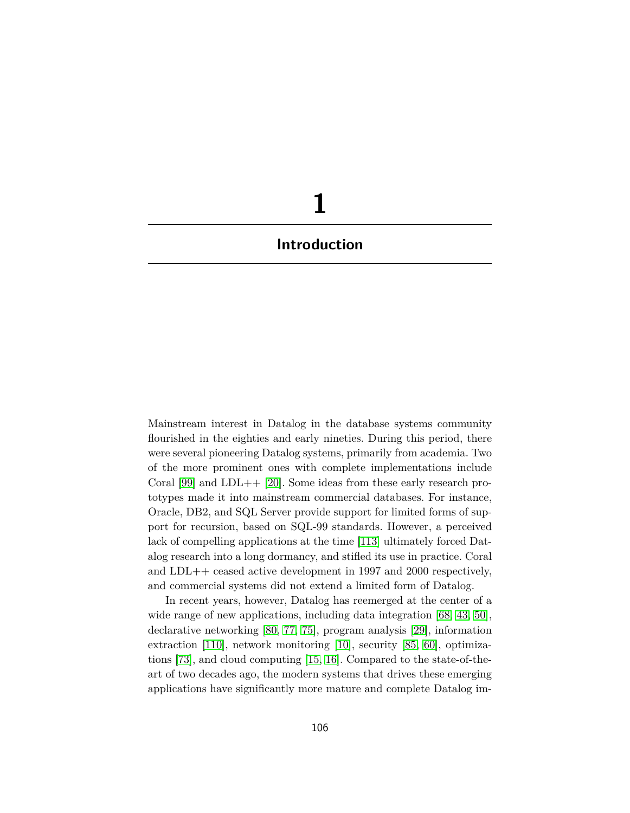# **1**

# <span id="page-4-0"></span>**Introduction**

Mainstream interest in Datalog in the database systems community flourished in the eighties and early nineties. During this period, there were several pioneering Datalog systems, primarily from academia. Two of the more prominent ones with complete implementations include Coral [\[99\]](#page-91-0) and  $LDL++$  [\[20\]](#page-86-0). Some ideas from these early research prototypes made it into mainstream commercial databases. For instance, Oracle, DB2, and SQL Server provide support for limited forms of support for recursion, based on SQL-99 standards. However, a perceived lack of compelling applications at the time [\[113\]](#page-92-0) ultimately forced Datalog research into a long dormancy, and stifled its use in practice. Coral and LDL++ ceased active development in 1997 and 2000 respectively, and commercial systems did not extend a limited form of Datalog.

In recent years, however, Datalog has reemerged at the center of a wide range of new applications, including data integration [\[68,](#page-89-0) [43,](#page-88-0) [50\]](#page-88-1), declarative networking [\[80,](#page-90-0) [77,](#page-90-1) [75\]](#page-90-2), program analysis [\[29\]](#page-86-1), information extraction [\[110\]](#page-92-1), network monitoring [\[10\]](#page-85-1), security [\[85,](#page-90-3) [60\]](#page-89-1), optimizations [\[73\]](#page-89-2), and cloud computing [\[15,](#page-86-2) [16\]](#page-86-3). Compared to the state-of-theart of two decades ago, the modern systems that drives these emerging applications have significantly more mature and complete Datalog im-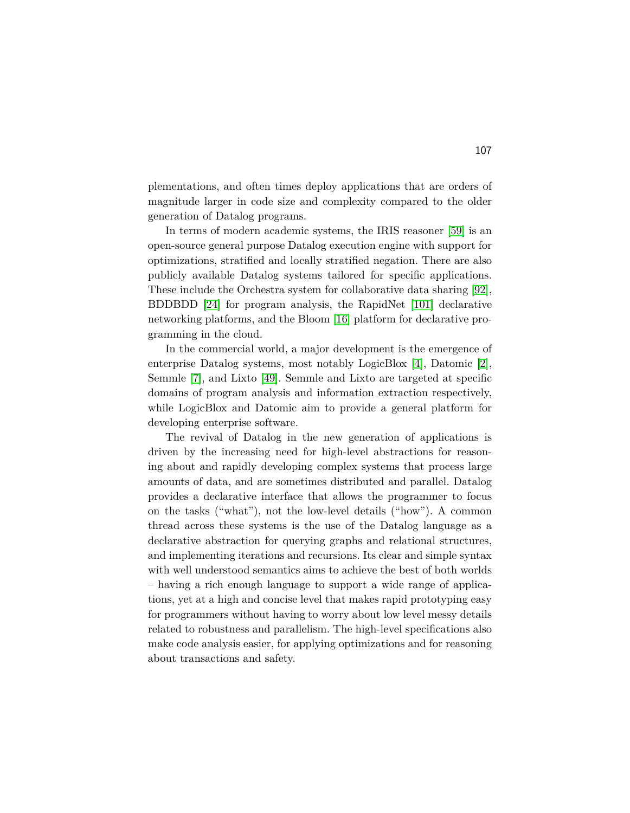plementations, and often times deploy applications that are orders of magnitude larger in code size and complexity compared to the older generation of Datalog programs.

In terms of modern academic systems, the IRIS reasoner [\[59\]](#page-89-3) is an open-source general purpose Datalog execution engine with support for optimizations, stratified and locally stratified negation. There are also publicly available Datalog systems tailored for specific applications. These include the Orchestra system for collaborative data sharing [\[92\]](#page-91-1), BDDBDD [\[24\]](#page-86-4) for program analysis, the RapidNet [\[101\]](#page-92-2) declarative networking platforms, and the Bloom [\[16\]](#page-86-3) platform for declarative programming in the cloud.

In the commercial world, a major development is the emergence of enterprise Datalog systems, most notably LogicBlox [\[4\]](#page-85-2), Datomic [\[2\]](#page-85-3), Semmle [\[7\]](#page-85-4), and Lixto [\[49\]](#page-88-2). Semmle and Lixto are targeted at specific domains of program analysis and information extraction respectively, while LogicBlox and Datomic aim to provide a general platform for developing enterprise software.

The revival of Datalog in the new generation of applications is driven by the increasing need for high-level abstractions for reasoning about and rapidly developing complex systems that process large amounts of data, and are sometimes distributed and parallel. Datalog provides a declarative interface that allows the programmer to focus on the tasks ("what"), not the low-level details ("how"). A common thread across these systems is the use of the Datalog language as a declarative abstraction for querying graphs and relational structures, and implementing iterations and recursions. Its clear and simple syntax with well understood semantics aims to achieve the best of both worlds – having a rich enough language to support a wide range of applications, yet at a high and concise level that makes rapid prototyping easy for programmers without having to worry about low level messy details related to robustness and parallelism. The high-level specifications also make code analysis easier, for applying optimizations and for reasoning about transactions and safety.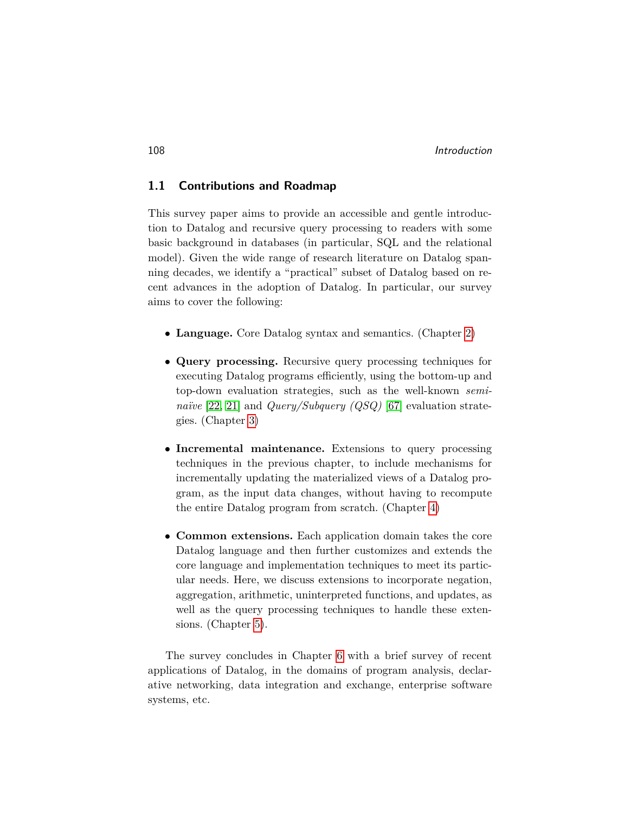### <span id="page-6-0"></span>**1.1 Contributions and Roadmap**

This survey paper aims to provide an accessible and gentle introduction to Datalog and recursive query processing to readers with some basic background in databases (in particular, SQL and the relational model). Given the wide range of research literature on Datalog spanning decades, we identify a "practical" subset of Datalog based on recent advances in the adoption of Datalog. In particular, our survey aims to cover the following:

- **Language.** Core Datalog syntax and semantics. (Chapter [2\)](#page-11-0)
- **Query processing.** Recursive query processing techniques for executing Datalog programs efficiently, using the bottom-up and top-down evaluation strategies, such as the well-known *seminaïve* [\[22,](#page-86-5) [21\]](#page-86-6) and *Query/Subquery (QSQ)* [\[67\]](#page-89-4) evaluation strategies. (Chapter [3\)](#page-29-0)
- **Incremental maintenance.** Extensions to query processing techniques in the previous chapter, to include mechanisms for incrementally updating the materialized views of a Datalog program, as the input data changes, without having to recompute the entire Datalog program from scratch. (Chapter [4\)](#page-49-0)
- **Common extensions.** Each application domain takes the core Datalog language and then further customizes and extends the core language and implementation techniques to meet its particular needs. Here, we discuss extensions to incorporate negation, aggregation, arithmetic, uninterpreted functions, and updates, as well as the query processing techniques to handle these extensions. (Chapter [5\)](#page-55-0).

The survey concludes in Chapter [6](#page-67-0) with a brief survey of recent applications of Datalog, in the domains of program analysis, declarative networking, data integration and exchange, enterprise software systems, etc.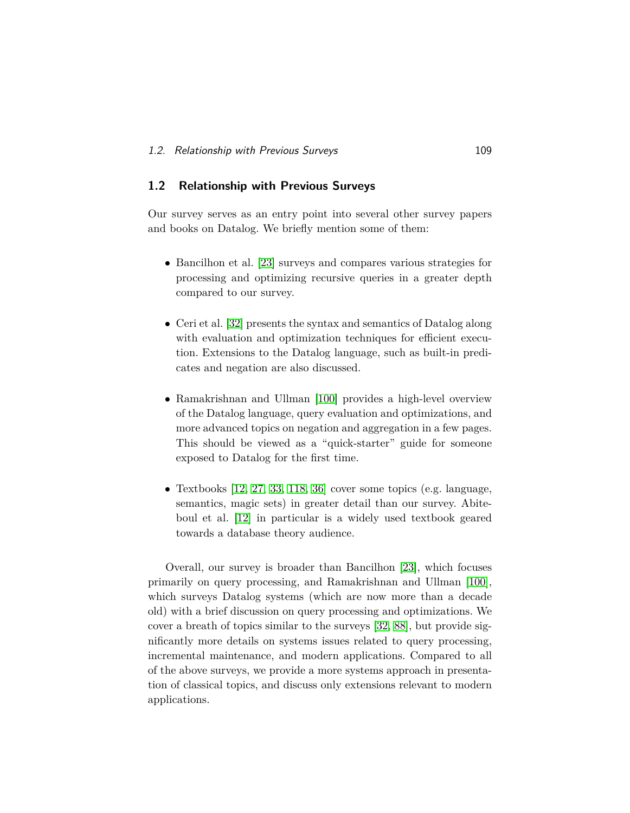# <span id="page-7-0"></span>**1.2 Relationship with Previous Surveys**

Our survey serves as an entry point into several other survey papers and books on Datalog. We briefly mention some of them:

- Bancilhon et al. [\[23\]](#page-86-7) surveys and compares various strategies for processing and optimizing recursive queries in a greater depth compared to our survey.
- Ceri et al. [\[32\]](#page-87-0) presents the syntax and semantics of Datalog along with evaluation and optimization techniques for efficient execution. Extensions to the Datalog language, such as built-in predicates and negation are also discussed.
- Ramakrishnan and Ullman [\[100\]](#page-92-3) provides a high-level overview of the Datalog language, query evaluation and optimizations, and more advanced topics on negation and aggregation in a few pages. This should be viewed as a "quick-starter" guide for someone exposed to Datalog for the first time.
- Textbooks  $[12, 27, 33, 118, 36]$  $[12, 27, 33, 118, 36]$  $[12, 27, 33, 118, 36]$  $[12, 27, 33, 118, 36]$  $[12, 27, 33, 118, 36]$  cover some topics (e.g. language, semantics, magic sets) in greater detail than our survey. Abiteboul et al. [\[12\]](#page-85-5) in particular is a widely used textbook geared towards a database theory audience.

Overall, our survey is broader than Bancilhon [\[23\]](#page-86-7), which focuses primarily on query processing, and Ramakrishnan and Ullman [\[100\]](#page-92-3), which surveys Datalog systems (which are now more than a decade old) with a brief discussion on query processing and optimizations. We cover a breath of topics similar to the surveys [\[32,](#page-87-0) [88\]](#page-91-2), but provide significantly more details on systems issues related to query processing, incremental maintenance, and modern applications. Compared to all of the above surveys, we provide a more systems approach in presentation of classical topics, and discuss only extensions relevant to modern applications.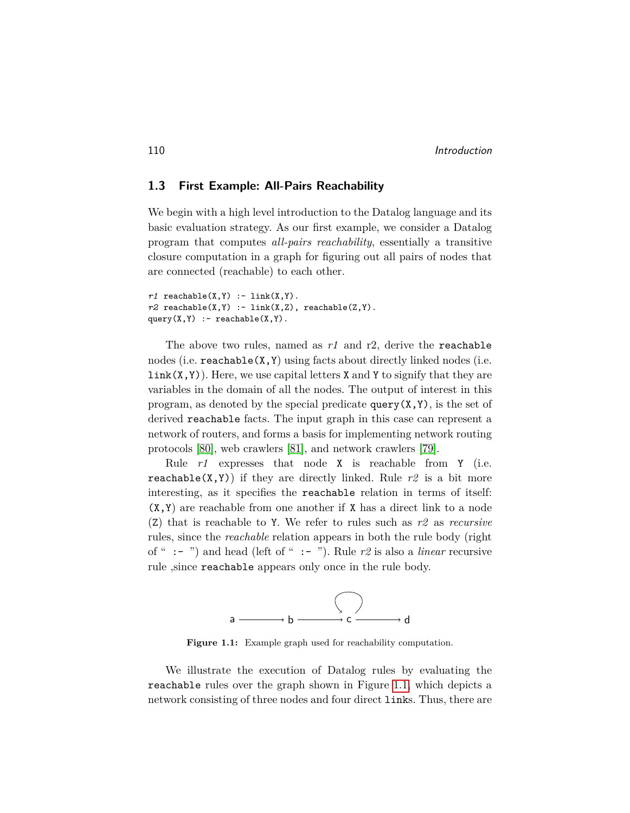#### <span id="page-8-0"></span>**1.3 First Example: All-Pairs Reachability**

We begin with a high level introduction to the Datalog language and its basic evaluation strategy. As our first example, we consider a Datalog program that computes *all-pairs reachability*, essentially a transitive closure computation in a graph for figuring out all pairs of nodes that are connected (reachable) to each other.

```
r1 reachable(X, Y) : - link(X, Y).
r2 reachable(X,Y) :- link(X,Z), reachable(Z,Y).
query(X, Y) :- reachable(X, Y).
```
The above two rules, named as *r1* and r2, derive the reachable nodes (i.e.  $\texttt{reachable}(X, Y)$  using facts about directly linked nodes (i.e.  $link(X, Y)$ . Here, we use capital letters X and Y to signify that they are variables in the domain of all the nodes. The output of interest in this program, as denoted by the special predicate  $query(X, Y)$ , is the set of derived reachable facts. The input graph in this case can represent a network of routers, and forms a basis for implementing network routing protocols [\[80\]](#page-90-0), web crawlers [\[81\]](#page-90-4), and network crawlers [\[79\]](#page-90-5).

Rule r1 expresses that node X is reachable from Y (i.e. reachable(X,Y)) if they are directly linked. Rule  $r2$  is a bit more interesting, as it specifies the reachable relation in terms of itself:  $(X, Y)$  are reachable from one another if X has a direct link to a node (Z) that is reachable to Y. We refer to rules such as *r2* as *recursive* rules, since the *reachable* relation appears in both the rule body (right of " :- ") and head (left of " :- "). Rule *r2* is also a *linear* recursive rule , since reachable appears only once in the rule body.

<span id="page-8-1"></span>

Figure 1.1: Example graph used for reachability computation.

We illustrate the execution of Datalog rules by evaluating the reachable rules over the graph shown in Figure [1.1,](#page-8-1) which depicts a network consisting of three nodes and four direct links. Thus, there are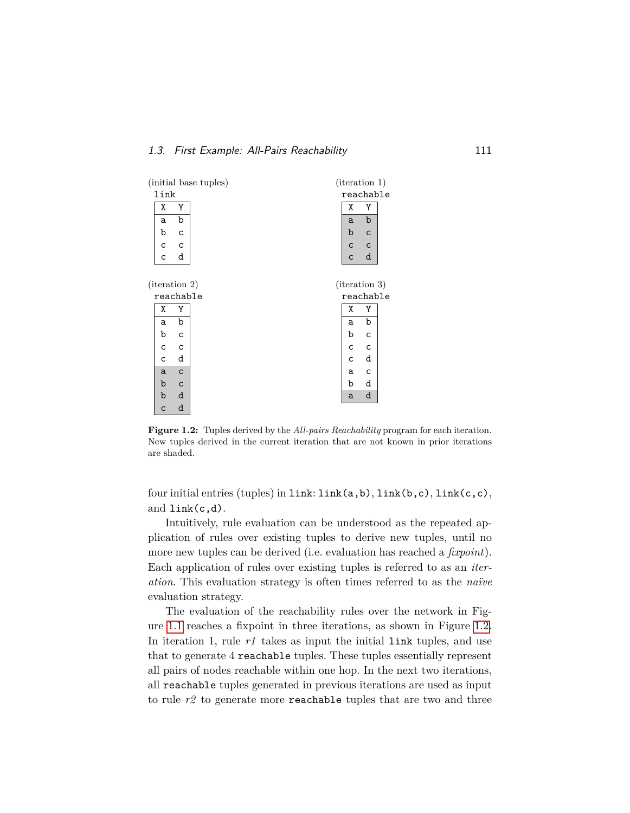<span id="page-9-0"></span>

|              |               | (initial base tuples) | (iteration 1) |              |  |  |  |
|--------------|---------------|-----------------------|---------------|--------------|--|--|--|
| link         |               |                       | reachable     |              |  |  |  |
| Χ            | Υ             |                       | Χ             | Y            |  |  |  |
| a            | b             |                       | a             | b            |  |  |  |
| b            | $\mathsf c$   |                       | b             | $\mathsf c$  |  |  |  |
| c            | $\mathsf{C}$  |                       | $\mathsf{C}$  | $\mathsf{C}$ |  |  |  |
| c            | d             |                       | $\mathsf c$   | d            |  |  |  |
|              |               |                       |               |              |  |  |  |
|              | (iteration 2) |                       | (iteration 3) |              |  |  |  |
|              | reachable     |                       | reachable     |              |  |  |  |
| Χ            | Y             |                       | X             | Y            |  |  |  |
| a            | b             |                       | a             | b            |  |  |  |
| b            | $\mathsf{C}$  |                       | b             | C            |  |  |  |
| C            | $\mathsf{C}$  |                       | с             | $\mathsf{C}$ |  |  |  |
| C            | d             |                       | с             | d            |  |  |  |
| $\mathsf a$  | $\mathbf{C}$  |                       | a             | $\mathsf{C}$ |  |  |  |
| b            | $\mathsf{C}$  |                       | b             | d            |  |  |  |
| b            | d             |                       | a             | d            |  |  |  |
| $\mathsf{C}$ | $\rm d$       |                       |               |              |  |  |  |

**Figure 1.2:** Tuples derived by the *All-pairs Reachability* program for each iteration. New tuples derived in the current iteration that are not known in prior iterations are shaded.

four initial entries (tuples) in link: link(a,b), link(b,c), link(c,c), and link(c,d).

Intuitively, rule evaluation can be understood as the repeated application of rules over existing tuples to derive new tuples, until no more new tuples can be derived (i.e. evaluation has reached a *fixpoint*). Each application of rules over existing tuples is referred to as an *iteration*. This evaluation strategy is often times referred to as the *naïve* evaluation strategy.

The evaluation of the reachability rules over the network in Figure [1.1](#page-8-1) reaches a fixpoint in three iterations, as shown in Figure [1.2.](#page-9-0) In iteration 1, rule  $r1$  takes as input the initial link tuples, and use that to generate 4 reachable tuples. These tuples essentially represent all pairs of nodes reachable within one hop. In the next two iterations, all reachable tuples generated in previous iterations are used as input to rule *r2* to generate more reachable tuples that are two and three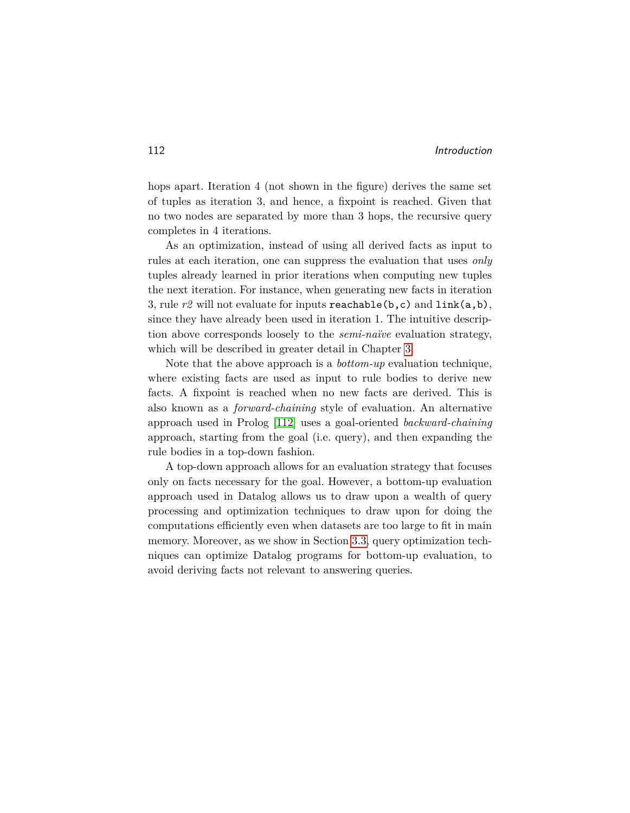hops apart. Iteration 4 (not shown in the figure) derives the same set of tuples as iteration 3, and hence, a fixpoint is reached. Given that no two nodes are separated by more than 3 hops, the recursive query completes in 4 iterations.

As an optimization, instead of using all derived facts as input to rules at each iteration, one can suppress the evaluation that uses *only* tuples already learned in prior iterations when computing new tuples the next iteration. For instance, when generating new facts in iteration 3, rule *r2* will not evaluate for inputs reachable(b,c) and link(a,b), since they have already been used in iteration 1. The intuitive description above corresponds loosely to the *semi-naïve* evaluation strategy, which will be described in greater detail in Chapter [3.](#page-29-0)

Note that the above approach is a *bottom-up* evaluation technique, where existing facts are used as input to rule bodies to derive new facts. A fixpoint is reached when no new facts are derived. This is also known as a *forward-chaining* style of evaluation. An alternative approach used in Prolog [\[112\]](#page-92-4) uses a goal-oriented *backward-chaining* approach, starting from the goal (i.e. query), and then expanding the rule bodies in a top-down fashion.

A top-down approach allows for an evaluation strategy that focuses only on facts necessary for the goal. However, a bottom-up evaluation approach used in Datalog allows us to draw upon a wealth of query processing and optimization techniques to draw upon for doing the computations efficiently even when datasets are too large to fit in main memory. Moreover, as we show in Section [3.3,](#page-39-0) query optimization techniques can optimize Datalog programs for bottom-up evaluation, to avoid deriving facts not relevant to answering queries.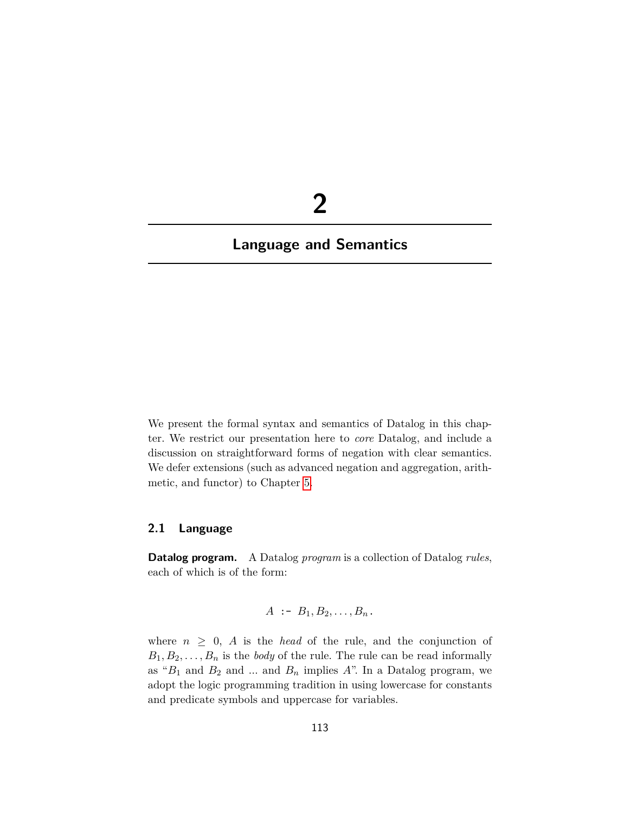# **2**

# <span id="page-11-0"></span>**Language and Semantics**

We present the formal syntax and semantics of Datalog in this chapter. We restrict our presentation here to *core* Datalog, and include a discussion on straightforward forms of negation with clear semantics. We defer extensions (such as advanced negation and aggregation, arithmetic, and functor) to Chapter [5.](#page-55-0)

# <span id="page-11-1"></span>**2.1 Language**

**Datalog program.** A Datalog *program* is a collection of Datalog *rules*, each of which is of the form:

$$
A \coloneq B_1, B_2, \ldots, B_n.
$$

where  $n \geq 0$ , *A* is the *head* of the rule, and the conjunction of  $B_1, B_2, \ldots, B_n$  is the *body* of the rule. The rule can be read informally as " $B_1$  and  $B_2$  and ... and  $B_n$  implies  $A$ ". In a Datalog program, we adopt the logic programming tradition in using lowercase for constants and predicate symbols and uppercase for variables.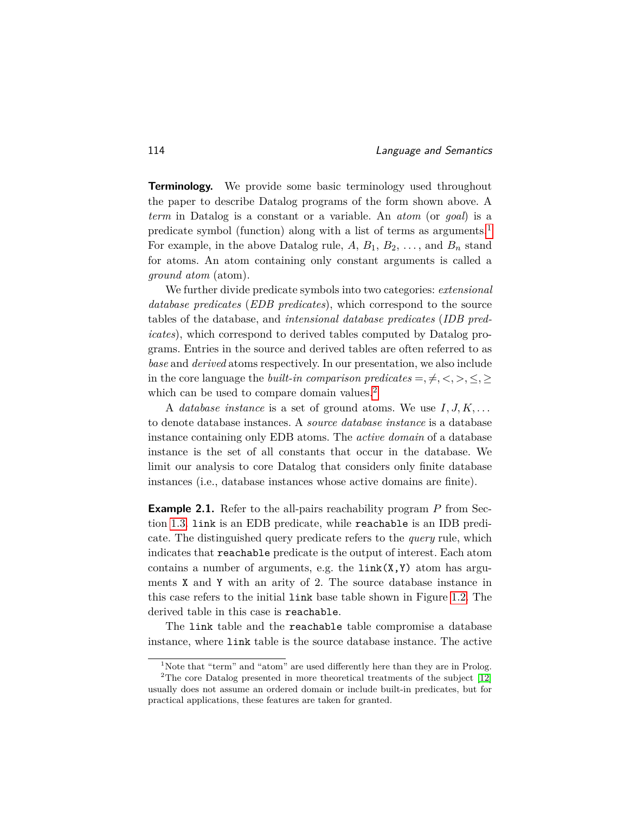**Terminology.** We provide some basic terminology used throughout the paper to describe Datalog programs of the form shown above. A *term* in Datalog is a constant or a variable. An *atom* (or *goal*) is a predicate symbol (function) along with a list of terms as arguments.[1](#page-12-0) For example, in the above Datalog rule,  $A, B_1, B_2, \ldots$ , and  $B_n$  stand for atoms. An atom containing only constant arguments is called a *ground atom* (atom).

We further divide predicate symbols into two categories: *extensional database predicates* (*EDB predicates*), which correspond to the source tables of the database, and *intensional database predicates* (*IDB predicates*), which correspond to derived tables computed by Datalog programs. Entries in the source and derived tables are often referred to as *base* and *derived* atoms respectively. In our presentation, we also include in the core language the *built-in comparison predicates* =,  $\neq$ , <, >, <, > which can be used to compare domain values.<sup>[2](#page-12-1)</sup>

A *database instance* is a set of ground atoms. We use *I, J, K, . . .* to denote database instances. A *source database instance* is a database instance containing only EDB atoms. The *active domain* of a database instance is the set of all constants that occur in the database. We limit our analysis to core Datalog that considers only finite database instances (i.e., database instances whose active domains are finite).

**Example 2.1.** Refer to the all-pairs reachability program *P* from Section [1.3.](#page-8-0) link is an EDB predicate, while reachable is an IDB predicate. The distinguished query predicate refers to the *query* rule, which indicates that reachable predicate is the output of interest. Each atom contains a number of arguments, e.g. the  $link(X, Y)$  atom has arguments X and Y with an arity of 2. The source database instance in this case refers to the initial link base table shown in Figure [1.2.](#page-9-0) The derived table in this case is reachable.

The link table and the reachable table compromise a database instance, where link table is the source database instance. The active

<span id="page-12-1"></span><span id="page-12-0"></span><sup>&</sup>lt;sup>1</sup>Note that "term" and "atom" are used differently here than they are in Prolog.

<sup>&</sup>lt;sup>2</sup>The core Datalog presented in more theoretical treatments of the subject [\[12\]](#page-85-5) usually does not assume an ordered domain or include built-in predicates, but for practical applications, these features are taken for granted.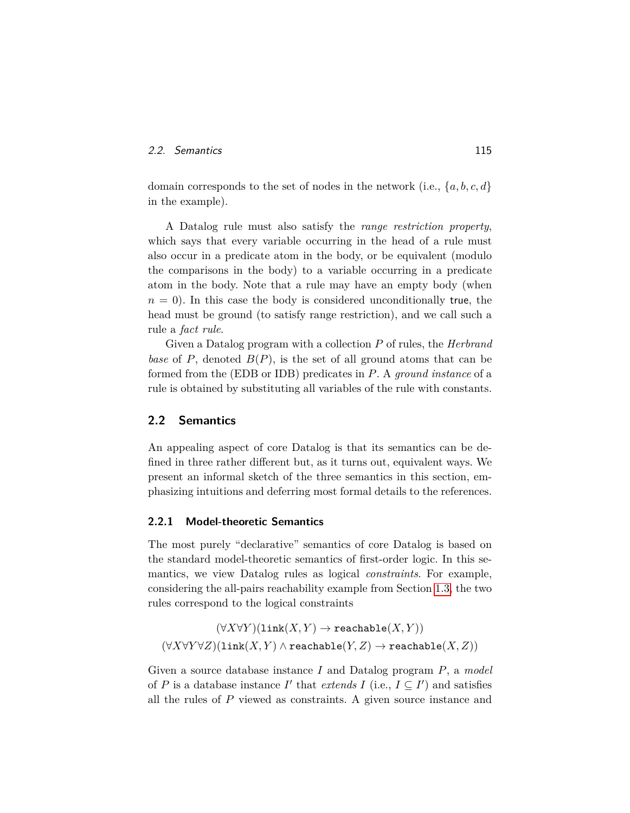domain corresponds to the set of nodes in the network (i.e., {*a, b, c, d*} in the example).

A Datalog rule must also satisfy the *range restriction property*, which says that every variable occurring in the head of a rule must also occur in a predicate atom in the body, or be equivalent (modulo the comparisons in the body) to a variable occurring in a predicate atom in the body. Note that a rule may have an empty body (when  $n = 0$ ). In this case the body is considered unconditionally true, the head must be ground (to satisfy range restriction), and we call such a rule a *fact rule*.

Given a Datalog program with a collection *P* of rules, the *Herbrand base* of *P*, denoted  $B(P)$ , is the set of all ground atoms that can be formed from the (EDB or IDB) predicates in *P*. A *ground instance* of a rule is obtained by substituting all variables of the rule with constants.

# <span id="page-13-0"></span>**2.2 Semantics**

An appealing aspect of core Datalog is that its semantics can be defined in three rather different but, as it turns out, equivalent ways. We present an informal sketch of the three semantics in this section, emphasizing intuitions and deferring most formal details to the references.

#### **2.2.1 Model-theoretic Semantics**

The most purely "declarative" semantics of core Datalog is based on the standard model-theoretic semantics of first-order logic. In this semantics, we view Datalog rules as logical *constraints*. For example, considering the all-pairs reachability example from Section [1.3,](#page-8-0) the two rules correspond to the logical constraints

```
(\forall X \forall Y)(\texttt{link}(X, Y) \rightarrow \texttt{reachable}(X, Y))(∀X∀Y ∀Z)(link(X, Y ) ∧ reachable(Y, Z) → reachable(X, Z))
```
Given a source database instance *I* and Datalog program *P*, a *model* of *P* is a database instance *I*' that *extends I* (i.e.,  $I \subseteq I'$ ) and satisfies all the rules of *P* viewed as constraints. A given source instance and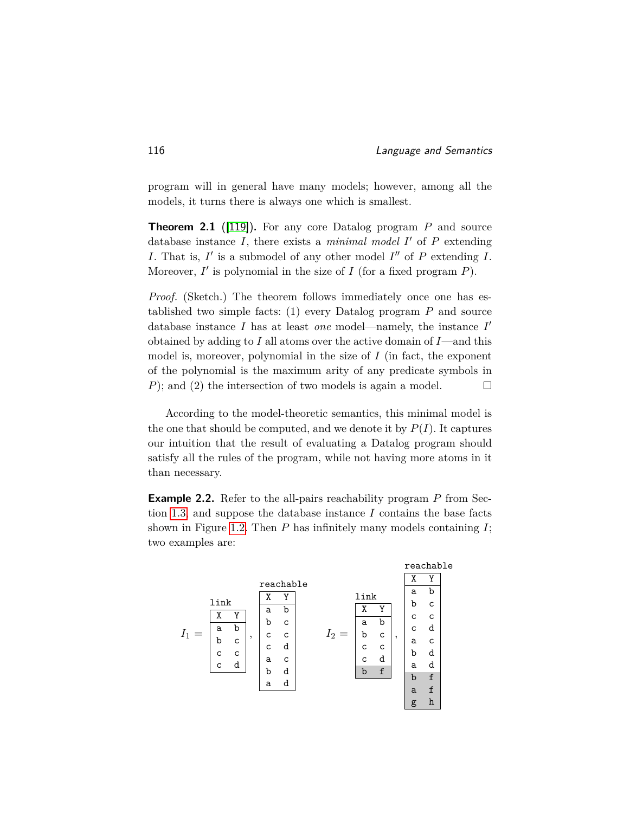program will in general have many models; however, among all the models, it turns there is always one which is smallest.

**Theorem 2.1** ([\[119\]](#page-93-1))**.** For any core Datalog program *P* and source database instance  $I$ , there exists a *minimal model*  $I'$  of  $P$  extending *I*. That is,  $I'$  is a submodel of any other model  $I''$  of  $P$  extending  $I$ . Moreover,  $I'$  is polynomial in the size of  $I$  (for a fixed program  $P$ ).

*Proof.* (Sketch.) The theorem follows immediately once one has established two simple facts: (1) every Datalog program *P* and source database instance *I* has at least *one* model—namely, the instance *I'* obtained by adding to *I* all atoms over the active domain of *I*—and this model is, moreover, polynomial in the size of *I* (in fact, the exponent of the polynomial is the maximum arity of any predicate symbols in *P*); and (2) the intersection of two models is again a model.  $\Box$ 

According to the model-theoretic semantics, this minimal model is the one that should be computed, and we denote it by  $P(I)$ . It captures our intuition that the result of evaluating a Datalog program should satisfy all the rules of the program, while not having more atoms in it than necessary.

<span id="page-14-0"></span>**Example 2.2.** Refer to the all-pairs reachability program *P* from Section [1.3,](#page-8-0) and suppose the database instance *I* contains the base facts shown in Figure [1.2.](#page-9-0) Then *P* has infinitely many models containing *I*; two examples are:

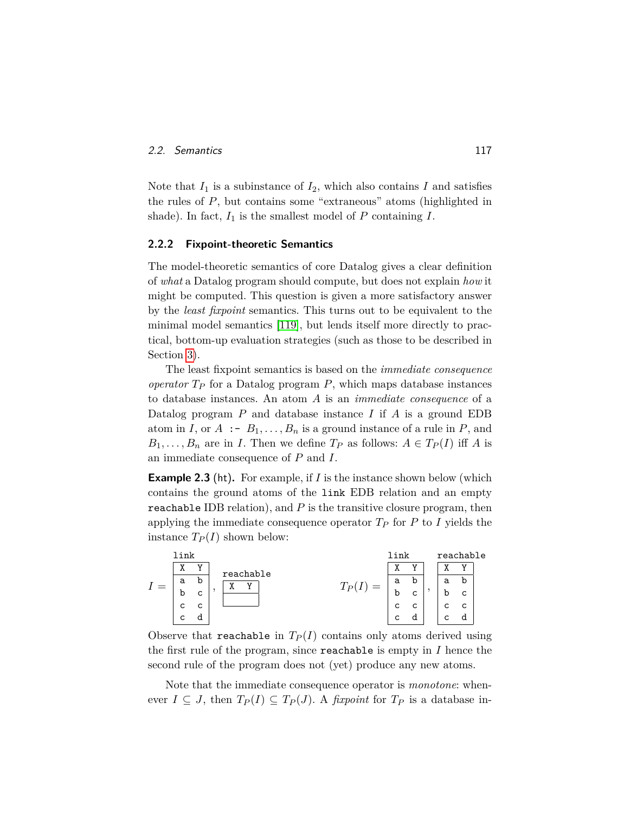Note that  $I_1$  is a subinstance of  $I_2$ , which also contains  $I$  and satisfies the rules of *P*, but contains some "extraneous" atoms (highlighted in shade). In fact,  $I_1$  is the smallest model of  $P$  containing  $I$ .

#### **2.2.2 Fixpoint-theoretic Semantics**

The model-theoretic semantics of core Datalog gives a clear definition of *what* a Datalog program should compute, but does not explain *how* it might be computed. This question is given a more satisfactory answer by the *least fixpoint* semantics. This turns out to be equivalent to the minimal model semantics [\[119\]](#page-93-1), but lends itself more directly to practical, bottom-up evaluation strategies (such as those to be described in Section [3\)](#page-29-0).

The least fixpoint semantics is based on the *immediate consequence operator*  $T_P$  for a Datalog program  $P$ , which maps database instances to database instances. An atom *A* is an *immediate consequence* of a Datalog program *P* and database instance *I* if *A* is a ground EDB atom in *I*, or  $A : B_1, \ldots, B_n$  is a ground instance of a rule in *P*, and  $B_1, \ldots, B_n$  are in *I*. Then we define  $T_P$  as follows:  $A \in T_P(I)$  iff *A* is an immediate consequence of *P* and *I*.

**Example 2.3** (ht)**.** For example, if *I* is the instance shown below (which contains the ground atoms of the link EDB relation and an empty reachable IDB relation), and *P* is the transitive closure program, then applying the immediate consequence operator  $T_P$  for  $P$  to  $I$  yields the instance  $T_P(I)$  shown below:

| link |   |   |              |  |   |   |                        | link |   |   | reachable |   |   |  |
|------|---|---|--------------|--|---|---|------------------------|------|---|---|-----------|---|---|--|
|      | v | Χ | reachable    |  |   |   | $\boldsymbol{\Lambda}$ | v    |   |   |           |   |   |  |
| a    | b |   | $\mathbf{v}$ |  | a | b |                        | a    | b |   |           |   |   |  |
| b    | C |   |              |  | b | C |                        | b    | с |   |           |   |   |  |
| C    | C |   |              |  |   |   | C                      | C    |   | C | с         |   |   |  |
| ╭    |   |   |              |  |   |   |                        |      | ◠ | d |           | C | α |  |

Observe that **reachable** in  $T_P(I)$  contains only atoms derived using the first rule of the program, since reachable is empty in *I* hence the second rule of the program does not (yet) produce any new atoms.

Note that the immediate consequence operator is *monotone*: whenever  $I \subseteq J$ , then  $T_P(I) \subseteq T_P(J)$ . A *fixpoint* for  $T_P$  is a database in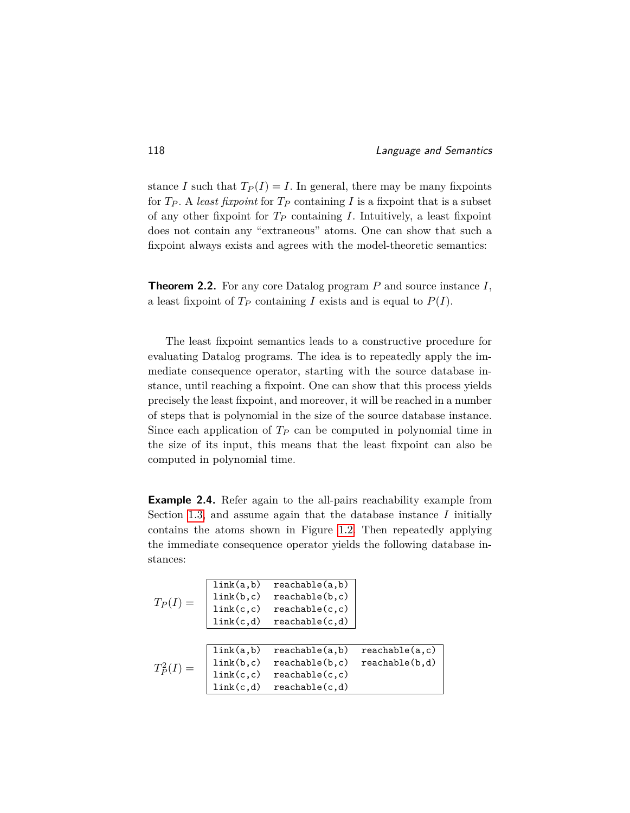stance *I* such that  $T_P(I) = I$ . In general, there may be many fixpoints for  $T_P$ . A *least fixpoint* for  $T_P$  containing  $I$  is a fixpoint that is a subset of any other fixpoint for *T<sup>P</sup>* containing *I*. Intuitively, a least fixpoint does not contain any "extraneous" atoms. One can show that such a fixpoint always exists and agrees with the model-theoretic semantics:

**Theorem 2.2.** For any core Datalog program *P* and source instance *I*, a least fixpoint of  $T_P$  containing  $I$  exists and is equal to  $P(I)$ .

The least fixpoint semantics leads to a constructive procedure for evaluating Datalog programs. The idea is to repeatedly apply the immediate consequence operator, starting with the source database instance, until reaching a fixpoint. One can show that this process yields precisely the least fixpoint, and moreover, it will be reached in a number of steps that is polynomial in the size of the source database instance. Since each application of  $T_P$  can be computed in polynomial time in the size of its input, this means that the least fixpoint can also be computed in polynomial time.

<span id="page-16-0"></span>**Example 2.4.** Refer again to the all-pairs reachability example from Section [1.3,](#page-8-0) and assume again that the database instance *I* initially contains the atoms shown in Figure [1.2.](#page-9-0) Then repeatedly applying the immediate consequence operator yields the following database instances:

|              | link(a, b) | reachable(a, b) |                 |
|--------------|------------|-----------------|-----------------|
|              | link(b, c) | reachable(b, c) |                 |
| $T_P(I) =$   | link(c, c) | reachable(c,c)  |                 |
|              | link(c,d)  | reachable(c, d) |                 |
|              |            |                 |                 |
|              | link(a, b) | reachable(a, b) | reachable(a, c) |
| $T_P^2(I) =$ | link(b, c) | reachable(b, c) | reachable(b,d)  |
|              | link(c,c)  | reachable(c, c) |                 |
|              | link(c,d)  | reachable(c, d) |                 |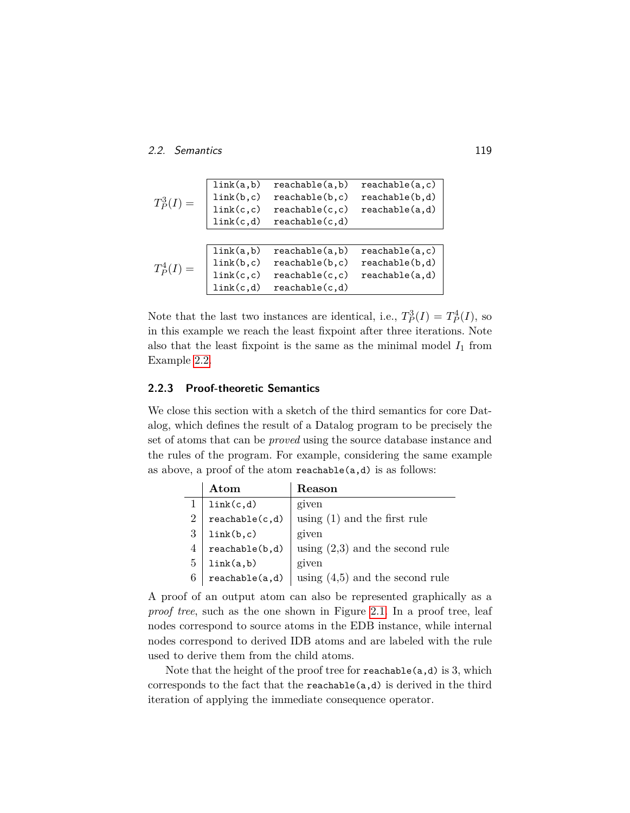| link(a, b) | reachable(a, b) | reachable(a, c) |
|------------|-----------------|-----------------|
| link(b, c) | reachable(b, c) | reachable(b,d)  |
| link(c, c) | reachable(c,c)  | reachable(a,d)  |
| link(c,d)  | reachable(c,d)  |                 |
|            |                 |                 |
| link(a, b) | reachable(a, b) | reachable(a, c) |
| link(b, c) | reachable(b, c) | reachable(b,d)  |
| link(c, c) | reachable(c,c)  | reachable(a,d)  |
| link(c,d)  | reachable(c, d) |                 |
|            |                 |                 |

Note that the last two instances are identical, i.e.,  $T_P^3(I) = T_P^4(I)$ , so in this example we reach the least fixpoint after three iterations. Note also that the least fixpoint is the same as the minimal model  $I_1$  from Example [2.2.](#page-14-0)

## <span id="page-17-0"></span>**2.2.3 Proof-theoretic Semantics**

We close this section with a sketch of the third semantics for core Datalog, which defines the result of a Datalog program to be precisely the set of atoms that can be *proved* using the source database instance and the rules of the program. For example, considering the same example as above, a proof of the atom reachable(a,d) is as follows:

|                | Atom           | Reason                            |
|----------------|----------------|-----------------------------------|
| $\mathbf{1}$   | link(c,d)      | given                             |
| $\overline{2}$ | reachable(c,d) | using $(1)$ and the first rule    |
| 3              | link(b, c)     | given                             |
| $\overline{4}$ | reachable(b,d) | using $(2,3)$ and the second rule |
| 5              | link(a, b)     | given                             |
| 6              | reachable(a,d) | using $(4,5)$ and the second rule |

A proof of an output atom can also be represented graphically as a *proof tree*, such as the one shown in Figure [2.1.](#page-18-1) In a proof tree, leaf nodes correspond to source atoms in the EDB instance, while internal nodes correspond to derived IDB atoms and are labeled with the rule used to derive them from the child atoms.

Note that the height of the proof tree for reachable( $a,d$ ) is 3, which corresponds to the fact that the reachable(a,d) is derived in the third iteration of applying the immediate consequence operator.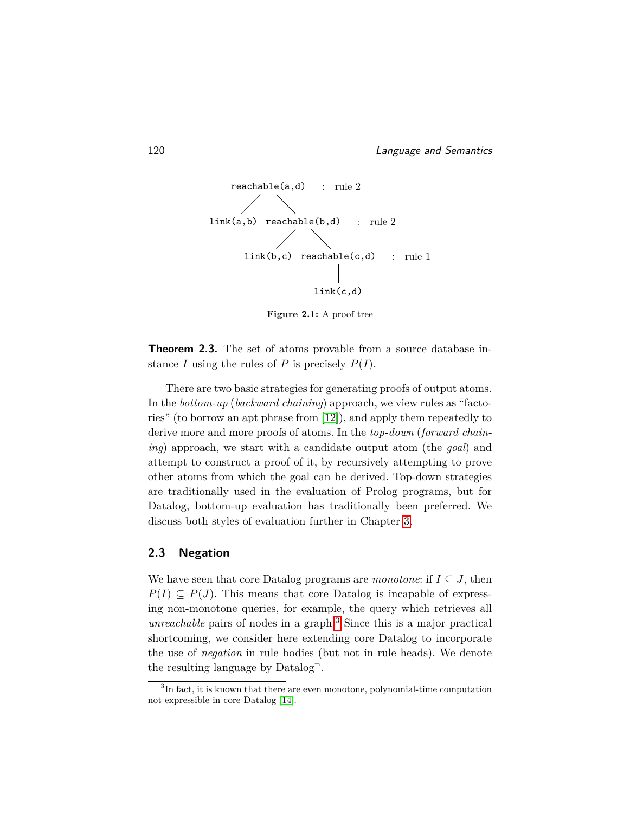

**Figure 2.1:** A proof tree

**Theorem 2.3.** The set of atoms provable from a source database instance *I* using the rules of *P* is precisely  $P(I)$ .

There are two basic strategies for generating proofs of output atoms. In the *bottom-up* (*backward chaining*) approach, we view rules as "factories" (to borrow an apt phrase from [\[12\]](#page-85-5)), and apply them repeatedly to derive more and more proofs of atoms. In the *top-down* (*forward chaining*) approach, we start with a candidate output atom (the *goal*) and attempt to construct a proof of it, by recursively attempting to prove other atoms from which the goal can be derived. Top-down strategies are traditionally used in the evaluation of Prolog programs, but for Datalog, bottom-up evaluation has traditionally been preferred. We discuss both styles of evaluation further in Chapter [3.](#page-29-0)

#### <span id="page-18-0"></span>**2.3 Negation**

We have seen that core Datalog programs are *monotone*: if  $I \subseteq J$ , then  $P(I) \subseteq P(J)$ . This means that core Datalog is incapable of expressing non-monotone queries, for example, the query which retrieves all *unreachable* pairs of nodes in a graph.[3](#page-18-2) Since this is a major practical shortcoming, we consider here extending core Datalog to incorporate the use of *negation* in rule bodies (but not in rule heads). We denote the resulting language by Datalog<sup>-</sup>.

<span id="page-18-1"></span>

<span id="page-18-2"></span><sup>&</sup>lt;sup>3</sup>In fact, it is known that there are even monotone, polynomial-time computation not expressible in core Datalog [\[14\]](#page-85-6).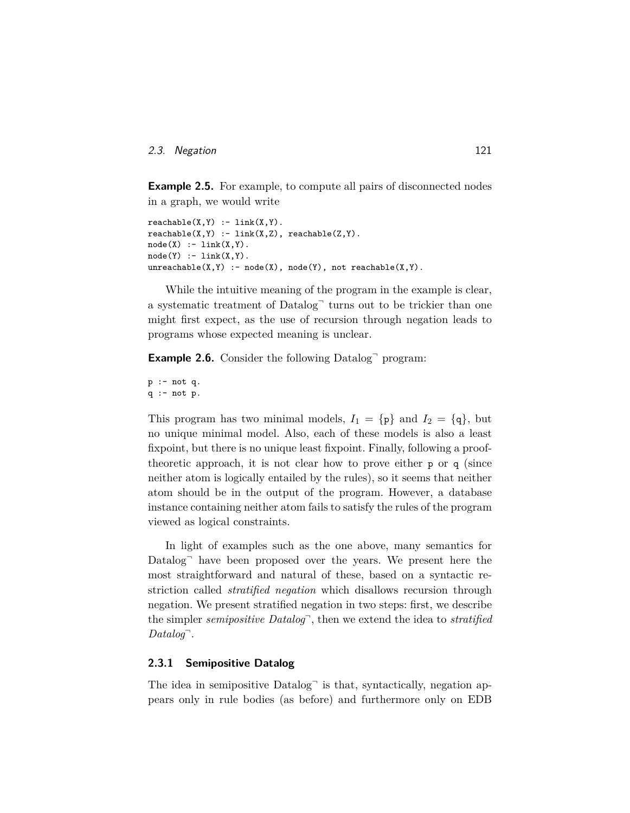<span id="page-19-0"></span>**Example 2.5.** For example, to compute all pairs of disconnected nodes in a graph, we would write

```
reachable(X, Y) :- link(X, Y).
reachable(X, Y) :- link(X, Z), reachable(Z, Y).node(X) := link(X, Y).
node(Y) :- link(X,Y).unreachable(X, Y) :- node(X), node(Y), not reachable(X, Y).
```
While the intuitive meaning of the program in the example is clear, a systematic treatment of Datalog<sup>-</sup> turns out to be trickier than one might first expect, as the use of recursion through negation leads to programs whose expected meaning is unclear.

<span id="page-19-1"></span>**Example 2.6.** Consider the following Datalog<sup>-</sup> program:

p :- not q.  $q$  :  $-$  not  $p$ .

This program has two minimal models,  $I_1 = \{p\}$  and  $I_2 = \{q\}$ , but no unique minimal model. Also, each of these models is also a least fixpoint, but there is no unique least fixpoint. Finally, following a prooftheoretic approach, it is not clear how to prove either  $p$  or  $q$  (since neither atom is logically entailed by the rules), so it seems that neither atom should be in the output of the program. However, a database instance containing neither atom fails to satisfy the rules of the program viewed as logical constraints.

In light of examples such as the one above, many semantics for Datalog<sup>-</sup> have been proposed over the years. We present here the most straightforward and natural of these, based on a syntactic restriction called *stratified negation* which disallows recursion through negation. We present stratified negation in two steps: first, we describe the simpler *semipositive Datalog*<sup>¬</sup> , then we extend the idea to *stratified Datalog*<sup>¬</sup> .

#### **2.3.1 Semipositive Datalog**

The idea in semipositive Datalog<sup>-</sup> is that, syntactically, negation appears only in rule bodies (as before) and furthermore only on EDB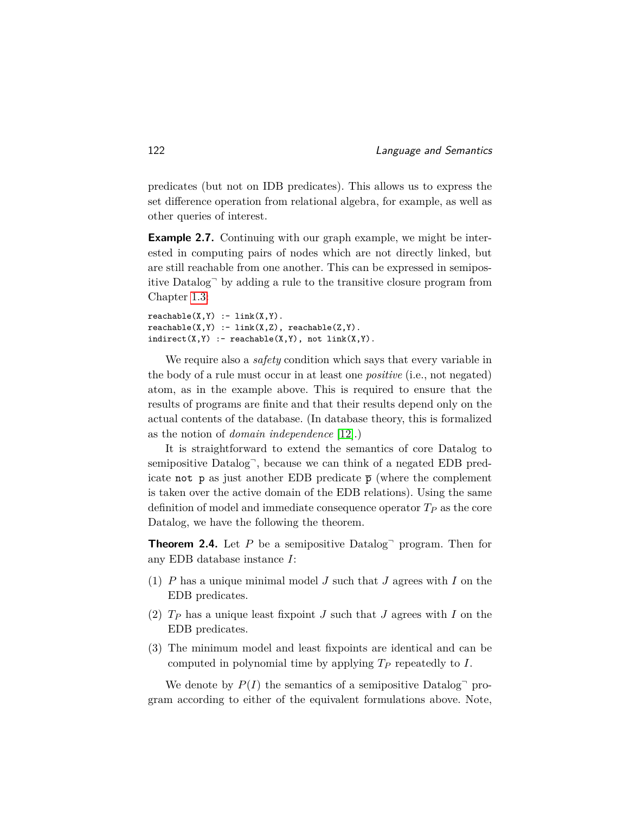predicates (but not on IDB predicates). This allows us to express the set difference operation from relational algebra, for example, as well as other queries of interest.

**Example 2.7.** Continuing with our graph example, we might be interested in computing pairs of nodes which are not directly linked, but are still reachable from one another. This can be expressed in semipositive Datalog<sup>¬</sup> by adding a rule to the transitive closure program from Chapter [1.3:](#page-8-0)

```
reachable(X, Y) :- link(X, Y).
reachable(X, Y) :- link(X, Z), reachable(Z, Y).indirect(X,Y) :- reachable(X,Y), not link(X,Y).
```
We require also a *safety* condition which says that every variable in the body of a rule must occur in at least one *positive* (i.e., not negated) atom, as in the example above. This is required to ensure that the results of programs are finite and that their results depend only on the actual contents of the database. (In database theory, this is formalized as the notion of *domain independence* [\[12\]](#page-85-5).)

It is straightforward to extend the semantics of core Datalog to semipositive Datalog<sup>-</sup>, because we can think of a negated EDB predicate not p as just another EDB predicate  $\bar{p}$  (where the complement is taken over the active domain of the EDB relations). Using the same definition of model and immediate consequence operator *T<sup>P</sup>* as the core Datalog, we have the following the theorem.

**Theorem 2.4.** Let *P* be a semipositive Datalog<sup>-</sup> program. Then for any EDB database instance *I*:

- (1) *P* has a unique minimal model *J* such that *J* agrees with *I* on the EDB predicates.
- (2) *T<sup>P</sup>* has a unique least fixpoint *J* such that *J* agrees with *I* on the EDB predicates.
- (3) The minimum model and least fixpoints are identical and can be computed in polynomial time by applying *T<sup>P</sup>* repeatedly to *I*.

We denote by  $P(I)$  the semantics of a semipositive Datalog<sup>-</sup> program according to either of the equivalent formulations above. Note,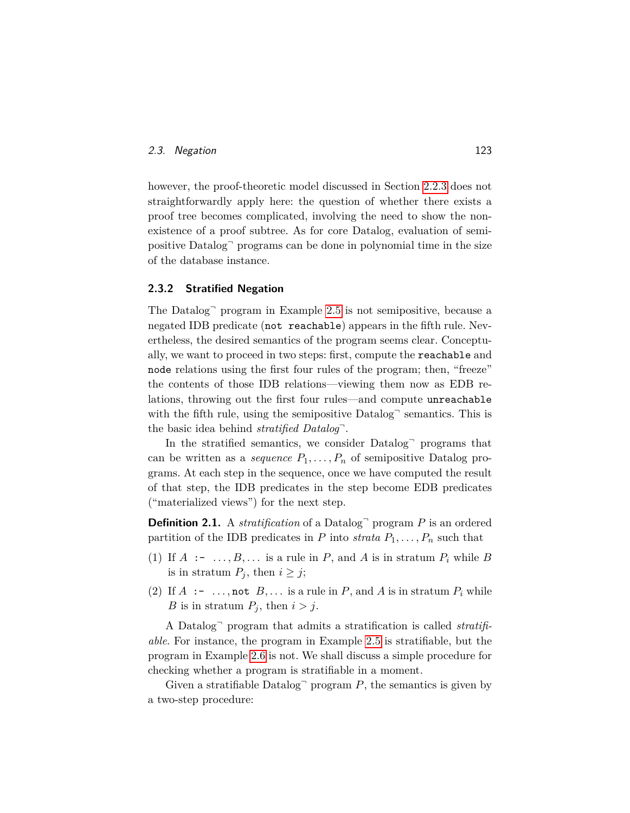however, the proof-theoretic model discussed in Section [2.2.3](#page-17-0) does not straightforwardly apply here: the question of whether there exists a proof tree becomes complicated, involving the need to show the nonexistence of a proof subtree. As for core Datalog, evaluation of semipositive Datalog<sup>¬</sup> programs can be done in polynomial time in the size of the database instance.

#### <span id="page-21-1"></span>**2.3.2 Stratified Negation**

The Datalog<sup>¬</sup> program in Example [2.5](#page-19-0) is not semipositive, because a negated IDB predicate (not reachable) appears in the fifth rule. Nevertheless, the desired semantics of the program seems clear. Conceptually, we want to proceed in two steps: first, compute the reachable and node relations using the first four rules of the program; then, "freeze" the contents of those IDB relations—viewing them now as EDB relations, throwing out the first four rules—and compute unreachable with the fifth rule, using the semipositive Datalog<sup>-</sup> semantics. This is the basic idea behind *stratified Datalog*<sup>¬</sup> .

In the stratified semantics, we consider Datalog<sup>-</sup> programs that can be written as a *sequence*  $P_1, \ldots, P_n$  of semipositive Datalog programs. At each step in the sequence, once we have computed the result of that step, the IDB predicates in the step become EDB predicates ("materialized views") for the next step.

<span id="page-21-0"></span>**Definition 2.1.** A *stratification* of a Datalog<sup>-</sup> program *P* is an ordered partition of the IDB predicates in *P* into *strata*  $P_1, \ldots, P_n$  such that

- (1) If  $A : \ldots, B, \ldots$  is a rule in  $P$ , and  $A$  is in stratum  $P_i$  while  $B$ is in stratum  $P_i$ , then  $i \geq j$ ;
- (2) If  $A : \ldots$ , not  $B, \ldots$  is a rule in  $P$ , and  $A$  is in stratum  $P_i$  while *B* is in stratum  $P_j$ , then  $i > j$ .

A Datalog<sup>¬</sup> program that admits a stratification is called *stratifiable*. For instance, the program in Example [2.5](#page-19-0) is stratifiable, but the program in Example [2.6](#page-19-1) is not. We shall discuss a simple procedure for checking whether a program is stratifiable in a moment.

Given a stratifiable Datalog<sup> $\neg$ </sup> program *P*, the semantics is given by a two-step procedure: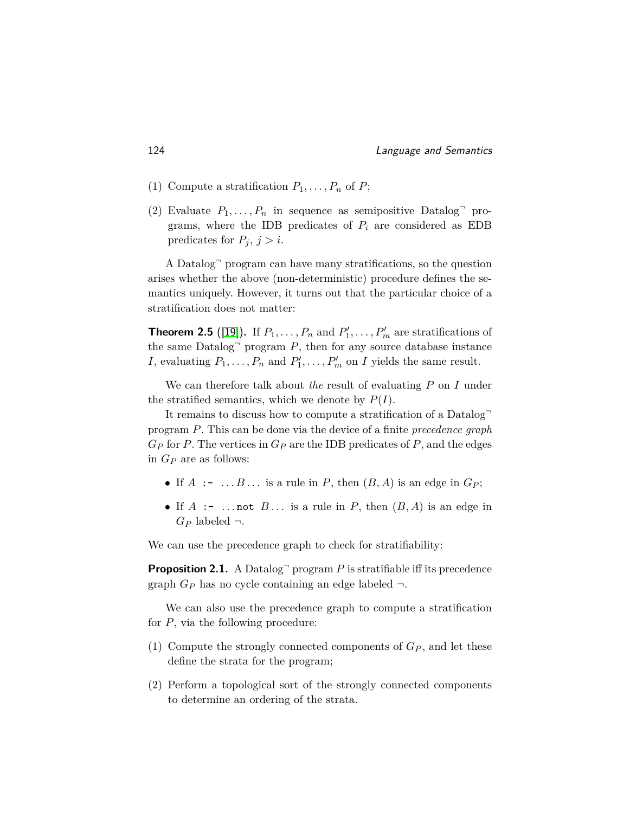- (1) Compute a stratification  $P_1, \ldots, P_n$  of  $P$ ;
- (2) Evaluate  $P_1, \ldots, P_n$  in sequence as semipositive Datalog<sup>-</sup> programs, where the IDB predicates of *P<sup>i</sup>* are considered as EDB predicates for  $P_j$ ,  $j > i$ .

A Datalog<sup>¬</sup> program can have many stratifications, so the question arises whether the above (non-deterministic) procedure defines the semantics uniquely. However, it turns out that the particular choice of a stratification does not matter:

**Theorem 2.5** ([\[19\]](#page-86-9)). If  $P_1, \ldots, P_n$  and  $P'_1, \ldots, P'_m$  are stratifications of the same Datalog $\overline{\ }$  program *P*, then for any source database instance *I*, evaluating  $P_1, \ldots, P_n$  and  $P'_1, \ldots, P'_m$  on *I* yields the same result.

We can therefore talk about *the* result of evaluating *P* on *I* under the stratified semantics, which we denote by  $P(I)$ .

It remains to discuss how to compute a stratification of a Datalog program *P*. This can be done via the device of a finite *precedence graph*  $G_P$  for *P*. The vertices in  $G_P$  are the IDB predicates of *P*, and the edges in *G<sup>P</sup>* are as follows:

- If  $A : \ldots B \ldots$  is a rule in  $P$ , then  $(B, A)$  is an edge in  $G_P$ ;
- If  $A$  :- ... not  $B$ ... is a rule in  $P$ , then  $(B, A)$  is an edge in  $G_P$  labeled  $\neg$ .

We can use the precedence graph to check for stratifiability:

**Proposition 2.1.** A Datalog<sup>-</sup> program P is stratifiable iff its precedence graph  $G_P$  has no cycle containing an edge labeled  $\neg$ .

We can also use the precedence graph to compute a stratification for *P*, via the following procedure:

- (1) Compute the strongly connected components of  $G_P$ , and let these define the strata for the program;
- (2) Perform a topological sort of the strongly connected components to determine an ordering of the strata.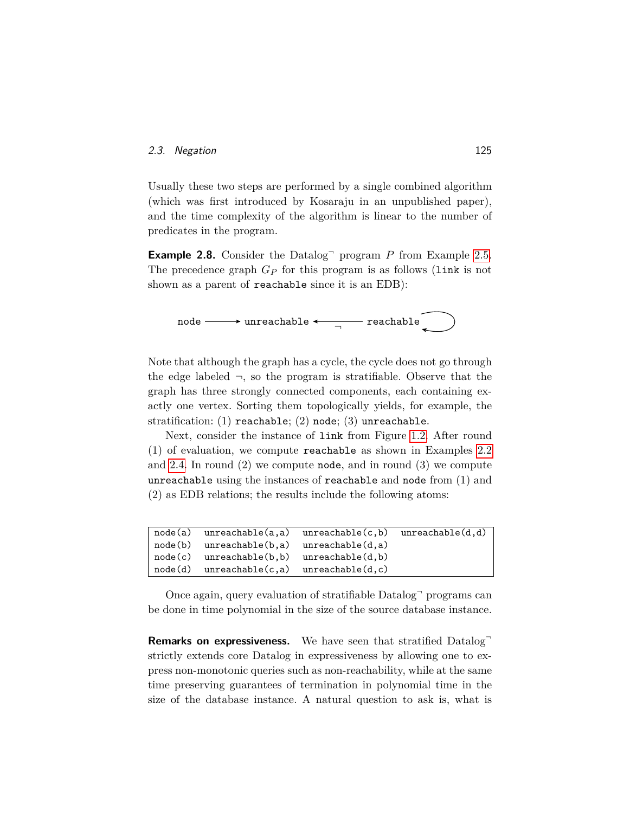Usually these two steps are performed by a single combined algorithm (which was first introduced by Kosaraju in an unpublished paper), and the time complexity of the algorithm is linear to the number of predicates in the program.

**Example 2.8.** Consider the Datalog<sup>-</sup> program *P* from Example [2.5.](#page-19-0) The precedence graph  $G_P$  for this program is as follows (link is not shown as a parent of reachable since it is an EDB):

node 
$$
\longrightarrow
$$
 unreachable  $\longleftarrow$  reachable

Note that although the graph has a cycle, the cycle does not go through the edge labeled  $\neg$ , so the program is stratifiable. Observe that the graph has three strongly connected components, each containing exactly one vertex. Sorting them topologically yields, for example, the stratification: (1) reachable; (2) node; (3) unreachable.

Next, consider the instance of link from Figure [1.2.](#page-9-0) After round (1) of evaluation, we compute reachable as shown in Examples [2.2](#page-14-0) and [2.4.](#page-16-0) In round (2) we compute node, and in round (3) we compute unreachable using the instances of reachable and node from (1) and (2) as EDB relations; the results include the following atoms:

|                                                   | $node(a)$ unreachable(a,a) unreachable(c,b) unreachable(d,d) |  |
|---------------------------------------------------|--------------------------------------------------------------|--|
| $node(b)$ unreachable $(b,a)$ unreachable $(d,a)$ |                                                              |  |
| $node(c)$ unreachable $(b,b)$ unreachable $(d,b)$ |                                                              |  |
| $node(d)$ unreachable $(c,a)$ unreachable $(d,c)$ |                                                              |  |

Once again, query evaluation of stratifiable Datalog<sup>-</sup> programs can be done in time polynomial in the size of the source database instance.

**Remarks on expressiveness.** We have seen that stratified Datalog<sup>-1</sup> strictly extends core Datalog in expressiveness by allowing one to express non-monotonic queries such as non-reachability, while at the same time preserving guarantees of termination in polynomial time in the size of the database instance. A natural question to ask is, what is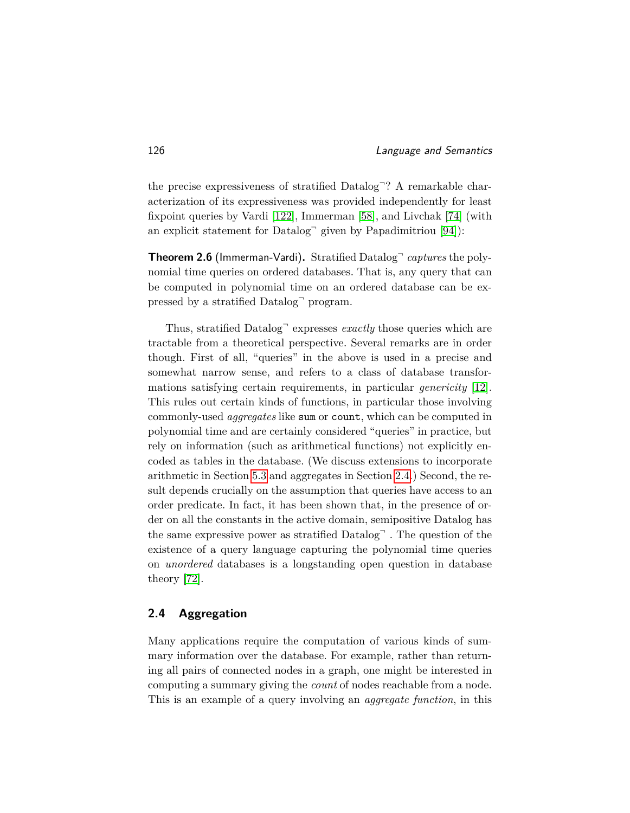the precise expressiveness of stratified Datalog<sup>-</sup>? A remarkable characterization of its expressiveness was provided independently for least fixpoint queries by Vardi [\[122\]](#page-93-2), Immerman [\[58\]](#page-88-3), and Livchak [\[74\]](#page-90-6) (with an explicit statement for Datalog<sup>-</sup> given by Papadimitriou [\[94\]](#page-91-3)):

**Theorem 2.6** (Immerman-Vardi)**.** Stratified Datalog<sup>¬</sup> *captures* the polynomial time queries on ordered databases. That is, any query that can be computed in polynomial time on an ordered database can be expressed by a stratified Datalog<sup>¬</sup> program.

Thus, stratified Datalog<sup>-</sup> expresses *exactly* those queries which are tractable from a theoretical perspective. Several remarks are in order though. First of all, "queries" in the above is used in a precise and somewhat narrow sense, and refers to a class of database transformations satisfying certain requirements, in particular *genericity* [\[12\]](#page-85-5). This rules out certain kinds of functions, in particular those involving commonly-used *aggregates* like sum or count, which can be computed in polynomial time and are certainly considered "queries" in practice, but rely on information (such as arithmetical functions) not explicitly encoded as tables in the database. (We discuss extensions to incorporate arithmetic in Section [5.3](#page-59-0) and aggregates in Section [2.4.](#page-24-0)) Second, the result depends crucially on the assumption that queries have access to an order predicate. In fact, it has been shown that, in the presence of order on all the constants in the active domain, semipositive Datalog has the same expressive power as stratified Datalog<sup>-</sup>. The question of the existence of a query language capturing the polynomial time queries on *unordered* databases is a longstanding open question in database theory [\[72\]](#page-89-5).

# <span id="page-24-0"></span>**2.4 Aggregation**

Many applications require the computation of various kinds of summary information over the database. For example, rather than returning all pairs of connected nodes in a graph, one might be interested in computing a summary giving the *count* of nodes reachable from a node. This is an example of a query involving an *aggregate function*, in this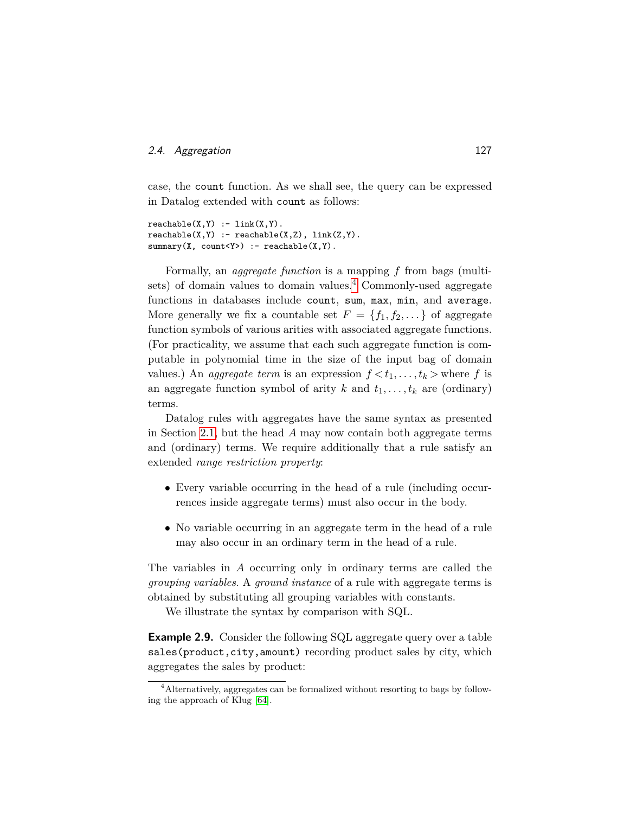case, the count function. As we shall see, the query can be expressed in Datalog extended with count as follows:

```
reachable(X, Y) :- link(X, Y).
reachable(X, Y) :- reachable(X, Z), link(Z, Y).summary(X, count<Y>) :- reachable(X, Y).
```
Formally, an *aggregate function* is a mapping *f* from bags (multi-sets) of domain values to domain values.<sup>[4](#page-25-0)</sup> Commonly-used aggregate functions in databases include count, sum, max, min, and average. More generally we fix a countable set  $F = \{f_1, f_2, \dots\}$  of aggregate function symbols of various arities with associated aggregate functions. (For practicality, we assume that each such aggregate function is computable in polynomial time in the size of the input bag of domain values.) An *aggregate term* is an expression  $f < t_1, \ldots, t_k$  where f is an aggregate function symbol of arity  $k$  and  $t_1, \ldots, t_k$  are (ordinary) terms.

Datalog rules with aggregates have the same syntax as presented in Section [2.1,](#page-11-1) but the head *A* may now contain both aggregate terms and (ordinary) terms. We require additionally that a rule satisfy an extended *range restriction property*:

- Every variable occurring in the head of a rule (including occurrences inside aggregate terms) must also occur in the body.
- No variable occurring in an aggregate term in the head of a rule may also occur in an ordinary term in the head of a rule.

The variables in *A* occurring only in ordinary terms are called the *grouping variables*. A *ground instance* of a rule with aggregate terms is obtained by substituting all grouping variables with constants.

We illustrate the syntax by comparison with SQL.

**Example 2.9.** Consider the following SQL aggregate query over a table sales (product,city,amount) recording product sales by city, which aggregates the sales by product:

<span id="page-25-0"></span><sup>4</sup>Alternatively, aggregates can be formalized without resorting to bags by following the approach of Klug [\[64\]](#page-89-6).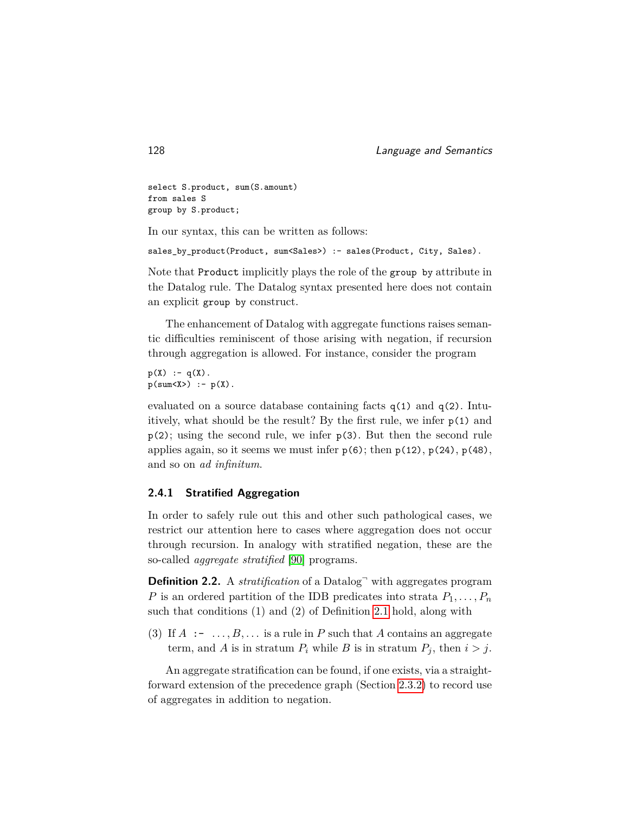```
select S.product, sum(S.amount)
from sales S
group by S.product;
```
In our syntax, this can be written as follows:

sales\_by\_product(Product, sum<Sales>) :- sales(Product, City, Sales).

Note that Product implicitly plays the role of the group by attribute in the Datalog rule. The Datalog syntax presented here does not contain an explicit group by construct.

The enhancement of Datalog with aggregate functions raises semantic difficulties reminiscent of those arising with negation, if recursion through aggregation is allowed. For instance, consider the program

```
p(X) := q(X).
p(sum < X >) :- p(X).
```
evaluated on a source database containing facts  $q(1)$  and  $q(2)$ . Intuitively, what should be the result? By the first rule, we infer  $p(1)$  and  $p(2)$ ; using the second rule, we infer  $p(3)$ . But then the second rule applies again, so it seems we must infer  $p(6)$ ; then  $p(12)$ ,  $p(24)$ ,  $p(48)$ , and so on *ad infinitum*.

## **2.4.1 Stratified Aggregation**

In order to safely rule out this and other such pathological cases, we restrict our attention here to cases where aggregation does not occur through recursion. In analogy with stratified negation, these are the so-called *aggregate stratified* [\[90\]](#page-91-4) programs.

**Definition 2.2.** A *stratification* of a Datalog<sup>-</sup> with aggregates program *P* is an ordered partition of the IDB predicates into strata  $P_1, \ldots, P_n$ such that conditions (1) and (2) of Definition [2.1](#page-21-0) hold, along with

(3) If  $A : -, B, \ldots$  is a rule in  $P$  such that  $A$  contains an aggregate term, and *A* is in stratum  $P_i$  while *B* is in stratum  $P_j$ , then  $i > j$ .

An aggregate stratification can be found, if one exists, via a straightforward extension of the precedence graph (Section [2.3.2\)](#page-21-1) to record use of aggregates in addition to negation.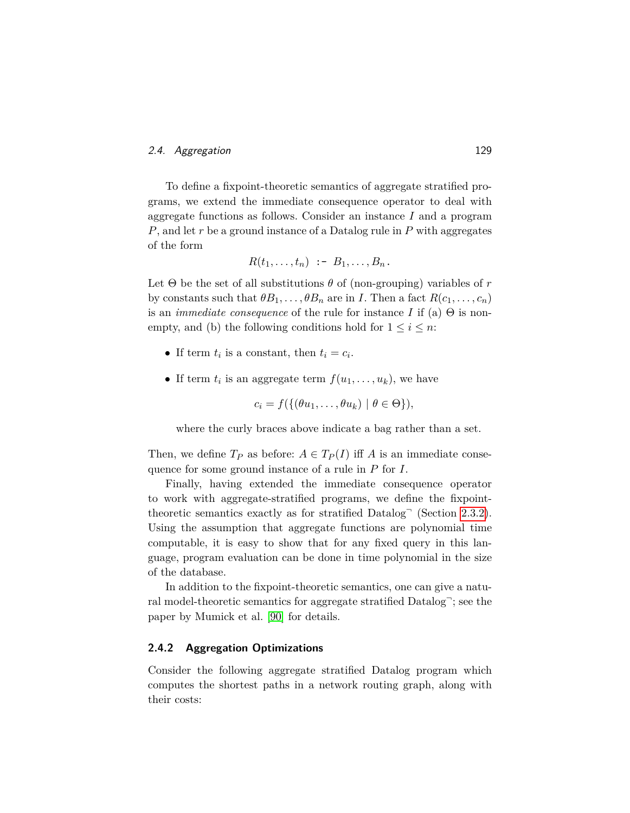## 2.4. Aggregation 129

To define a fixpoint-theoretic semantics of aggregate stratified programs, we extend the immediate consequence operator to deal with aggregate functions as follows. Consider an instance *I* and a program *P*, and let *r* be a ground instance of a Datalog rule in *P* with aggregates of the form

$$
R(t_1,\ldots,t_n) \; : \; B_1,\ldots,B_n \, .
$$

Let  $\Theta$  be the set of all substitutions  $\theta$  of (non-grouping) variables of *r* by constants such that  $\theta B_1, \ldots, \theta B_n$  are in *I*. Then a fact  $R(c_1, \ldots, c_n)$ is an *immediate consequence* of the rule for instance *I* if (a) Θ is nonempty, and (b) the following conditions hold for  $1 \leq i \leq n$ :

- If term  $t_i$  is a constant, then  $t_i = c_i$ .
- If term  $t_i$  is an aggregate term  $f(u_1, \ldots, u_k)$ , we have

$$
c_i = f(\{(\theta u_1, \ldots, \theta u_k) \mid \theta \in \Theta\}),
$$

where the curly braces above indicate a bag rather than a set.

Then, we define  $T_P$  as before:  $A \in T_P(I)$  iff *A* is an immediate consequence for some ground instance of a rule in *P* for *I*.

Finally, having extended the immediate consequence operator to work with aggregate-stratified programs, we define the fixpoint-theoretic semantics exactly as for stratified Datalog<sup>-</sup> (Section [2.3.2\)](#page-21-1). Using the assumption that aggregate functions are polynomial time computable, it is easy to show that for any fixed query in this language, program evaluation can be done in time polynomial in the size of the database.

In addition to the fixpoint-theoretic semantics, one can give a natural model-theoretic semantics for aggregate stratified Datalog<sup>-</sup>; see the paper by Mumick et al. [\[90\]](#page-91-4) for details.

#### **2.4.2 Aggregation Optimizations**

Consider the following aggregate stratified Datalog program which computes the shortest paths in a network routing graph, along with their costs: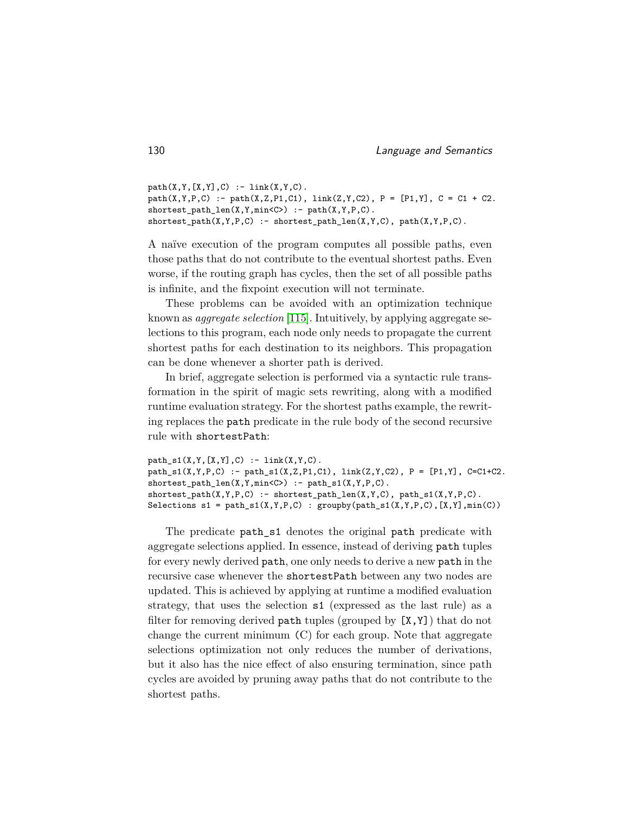```
path(X,Y,[X,Y],C) := link(X,Y,C).
path(X,Y,P,C) :- path(X,Z,P1,C1), link(Z,Y,C2), P = [P1,Y], C = C1 + C2.
shortest\_path\_len(X, Y, min < c) :- path(X, Y, P, C).
shortest_path(X,Y,P,C) :- shortest-path\_len(X,Y,C), path(X,Y,P,C).
```
A naïve execution of the program computes all possible paths, even those paths that do not contribute to the eventual shortest paths. Even worse, if the routing graph has cycles, then the set of all possible paths is infinite, and the fixpoint execution will not terminate.

These problems can be avoided with an optimization technique known as *aggregate selection* [\[115\]](#page-93-3). Intuitively, by applying aggregate selections to this program, each node only needs to propagate the current shortest paths for each destination to its neighbors. This propagation can be done whenever a shorter path is derived.

In brief, aggregate selection is performed via a syntactic rule transformation in the spirit of magic sets rewriting, along with a modified runtime evaluation strategy. For the shortest paths example, the rewriting replaces the path predicate in the rule body of the second recursive rule with shortestPath:

```
path_s1(X,Y,[X,Y],C) :- link(X,Y,C).
path_s1(X,Y,P,C) :- path_s1(X,Z,P1,C1), link(Z,Y,C2), P = [P1,Y], C=C1+C2.shortest_path_len(X,Y,min<C>) :- path_s1(X,Y,P,C).
shortest_path(X,Y,P,C) :- shortest_path_len(X,Y,C), path_s1(X,Y,P,C).
Selections s1 = path_s1(X,Y,P,C) : groupby(path_s1(X,Y,P,C),[X,Y],min(C))
```
The predicate path\_s1 denotes the original path predicate with aggregate selections applied. In essence, instead of deriving path tuples for every newly derived path, one only needs to derive a new path in the recursive case whenever the shortestPath between any two nodes are updated. This is achieved by applying at runtime a modified evaluation strategy, that uses the selection s1 (expressed as the last rule) as a filter for removing derived path tuples (grouped by  $[X, Y]$ ) that do not change the current minimum (C) for each group. Note that aggregate selections optimization not only reduces the number of derivations, but it also has the nice effect of also ensuring termination, since path cycles are avoided by pruning away paths that do not contribute to the shortest paths.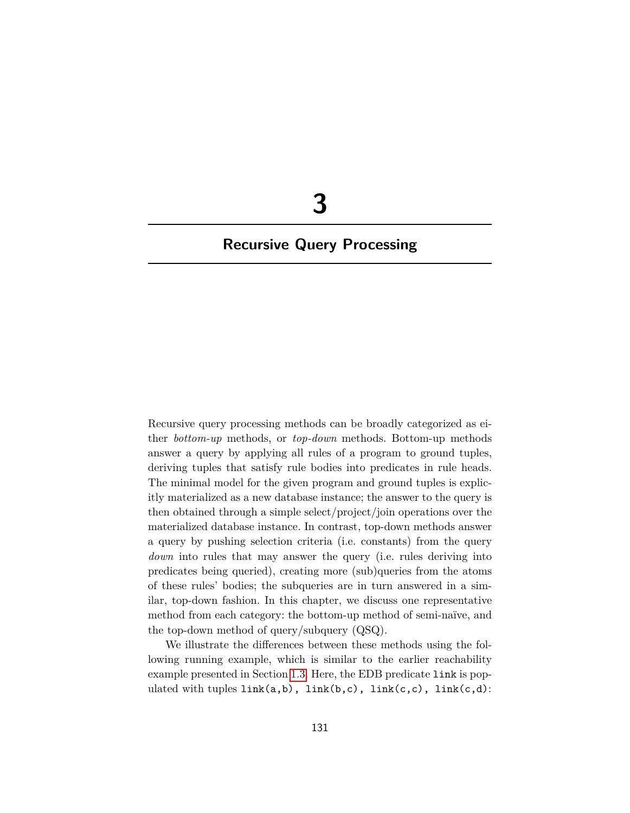# **3**

# <span id="page-29-0"></span>**Recursive Query Processing**

Recursive query processing methods can be broadly categorized as either *bottom-up* methods, or *top-down* methods. Bottom-up methods answer a query by applying all rules of a program to ground tuples, deriving tuples that satisfy rule bodies into predicates in rule heads. The minimal model for the given program and ground tuples is explicitly materialized as a new database instance; the answer to the query is then obtained through a simple select/project/join operations over the materialized database instance. In contrast, top-down methods answer a query by pushing selection criteria (i.e. constants) from the query *down* into rules that may answer the query (i.e. rules deriving into predicates being queried), creating more (sub)queries from the atoms of these rules' bodies; the subqueries are in turn answered in a similar, top-down fashion. In this chapter, we discuss one representative method from each category: the bottom-up method of semi-naïve, and the top-down method of query/subquery (QSQ).

We illustrate the differences between these methods using the following running example, which is similar to the earlier reachability example presented in Section [1.3.](#page-8-0) Here, the EDB predicate link is populated with tuples link(a,b), link(b,c), link(c,c), link(c,d):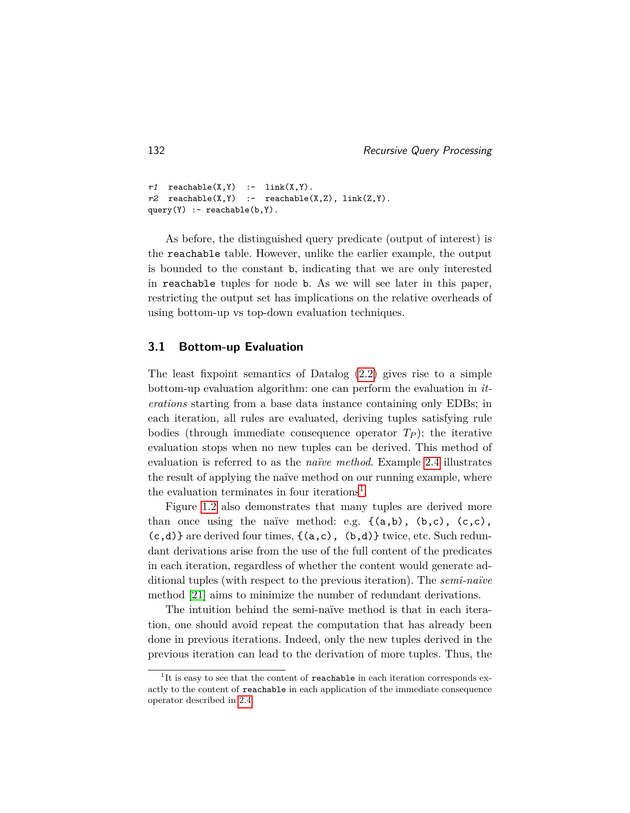```
r1 reachable(X,Y) :- link(X,Y).
r2 reachable(X,Y) :- reachable(X,Z), link(Z,Y).
query(Y) :- reachable(b, Y).
```
As before, the distinguished query predicate (output of interest) is the reachable table. However, unlike the earlier example, the output is bounded to the constant b, indicating that we are only interested in reachable tuples for node b. As we will see later in this paper, restricting the output set has implications on the relative overheads of using bottom-up vs top-down evaluation techniques.

# <span id="page-30-0"></span>**3.1 Bottom-up Evaluation**

The least fixpoint semantics of Datalog [\(2.2\)](#page-13-0) gives rise to a simple bottom-up evaluation algorithm: one can perform the evaluation in *iterations* starting from a base data instance containing only EDBs; in each iteration, all rules are evaluated, deriving tuples satisfying rule bodies (through immediate consequence operator  $T_P$ ); the iterative evaluation stops when no new tuples can be derived. This method of evaluation is referred to as the *naïve method*. Example [2.4](#page-16-0) illustrates the result of applying the naïve method on our running example, where the evaluation terminates in four iterations<sup>[1](#page-30-1)</sup>.

Figure [1.2](#page-9-0) also demonstrates that many tuples are derived more than once using the naïve method: e.g.  $\{(a,b), (b,c), (c,c),\}$  $(c,d)$  are derived four times,  $\{(a,c), (b,d)\}\$ twice, etc. Such redundant derivations arise from the use of the full content of the predicates in each iteration, regardless of whether the content would generate additional tuples (with respect to the previous iteration). The *semi-naïve* method [\[21\]](#page-86-6) aims to minimize the number of redundant derivations.

The intuition behind the semi-naïve method is that in each iteration, one should avoid repeat the computation that has already been done in previous iterations. Indeed, only the new tuples derived in the previous iteration can lead to the derivation of more tuples. Thus, the

<span id="page-30-1"></span><sup>&</sup>lt;sup>1</sup>It is easy to see that the content of **reachable** in each iteration corresponds exactly to the content of reachable in each application of the immediate consequence operator described in [2.4.](#page-16-0)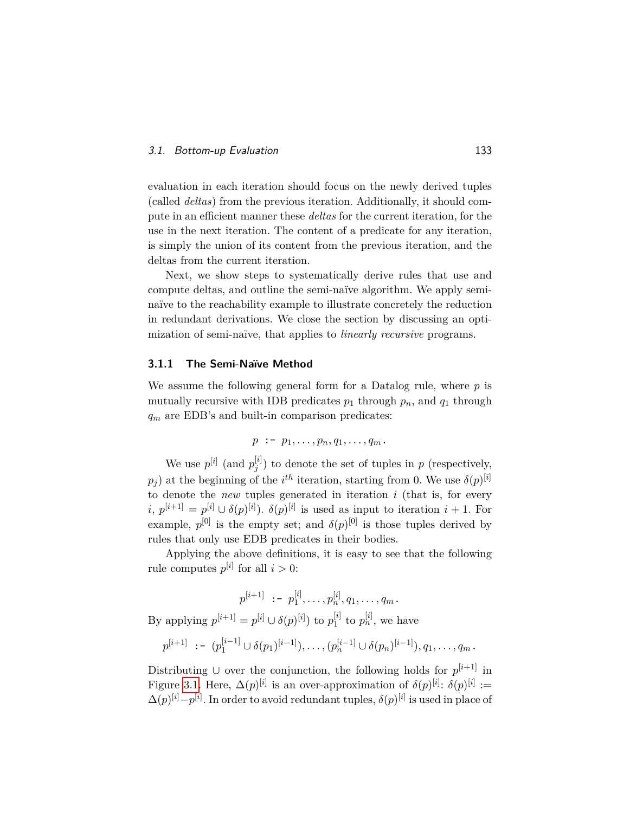evaluation in each iteration should focus on the newly derived tuples (called *deltas*) from the previous iteration. Additionally, it should compute in an efficient manner these *deltas* for the current iteration, for the use in the next iteration. The content of a predicate for any iteration, is simply the union of its content from the previous iteration, and the deltas from the current iteration.

Next, we show steps to systematically derive rules that use and compute deltas, and outline the semi-naïve algorithm. We apply seminaïve to the reachability example to illustrate concretely the reduction in redundant derivations. We close the section by discussing an optimization of semi-naïve, that applies to *linearly recursive* programs.

#### <span id="page-31-0"></span>**3.1.1 The Semi-Naïve Method**

We assume the following general form for a Datalog rule, where *p* is mutually recursive with IDB predicates  $p_1$  through  $p_n$ , and  $q_1$  through *q<sup>m</sup>* are EDB's and built-in comparison predicates:

$$
p \; : \; p_1, \ldots, p_n, q_1, \ldots, q_m.
$$

We use  $p^{[i]}$  (and  $p_i^{[i]}$  $j^{[l]}_j$  to denote the set of tuples in *p* (respectively,  $p_j$ ) at the beginning of the *i*<sup>th</sup> iteration, starting from 0. We use  $\delta(p)^{[i]}$ to denote the *new* tuples generated in iteration *i* (that is, for every  $i, p^{[i+1]} = p^{[i]} \cup \delta(p)^{[i]}$ ).  $\delta(p)^{[i]}$  is used as input to iteration  $i + 1$ . For example,  $p^{[0]}$  is the empty set; and  $\delta(p)^{[0]}$  is those tuples derived by rules that only use EDB predicates in their bodies.

Applying the above definitions, it is easy to see that the following rule computes  $p^{[i]}$  for all  $i > 0$ :

$$
p^{[i+1]} \; : \; - p^{[i]}_1, \ldots, p^{[i]}_n, q_1, \ldots, q_m \, .
$$

By applying  $p^{[i+1]} = p^{[i]} \cup \delta(p)^{[i]}$  to  $p_1^{[i]}$  $\mathbf{p}_1^{[i]}$  to  $p_n^{[i]}$ , we have

$$
p^{[i+1]} \; : \; (p_1^{[i-1]} \cup \delta(p_1)^{[i-1]}), \ldots, (p_n^{[i-1]} \cup \delta(p_n)^{[i-1]}), q_1, \ldots, q_m.
$$

Distributing  $\cup$  over the conjunction, the following holds for  $p^{[i+1]}$  in Figure [3.1.](#page-32-0) Here,  $\Delta(p)^{[i]}$  is an over-approximation of  $\delta(p)^{[i]}$ :  $\delta(p)^{[i]}$  :=  $\Delta(p)^{[i]}-p^{[i]}$ . In order to avoid redundant tuples,  $\delta(p)^{[i]}$  is used in place of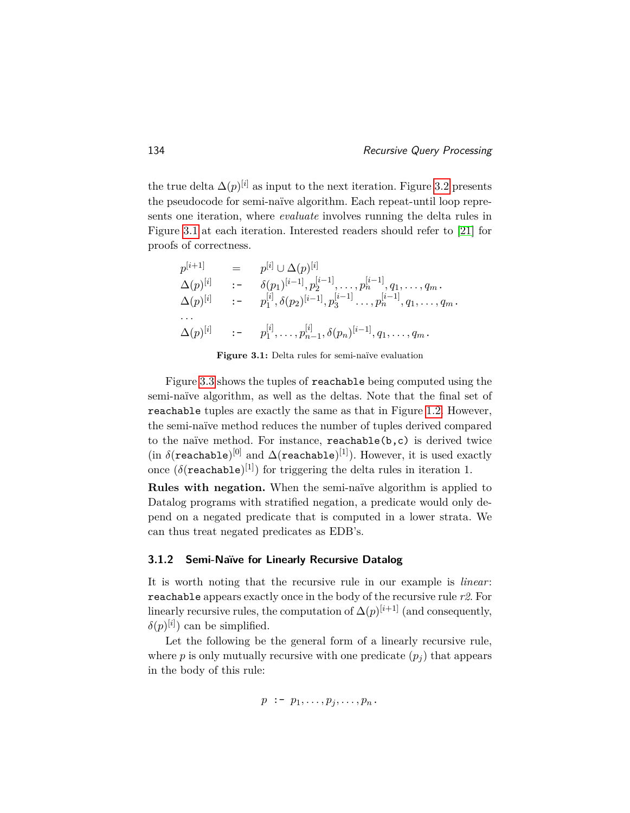the true delta  $\Delta(p)^{[i]}$  as input to the next iteration. Figure [3.2](#page-33-1) presents the pseudocode for semi-naïve algorithm. Each repeat-until loop represents one iteration, where *evaluate* involves running the delta rules in Figure [3.1](#page-32-0) at each iteration. Interested readers should refer to [\[21\]](#page-86-6) for proofs of correctness.

<span id="page-32-0"></span>
$$
p^{[i+1]} = p^{[i]} \cup \Delta(p)^{[i]}
$$
  
\n
$$
\Delta(p)^{[i]} := \delta(p_1)^{[i-1]}, p_2^{[i-1]}, \dots, p_n^{[i-1]}, q_1, \dots, q_m.
$$
  
\n
$$
\Delta(p)^{[i]} := p_1^{[i]}, \delta(p_2)^{[i-1]}, p_3^{[i-1]} \dots, p_n^{[i-1]}, q_1, \dots, q_m.
$$
  
\n
$$
\Delta(p)^{[i]} := p_1^{[i]}, \dots, p_{n-1}^{[i]}, \delta(p_n)^{[i-1]}, q_1, \dots, q_m.
$$

**Figure 3.1:** Delta rules for semi-naïve evaluation

Figure [3.3](#page-34-0) shows the tuples of reachable being computed using the semi-naïve algorithm, as well as the deltas. Note that the final set of reachable tuples are exactly the same as that in Figure [1.2.](#page-9-0) However, the semi-naïve method reduces the number of tuples derived compared to the naïve method. For instance, reachable(b,c) is derived twice (in  $\delta$ (reachable)<sup>[0]</sup> and  $\Delta$ (reachable)<sup>[1]</sup>). However, it is used exactly once  $(\delta(\texttt{reachable})^{[1]})$  for triggering the delta rules in iteration 1.

**Rules with negation.** When the semi-naïve algorithm is applied to Datalog programs with stratified negation, a predicate would only depend on a negated predicate that is computed in a lower strata. We can thus treat negated predicates as EDB's.

#### **3.1.2 Semi-Naïve for Linearly Recursive Datalog**

It is worth noting that the recursive rule in our example is *linear*: reachable appears exactly once in the body of the recursive rule *r2*. For linearly recursive rules, the computation of  $\Delta(p)^{[i+1]}$  (and consequently,  $\delta(p)^{[i]}$  can be simplified.

Let the following be the general form of a linearly recursive rule, where  $p$  is only mutually recursive with one predicate  $(p_j)$  that appears in the body of this rule:

$$
p \; : \; -p_1, \ldots, p_j, \ldots, p_n \, .
$$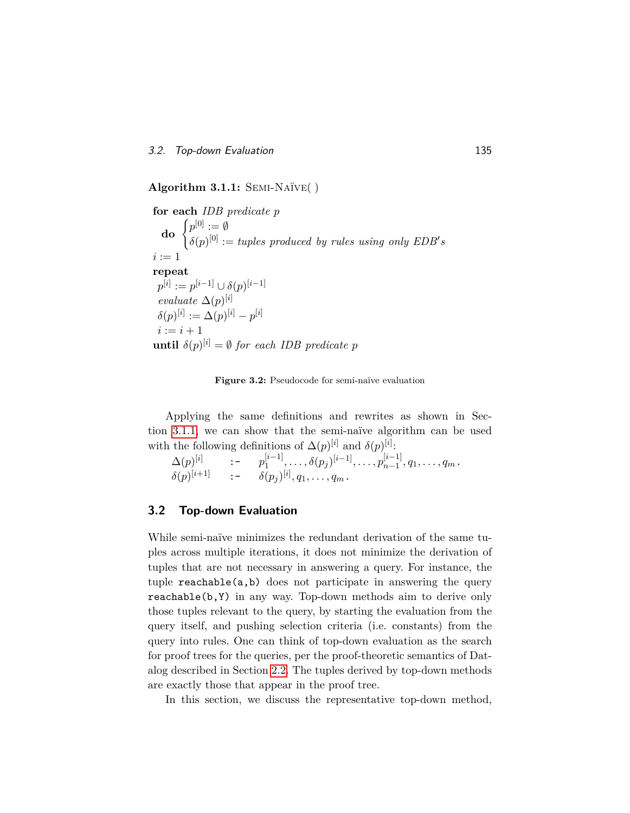<span id="page-33-1"></span>**Algorithm 3.1.1:** Semi-Naïve( )

**for each** *IDB predicate p*  $\mathbf{d}\mathbf{o} \begin{cases} p^{[0]} := \emptyset \\ \frac{\mathsf{S}(\mathsf{O}) \setminus [0]}{n} \end{cases}$  $\delta(p)^{[0]} := \text{tuples produced by rules using only EDB's}$  $i := 1$ **repeat**  $p^{[i]} := p^{[i-1]} \cup \delta(p)^{[i-1]}$  $\alpha$ *evaluate*  $\Delta(p)^{[i]}$  $\delta(p)^{[i]}:=\Delta(p)^{[i]}-p^{[i]}$  $i := i + 1$ **until**  $\delta(p)^{[i]} = \emptyset$  *for each IDB predicate p* 

**Figure 3.2:** Pseudocode for semi-naïve evaluation

Applying the same definitions and rewrites as shown in Section [3.1.1,](#page-31-0) we can show that the semi-naïve algorithm can be used with the following definitions of  $\Delta(p)^{[i]}$  and  $\delta(p)^{[i]}$ :

 $\Delta(p)^{[i]}$  :-  $p_1^{[i-1]}$  $\{i-1 \atop 1}, \ldots, \delta(p_j)^{[i-1]}, \ldots, p_{n-1}^{[i-1]}$  $q_1^{[i-1]}$ ,  $q_1, \ldots, q_m$ .  $\delta(p)^{[i+1]}$  :-  $\delta(p_j)^{[i]}, q_1, \ldots, q_m$ .

## <span id="page-33-0"></span>**3.2 Top-down Evaluation**

While semi-naïve minimizes the redundant derivation of the same tuples across multiple iterations, it does not minimize the derivation of tuples that are not necessary in answering a query. For instance, the tuple reachable(a,b) does not participate in answering the query reachable(b,Y) in any way. Top-down methods aim to derive only those tuples relevant to the query, by starting the evaluation from the query itself, and pushing selection criteria (i.e. constants) from the query into rules. One can think of top-down evaluation as the search for proof trees for the queries, per the proof-theoretic semantics of Datalog described in Section [2.2.](#page-13-0) The tuples derived by top-down methods are exactly those that appear in the proof tree.

In this section, we discuss the representative top-down method,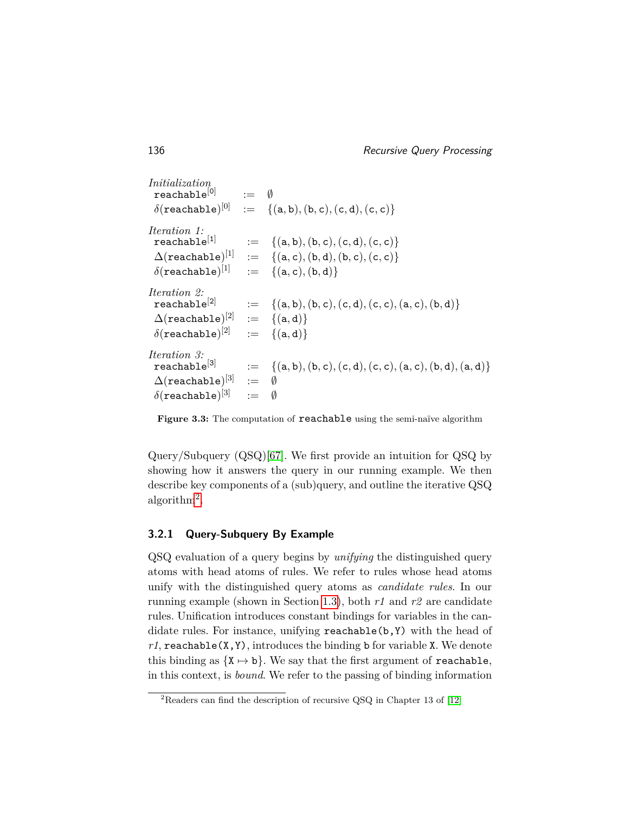```
Initialization
 reachable<sup>[0]</sup>
                           := ∅
 \delta(reachable)<sup>[0]</sup>
                           := \{(a, b), (b, c), (c, d), (c, c)\}Iteration 1:
 \mathtt{reachable}^{[1]}:= {(a, b),(b, c),(c, d),(c, c)}
 \Delta(reachable)<sup>[1]</sup>
                            := \{(a, c), (b, d), (b, c), (c, c)\}\delta(reachable)<sup>[1]</sup>
                            := \{(a, c), (b, d)\}\Iteration 2:
 \texttt{reachable}^{[2]}:= \{(a, b), (b, c), (c, d), (c, c), (a, c), (b, d)\}\Delta(reachable)<sup>[2]</sup>
                            := \{(a, d)\}\\delta(reachable)<sup>[2]</sup>
                            := \{(a, d)\}\Iteration 3:
 reachable[3]
                            := \{(a, b), (b, c), (c, d), (c, c), (a, c), (b, d), (a, d)\}\Delta(reachable)<sup>[3]</sup>
                            := \emptyset\delta(reachable)<sup>[3]</sup>
                            := \emptyset
```
Figure 3.3: The computation of reachable using the semi-naïve algorithm

Query/Subquery (QSQ)[\[67\]](#page-89-4). We first provide an intuition for QSQ by showing how it answers the query in our running example. We then describe key components of a (sub)query, and outline the iterative QSQ algorithm[2](#page-34-1) .

## **3.2.1 Query-Subquery By Example**

QSQ evaluation of a query begins by *unifying* the distinguished query atoms with head atoms of rules. We refer to rules whose head atoms unify with the distinguished query atoms as *candidate rules*. In our running example (shown in Section [1.3\)](#page-8-0), both *r1* and *r2* are candidate rules. Unification introduces constant bindings for variables in the candidate rules. For instance, unifying **reachable**(b, Y) with the head of  $r1$ , reachable(X,Y), introduces the binding b for variable X. We denote this binding as  $\{X \mapsto b\}$ . We say that the first argument of reachable, in this context, is *bound*. We refer to the passing of binding information

<span id="page-34-1"></span><sup>&</sup>lt;sup>2</sup>Readers can find the description of recursive QSQ in Chapter 13 of [\[12\]](#page-85-5)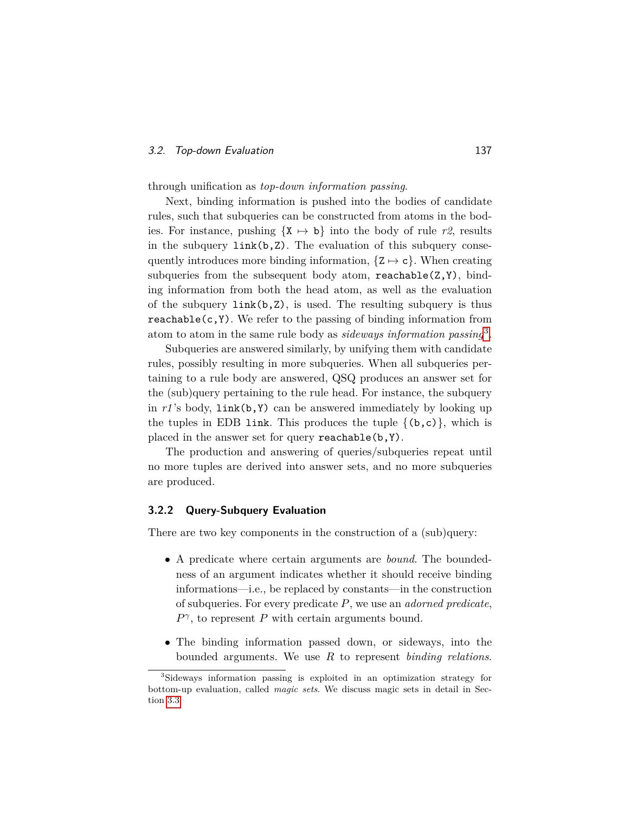## 3.2. Top-down Evaluation 137

through unification as *top-down information passing*.

Next, binding information is pushed into the bodies of candidate rules, such that subqueries can be constructed from atoms in the bodies. For instance, pushing  $\{X \mapsto b\}$  into the body of rule r2, results in the subquery  $link(b, Z)$ . The evaluation of this subquery consequently introduces more binding information,  $\{Z \mapsto c\}$ . When creating subqueries from the subsequent body atom,  $reachable(Z,Y)$ , binding information from both the head atom, as well as the evaluation of the subquery  $link(b, Z)$ , is used. The resulting subquery is thus  $\texttt{reachable}(c, Y)$ . We refer to the passing of binding information from atom to atom in the same rule body as *sideways information passing*[3](#page-35-0) .

Subqueries are answered similarly, by unifying them with candidate rules, possibly resulting in more subqueries. When all subqueries pertaining to a rule body are answered, QSQ produces an answer set for the (sub)query pertaining to the rule head. For instance, the subquery in  $r1$ 's body,  $\text{link}(b, Y)$  can be answered immediately by looking up the tuples in EDB link. This produces the tuple  $\{(\mathfrak{b}, \mathfrak{c})\}$ , which is placed in the answer set for query reachable(b,Y).

The production and answering of queries/subqueries repeat until no more tuples are derived into answer sets, and no more subqueries are produced.

#### **3.2.2 Query-Subquery Evaluation**

There are two key components in the construction of a (sub)query:

- A predicate where certain arguments are *bound*. The boundedness of an argument indicates whether it should receive binding informations—i.e., be replaced by constants—in the construction of subqueries. For every predicate *P*, we use an *adorned predicate*,  $P^{\gamma}$ , to represent *P* with certain arguments bound.
- The binding information passed down, or sideways, into the bounded arguments. We use *R* to represent *binding relations*.

<span id="page-35-0"></span><sup>&</sup>lt;sup>3</sup>Sideways information passing is exploited in an optimization strategy for bottom-up evaluation, called *magic sets*. We discuss magic sets in detail in Section [3.3.](#page-39-0)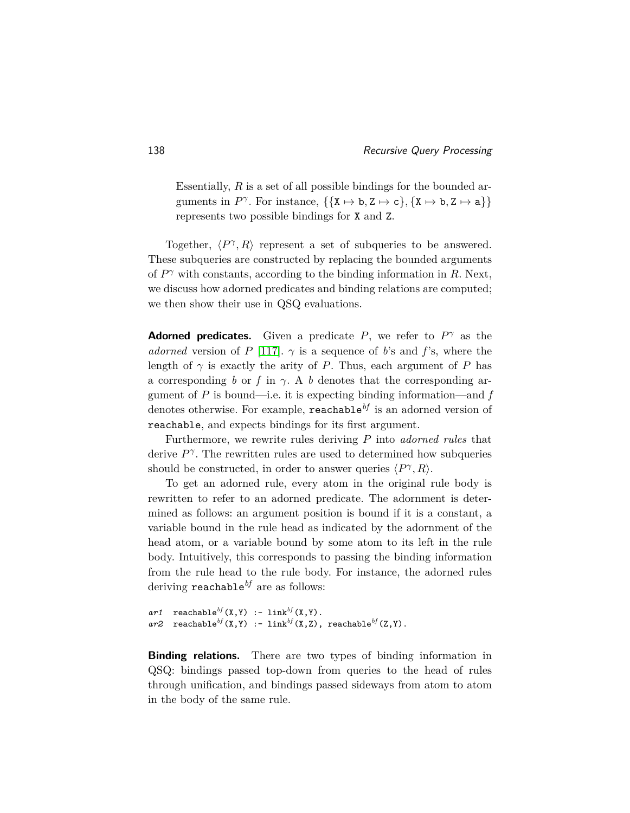Essentially, *R* is a set of all possible bindings for the bounded arguments in  $P^{\gamma}$ . For instance,  $\{\{X \mapsto b, Z \mapsto c\}, \{X \mapsto b, Z \mapsto a\}\}\$ represents two possible bindings for X and Z.

Together,  $\langle P^{\gamma}, R \rangle$  represent a set of subqueries to be answered. These subqueries are constructed by replacing the bounded arguments of  $P^{\gamma}$  with constants, according to the binding information in  $R$ . Next, we discuss how adorned predicates and binding relations are computed; we then show their use in QSQ evaluations.

**Adorned predicates.** Given a predicate  $P$ , we refer to  $P^{\gamma}$  as the *adorned* version of *P* [\[117\]](#page-93-0).  $\gamma$  is a sequence of *b*'s and *f*'s, where the length of  $\gamma$  is exactly the arity of *P*. Thus, each argument of *P* has a corresponding *b* or *f* in  $\gamma$ . A *b* denotes that the corresponding argument of *P* is bound—i.e. it is expecting binding information—and *f* denotes otherwise. For example, reachable*bf* is an adorned version of reachable, and expects bindings for its first argument.

Furthermore, we rewrite rules deriving *P* into *adorned rules* that derive  $P^{\gamma}$ . The rewritten rules are used to determined how subqueries should be constructed, in order to answer queries  $\langle P^{\gamma}, R \rangle$ .

To get an adorned rule, every atom in the original rule body is rewritten to refer to an adorned predicate. The adornment is determined as follows: an argument position is bound if it is a constant, a variable bound in the rule head as indicated by the adornment of the head atom, or a variable bound by some atom to its left in the rule body. Intuitively, this corresponds to passing the binding information from the rule head to the rule body. For instance, the adorned rules deriving reachable*bf* are as follows:

```
ar1 reachable<sup>bf</sup> (X, Y) :- link<sup>bf</sup> (X, Y).
ar2 reachablebf (X,Y) :- linkbf (X,Z), reachablebf (Z,Y).
```
**Binding relations.** There are two types of binding information in QSQ: bindings passed top-down from queries to the head of rules through unification, and bindings passed sideways from atom to atom in the body of the same rule.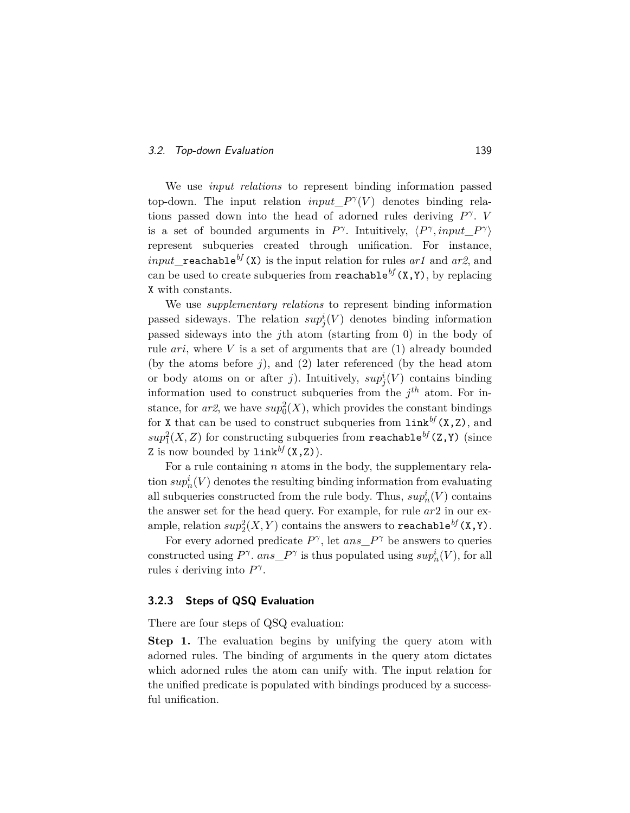# 3.2. Top-down Evaluation 139

We use *input relations* to represent binding information passed top-down. The input relation  $input\_P^{\gamma}(V)$  denotes binding relations passed down into the head of adorned rules deriving  $P^{\gamma}$ . *V* is a set of bounded arguments in *P*<sup> $\gamma$ </sup>. Intuitively,  $\langle P^{\gamma}, input_P^{\gamma} \rangle$ represent subqueries created through unification. For instance, *input* reachable<sup>bf</sup> (X) is the input relation for rules *ar1* and *ar2*, and can be used to create subqueries from **reachable**<sup>*bf*</sup>  $(X, Y)$ , by replacing X with constants.

We use *supplementary relations* to represent binding information passed sideways. The relation  $\sup_j^i(V)$  denotes binding information passed sideways into the *j*th atom (starting from 0) in the body of rule *ari*, where *V* is a set of arguments that are (1) already bounded (by the atoms before *j*), and (2) later referenced (by the head atom or body atoms on or after *j*). Intuitively,  $sup_j^i(V)$  contains binding information used to construct subqueries from the *j th* atom. For instance, for  $ar2$ , we have  $sup_0^2(X)$ , which provides the constant bindings for X that can be used to construct subqueries from  $\text{link}^{bf}$  (X, Z), and  $sup_1^2(X, Z)$  for constructing subqueries from **reachable**<sup>bf</sup> (Z,Y) (since Z is now bounded by  $\text{link}^{bf}$  (X, Z)).

For a rule containing *n* atoms in the body, the supplementary relation  $sup_n^i(V)$  denotes the resulting binding information from evaluating all subqueries constructed from the rule body. Thus,  $sup_n^i(V)$  contains the answer set for the head query. For example, for rule *ar*2 in our example, relation  $sup_2^2(X,Y)$  contains the answers to  $\mathtt{reachable}^{\mathit{bf}}(\mathtt{X},\mathtt{Y}).$ 

For every adorned predicate  $P^{\gamma}$ , let  $ans\_P^{\gamma}$  be answers to queries constructed using  $P^{\gamma}$ .  $ans\_P^{\gamma}$  is thus populated using  $sup_n^i(V)$ , for all rules *i* deriving into  $P^{\gamma}$ .

## **3.2.3 Steps of QSQ Evaluation**

There are four steps of QSQ evaluation:

**Step 1.** The evaluation begins by unifying the query atom with adorned rules. The binding of arguments in the query atom dictates which adorned rules the atom can unify with. The input relation for the unified predicate is populated with bindings produced by a successful unification.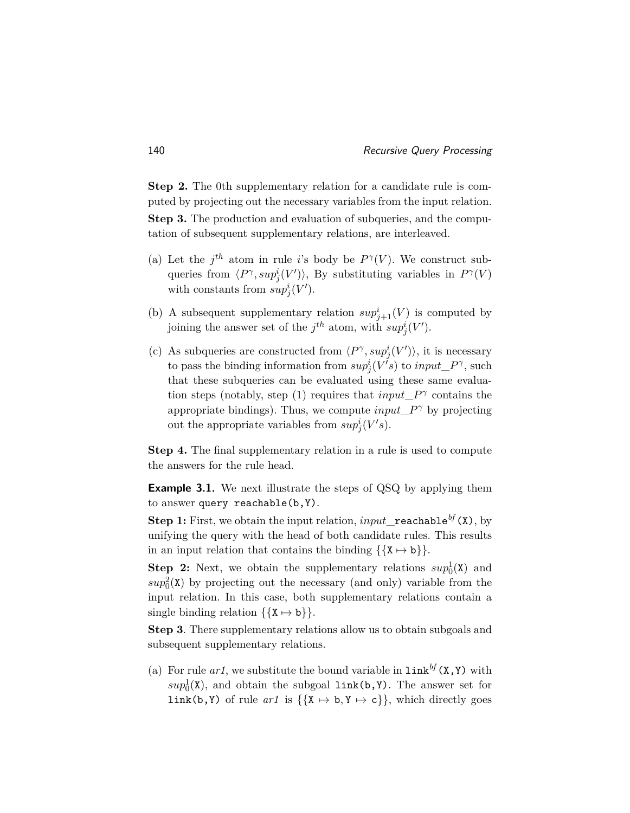**Step 2.** The 0th supplementary relation for a candidate rule is computed by projecting out the necessary variables from the input relation. **Step 3.** The production and evaluation of subqueries, and the computation of subsequent supplementary relations, are interleaved.

- (a) Let the  $j^{th}$  atom in rule *i*'s body be  $P^{\gamma}(V)$ . We construct subqueries from  $\langle P^{\gamma}, sup_j^{i}(V') \rangle$ , By substituting variables in  $P^{\gamma}(V)$ with constants from  $\text{sup}_j^i(V')$ .
- (b) A subsequent supplementary relation  $sup_{j+1}^{i}(V)$  is computed by joining the answer set of the  $j^{th}$  atom, with  $\sup_j^i(V')$ .
- (c) As subqueries are constructed from  $\langle P^{\gamma}, sup_j^{i}(V')\rangle$ , it is necessary to pass the binding information from  $sup_j^i(V^i s)$  to  $input\_P^{\gamma}$ , such that these subqueries can be evaluated using these same evaluation steps (notably, step (1) requires that  $input\_P^{\gamma}$  contains the appropriate bindings). Thus, we compute  $input\_P^{\gamma}$  by projecting out the appropriate variables from  $sup_j^i(V's)$ .

**Step 4.** The final supplementary relation in a rule is used to compute the answers for the rule head.

**Example 3.1.** We next illustrate the steps of QSQ by applying them to answer query reachable(b,Y).

**Step 1:** First, we obtain the input relation, *input* reachable<sup>bf</sup> (X), by unifying the query with the head of both candidate rules. This results in an input relation that contains the binding  $\{\{X \mapsto b\}\}.$ 

**Step 2:** Next, we obtain the supplementary relations  $sup_{0}^{1}(X)$  and  $sup_{0}^{2}$ (X) by projecting out the necessary (and only) variable from the input relation. In this case, both supplementary relations contain a single binding relation  $\{\{X \mapsto b\}\}.$ 

**Step 3**. There supplementary relations allow us to obtain subgoals and subsequent supplementary relations.

(a) For rule *ar1*, we substitute the bound variable in  $\text{link}^{bf}$  (**X**, **Y**) with  $sup_0^1(X)$ , and obtain the subgoal link(b,Y). The answer set for link(b,Y) of rule *ar1* is  $\{\{X \mapsto b, Y \mapsto c\}\}$ , which directly goes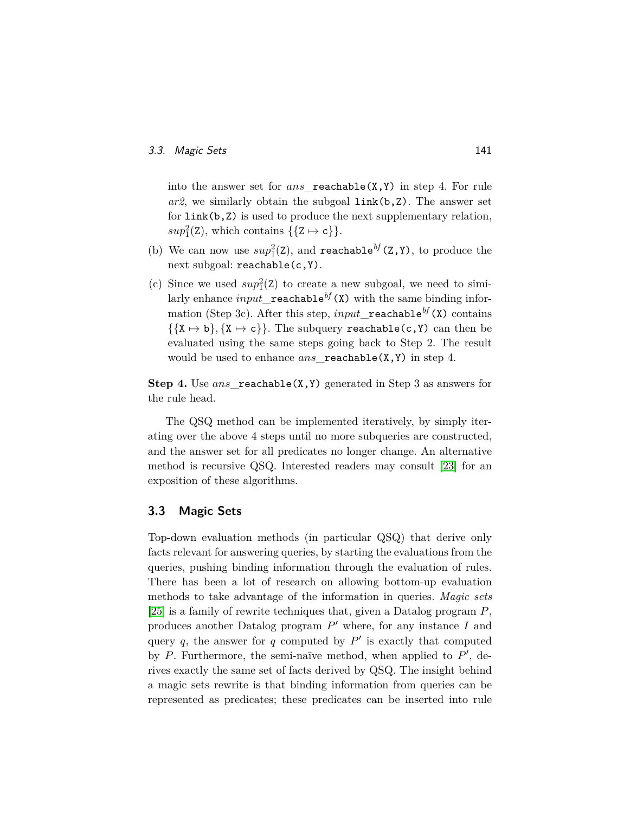into the answer set for *ans* reachable(X,Y) in step 4. For rule  $ar2$ , we similarly obtain the subgoal  $link(b, Z)$ . The answer set for link(b,Z) is used to produce the next supplementary relation,  $sup_1^2(Z)$ , which contains  $\{\{Z \mapsto c\}\}.$ 

- (b) We can now use  $sup_1^2(Z)$ , and **reachable**<sup>bf</sup> (Z, Y), to produce the next subgoal: reachable(c,Y).
- (c) Since we used  $sup_1^2(Z)$  to create a new subgoal, we need to similarly enhance *input* reachable<sup>bf</sup> (X) with the same binding information (Step 3c). After this step, *input* reachable<sup>bf</sup> (X) contains  $\{\{X \mapsto b\}, \{X \mapsto c\}\}\.$  The subquery reachable(c, Y) can then be evaluated using the same steps going back to Step 2. The result would be used to enhance *ans*\_reachable(X,Y) in step 4.

**Step 4.** Use *ans*\_reachable(X,Y) generated in Step 3 as answers for the rule head.

The QSQ method can be implemented iteratively, by simply iterating over the above 4 steps until no more subqueries are constructed, and the answer set for all predicates no longer change. An alternative method is recursive QSQ. Interested readers may consult [\[23\]](#page-86-0) for an exposition of these algorithms.

# <span id="page-39-0"></span>**3.3 Magic Sets**

Top-down evaluation methods (in particular QSQ) that derive only facts relevant for answering queries, by starting the evaluations from the queries, pushing binding information through the evaluation of rules. There has been a lot of research on allowing bottom-up evaluation methods to take advantage of the information in queries. *Magic sets* [\[25\]](#page-86-1) is a family of rewrite techniques that, given a Datalog program *P*, produces another Datalog program  $P'$  where, for any instance  $I$  and query  $q$ , the answer for  $q$  computed by  $P'$  is exactly that computed by  $P$ . Furthermore, the semi-naïve method, when applied to  $P'$ , derives exactly the same set of facts derived by QSQ. The insight behind a magic sets rewrite is that binding information from queries can be represented as predicates; these predicates can be inserted into rule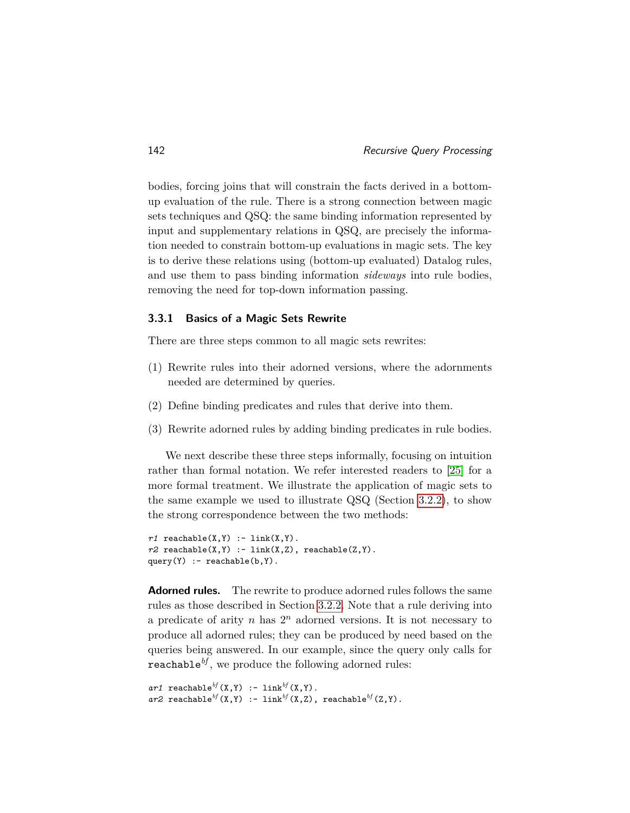bodies, forcing joins that will constrain the facts derived in a bottomup evaluation of the rule. There is a strong connection between magic sets techniques and QSQ: the same binding information represented by input and supplementary relations in QSQ, are precisely the information needed to constrain bottom-up evaluations in magic sets. The key is to derive these relations using (bottom-up evaluated) Datalog rules, and use them to pass binding information *sideways* into rule bodies, removing the need for top-down information passing.

## **3.3.1 Basics of a Magic Sets Rewrite**

There are three steps common to all magic sets rewrites:

- (1) Rewrite rules into their adorned versions, where the adornments needed are determined by queries.
- (2) Define binding predicates and rules that derive into them.
- (3) Rewrite adorned rules by adding binding predicates in rule bodies.

We next describe these three steps informally, focusing on intuition rather than formal notation. We refer interested readers to [\[25\]](#page-86-1) for a more formal treatment. We illustrate the application of magic sets to the same example we used to illustrate QSQ (Section [3.2.2\)](#page-35-0), to show the strong correspondence between the two methods:

```
r1 reachable(X, Y) : - link(X, Y).
r2 reachable(X,Y) :- link(X,Z), reachable(Z,Y).
query(Y) :- reachable(b, Y).
```
**Adorned rules.** The rewrite to produce adorned rules follows the same rules as those described in Section [3.2.2.](#page-35-0) Note that a rule deriving into a predicate of arity  $n$  has  $2^n$  adorned versions. It is not necessary to produce all adorned rules; they can be produced by need based on the queries being answered. In our example, since the query only calls for reachable<sup>bf</sup>, we produce the following adorned rules:

```
ar1 reachable<sup>bf</sup> (X, Y) :- link<sup>bf</sup> (X, Y).
ar2 reachable<sup>bf</sup> (X, Y) :- link<sup>bf</sup> (X, Z), reachable<sup>bf</sup> (Z, Y).
```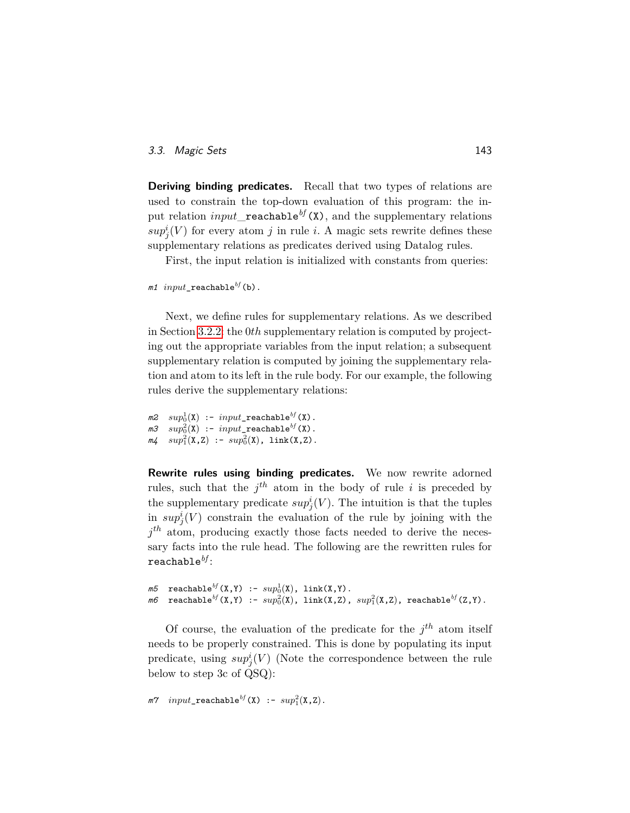### 3.3. Magic Sets 143

**Deriving binding predicates.** Recall that two types of relations are used to constrain the top-down evaluation of this program: the input relation *input* reachable<sup>bf</sup> (X), and the supplementary relations  $sup_j^i(V)$  for every atom *j* in rule *i*. A magic sets rewrite defines these supplementary relations as predicates derived using Datalog rules.

First, the input relation is initialized with constants from queries:

```
m1 input_reachablebf (b).
```
Next, we define rules for supplementary relations. As we described in Section [3.2.2:](#page-35-0) the 0*th* supplementary relation is computed by projecting out the appropriate variables from the input relation; a subsequent supplementary relation is computed by joining the supplementary relation and atom to its left in the rule body. For our example, the following rules derive the supplementary relations:

```
m2 sup_{0}^{1}(X) :– input\_reachable^{bf}(X).
\textit{m3} \quad sup_0^2(\texttt{X}) \text{ :- } input\_reachable^{bf}(\texttt{X}).
m_4 sup_1^2(X,Z) :- sup_0^2(X), link(X,Z).
```
**Rewrite rules using binding predicates.** We now rewrite adorned rules, such that the  $j^{th}$  atom in the body of rule *i* is preceded by the supplementary predicate  $sup_j^i(V)$ . The intuition is that the tuples in  $sup_j^i(V)$  constrain the evaluation of the rule by joining with the  $j<sup>th</sup>$  atom, producing exactly those facts needed to derive the necessary facts into the rule head. The following are the rewritten rules for reachable*bf* :

```
\textit{m5} reachable^{bf} (X,Y) :- sup^1_0(X), link(X,Y).
\textit{m6} reachable\textit{bf}^{\textit{bf}}\left(X,Y\right) :- \textit{sup}^{2}_{0}(X), link(X,Z), \textit{sup}^{2}_{1}(X,Z), reachable^{\textit{bf}}\left(Z,Y\right).
```
Of course, the evaluation of the predicate for the  $j<sup>th</sup>$  atom itself needs to be properly constrained. This is done by populating its input predicate, using  $sup_j^i(V)$  (Note the correspondence between the rule below to step 3c of QSQ):

 $m$ <sup>7</sup>  $input\_reachable^{bf}(X) \text{ :- } sup_1^2(X,Z)$ .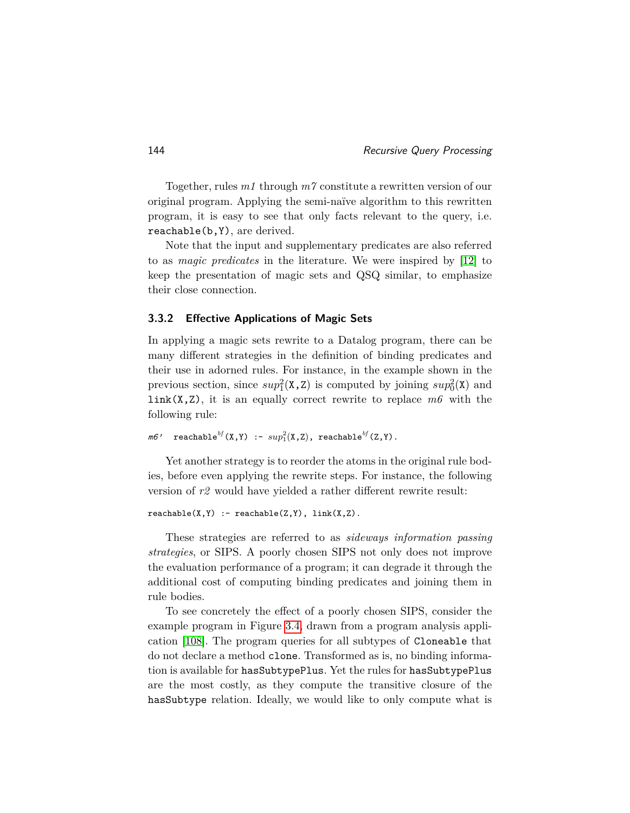Together, rules *m1* through *m7* constitute a rewritten version of our original program. Applying the semi-naïve algorithm to this rewritten program, it is easy to see that only facts relevant to the query, i.e. reachable(b,Y), are derived.

Note that the input and supplementary predicates are also referred to as *magic predicates* in the literature. We were inspired by [\[12\]](#page-85-0) to keep the presentation of magic sets and QSQ similar, to emphasize their close connection.

### **3.3.2 Effective Applications of Magic Sets**

In applying a magic sets rewrite to a Datalog program, there can be many different strategies in the definition of binding predicates and their use in adorned rules. For instance, in the example shown in the previous section, since  $sup_1^2(X, Z)$  is computed by joining  $sup_0^2(X)$  and link(X,Z), it is an equally correct rewrite to replace  $m\delta$  with the following rule:

```
\mathit{m6'} reachable<sup>bf</sup> (X,Y) :- \mathit{sup}^2_1(X,Z), reachable<sup>bf</sup> (Z,Y).
```
Yet another strategy is to reorder the atoms in the original rule bodies, before even applying the rewrite steps. For instance, the following version of *r2* would have yielded a rather different rewrite result:

```
reachable(X, Y) :- reachable(Z, Y), link(X, Z).
```
These strategies are referred to as *sideways information passing strategies*, or SIPS. A poorly chosen SIPS not only does not improve the evaluation performance of a program; it can degrade it through the additional cost of computing binding predicates and joining them in rule bodies.

To see concretely the effect of a poorly chosen SIPS, consider the example program in Figure [3.4,](#page-43-0) drawn from a program analysis application [\[108\]](#page-92-0). The program queries for all subtypes of Cloneable that do not declare a method clone. Transformed as is, no binding information is available for hasSubtypePlus. Yet the rules for hasSubtypePlus are the most costly, as they compute the transitive closure of the hasSubtype relation. Ideally, we would like to only compute what is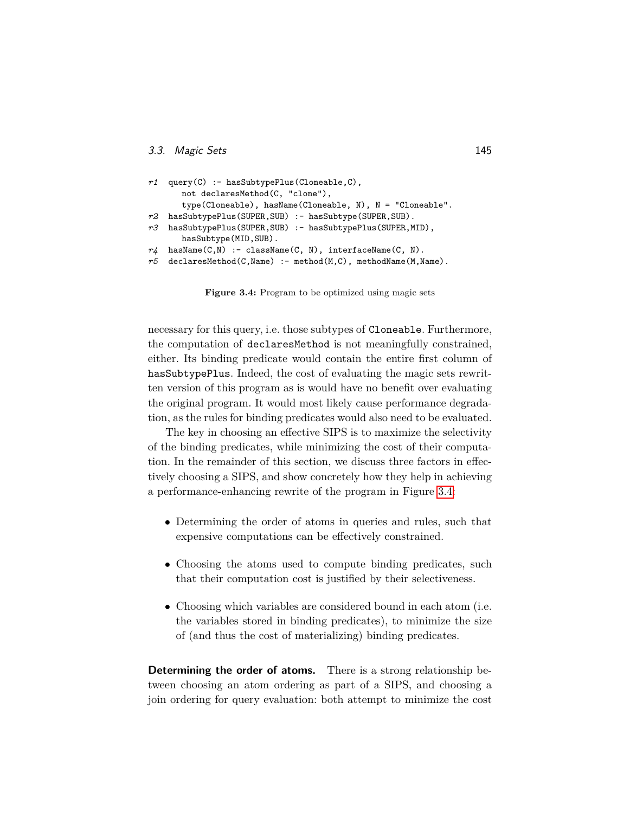#### 3.3. Magic Sets 145

```
r1 query(C) :- hasSubtypePlus(Cloneable,C),
       not declaresMethod(C, "clone"),
       type(Cloneable), hasName(Cloneable, N), N = "Cloneable".
r2 hasSubtypePlus(SUPER, SUB) : - hasSubtype(SUPER, SUB).
r3 hasSubtypePlus(SUPER,SUB) :- hasSubtypePlus(SUPER,MID),
       hasSubtype(MID,SUB).
r4 hasName(C, N) :- className(C, N), interfaceName(C, N).
r5 declaresMethod(C, Name) :- method(M,C), methodName(M, Name).
```
**Figure 3.4:** Program to be optimized using magic sets

necessary for this query, i.e. those subtypes of Cloneable. Furthermore, the computation of declaresMethod is not meaningfully constrained, either. Its binding predicate would contain the entire first column of hasSubtypePlus. Indeed, the cost of evaluating the magic sets rewritten version of this program as is would have no benefit over evaluating the original program. It would most likely cause performance degradation, as the rules for binding predicates would also need to be evaluated.

The key in choosing an effective SIPS is to maximize the selectivity of the binding predicates, while minimizing the cost of their computation. In the remainder of this section, we discuss three factors in effectively choosing a SIPS, and show concretely how they help in achieving a performance-enhancing rewrite of the program in Figure [3.4:](#page-43-0)

- Determining the order of atoms in queries and rules, such that expensive computations can be effectively constrained.
- Choosing the atoms used to compute binding predicates, such that their computation cost is justified by their selectiveness.
- Choosing which variables are considered bound in each atom (i.e. the variables stored in binding predicates), to minimize the size of (and thus the cost of materializing) binding predicates.

**Determining the order of atoms.** There is a strong relationship between choosing an atom ordering as part of a SIPS, and choosing a join ordering for query evaluation: both attempt to minimize the cost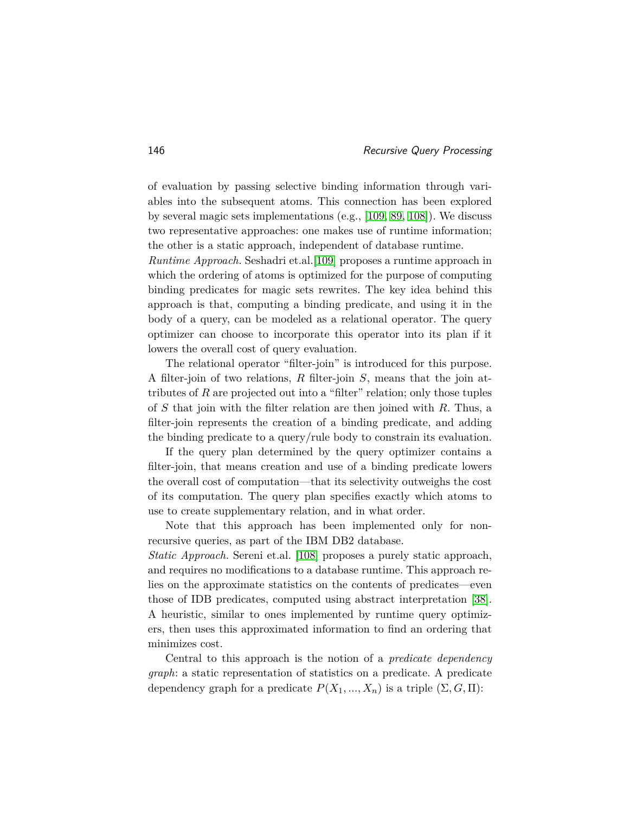of evaluation by passing selective binding information through variables into the subsequent atoms. This connection has been explored by several magic sets implementations (e.g., [\[109,](#page-92-1) [89,](#page-91-0) [108\]](#page-92-0)). We discuss two representative approaches: one makes use of runtime information; the other is a static approach, independent of database runtime.

*Runtime Approach.* Seshadri et.al.[\[109\]](#page-92-1) proposes a runtime approach in which the ordering of atoms is optimized for the purpose of computing binding predicates for magic sets rewrites. The key idea behind this approach is that, computing a binding predicate, and using it in the body of a query, can be modeled as a relational operator. The query optimizer can choose to incorporate this operator into its plan if it lowers the overall cost of query evaluation.

The relational operator "filter-join" is introduced for this purpose. A filter-join of two relations, *R* filter-join *S*, means that the join attributes of *R* are projected out into a "filter" relation; only those tuples of *S* that join with the filter relation are then joined with *R*. Thus, a filter-join represents the creation of a binding predicate, and adding the binding predicate to a query/rule body to constrain its evaluation.

If the query plan determined by the query optimizer contains a filter-join, that means creation and use of a binding predicate lowers the overall cost of computation—that its selectivity outweighs the cost of its computation. The query plan specifies exactly which atoms to use to create supplementary relation, and in what order.

Note that this approach has been implemented only for nonrecursive queries, as part of the IBM DB2 database.

*Static Approach.* Sereni et.al. [\[108\]](#page-92-0) proposes a purely static approach, and requires no modifications to a database runtime. This approach relies on the approximate statistics on the contents of predicates—even those of IDB predicates, computed using abstract interpretation [\[38\]](#page-87-0). A heuristic, similar to ones implemented by runtime query optimizers, then uses this approximated information to find an ordering that minimizes cost.

Central to this approach is the notion of a *predicate dependency graph*: a static representation of statistics on a predicate. A predicate dependency graph for a predicate  $P(X_1, ..., X_n)$  is a triple  $(\Sigma, G, \Pi)$ :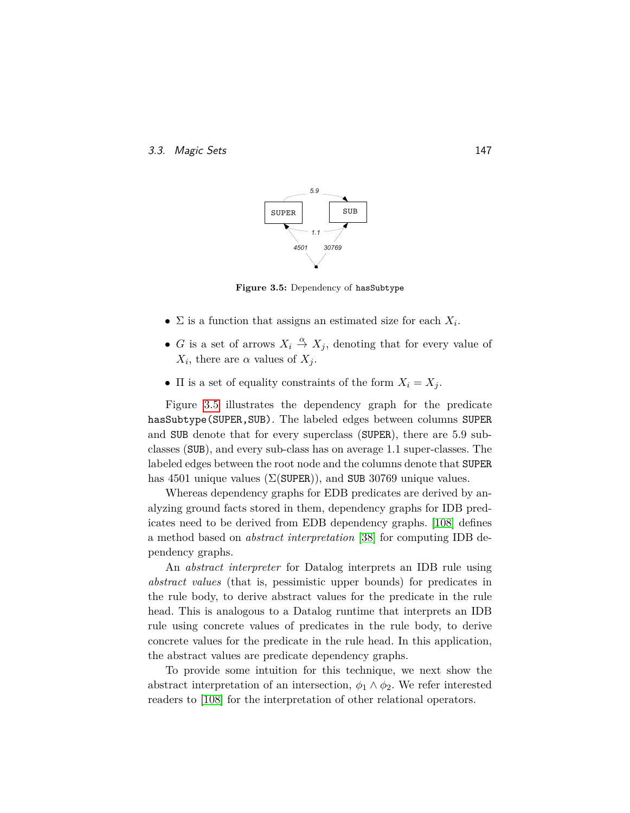<span id="page-45-0"></span>3.3. Magic Sets 147



**Figure 3.5:** Dependency of hasSubtype

- $\Sigma$  is a function that assigns an estimated size for each  $X_i$ .
- *G* is a set of arrows  $X_i \stackrel{\alpha}{\to} X_j$ , denoting that for every value of  $X_i$ , there are  $\alpha$  values of  $X_j$ .
- $\Pi$  is a set of equality constraints of the form  $X_i = X_j$ .

Figure [3.5](#page-45-0) illustrates the dependency graph for the predicate hasSubtype(SUPER,SUB). The labeled edges between columns SUPER and SUB denote that for every superclass (SUPER), there are 5.9 subclasses (SUB), and every sub-class has on average 1.1 super-classes. The labeled edges between the root node and the columns denote that SUPER has 4501 unique values ( $\Sigma$ (SUPER)), and SUB 30769 unique values.

Whereas dependency graphs for EDB predicates are derived by analyzing ground facts stored in them, dependency graphs for IDB predicates need to be derived from EDB dependency graphs. [\[108\]](#page-92-0) defines a method based on *abstract interpretation* [\[38\]](#page-87-0) for computing IDB dependency graphs.

An *abstract interpreter* for Datalog interprets an IDB rule using *abstract values* (that is, pessimistic upper bounds) for predicates in the rule body, to derive abstract values for the predicate in the rule head. This is analogous to a Datalog runtime that interprets an IDB rule using concrete values of predicates in the rule body, to derive concrete values for the predicate in the rule head. In this application, the abstract values are predicate dependency graphs.

To provide some intuition for this technique, we next show the abstract interpretation of an intersection,  $\phi_1 \wedge \phi_2$ . We refer interested readers to [\[108\]](#page-92-0) for the interpretation of other relational operators.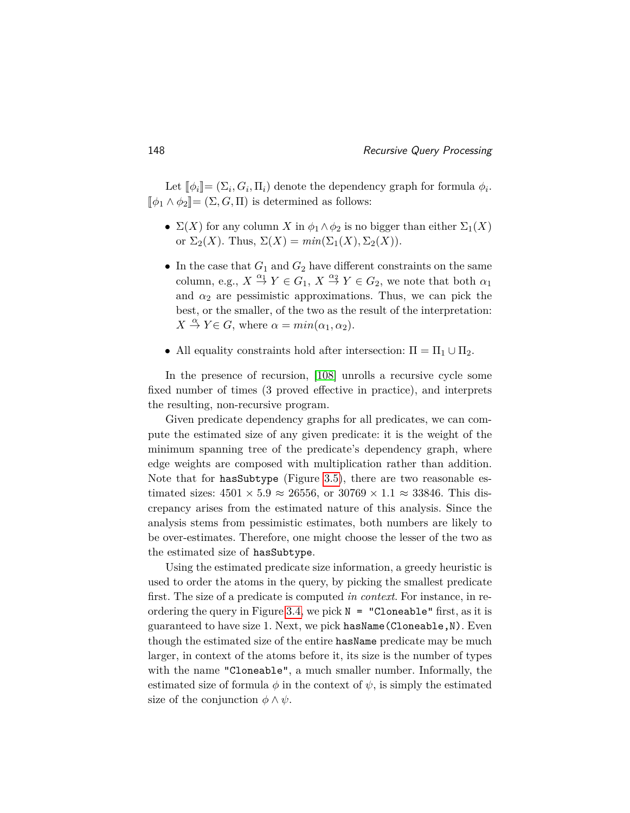Let  $[\![\phi_i]\!] = (\sum_i, G_i, \Pi_i)$  denote the dependency graph for formula  $\phi_i$ .  $\llbracket \phi_1 \wedge \phi_2 \rrbracket = (\Sigma, G, \Pi)$  is determined as follows:

- $\Sigma(X)$  for any column *X* in  $\phi_1 \wedge \phi_2$  is no bigger than either  $\Sigma_1(X)$ or  $\Sigma_2(X)$ . Thus,  $\Sigma(X) = min(\Sigma_1(X), \Sigma_2(X)).$
- In the case that  $G_1$  and  $G_2$  have different constraints on the same column, e.g.,  $X \stackrel{\alpha_1}{\rightarrow} Y \in G_1$ ,  $X \stackrel{\alpha_2}{\rightarrow} Y \in G_2$ , we note that both  $\alpha_1$ and  $\alpha_2$  are pessimistic approximations. Thus, we can pick the best, or the smaller, of the two as the result of the interpretation:  $X \stackrel{\alpha}{\to} Y \in G$ , where  $\alpha = min(\alpha_1, \alpha_2)$ .
- All equality constraints hold after intersection:  $\Pi = \Pi_1 \cup \Pi_2$ .

In the presence of recursion, [\[108\]](#page-92-0) unrolls a recursive cycle some fixed number of times (3 proved effective in practice), and interprets the resulting, non-recursive program.

Given predicate dependency graphs for all predicates, we can compute the estimated size of any given predicate: it is the weight of the minimum spanning tree of the predicate's dependency graph, where edge weights are composed with multiplication rather than addition. Note that for hasSubtype (Figure [3.5\)](#page-45-0), there are two reasonable estimated sizes:  $4501 \times 5.9 \approx 26556$ , or  $30769 \times 1.1 \approx 33846$ . This discrepancy arises from the estimated nature of this analysis. Since the analysis stems from pessimistic estimates, both numbers are likely to be over-estimates. Therefore, one might choose the lesser of the two as the estimated size of hasSubtype.

Using the estimated predicate size information, a greedy heuristic is used to order the atoms in the query, by picking the smallest predicate first. The size of a predicate is computed *in context*. For instance, in re-ordering the query in Figure [3.4,](#page-43-0) we pick  $N =$  "Cloneable" first, as it is guaranteed to have size 1. Next, we pick hasName(Cloneable,N). Even though the estimated size of the entire hasName predicate may be much larger, in context of the atoms before it, its size is the number of types with the name "Cloneable", a much smaller number. Informally, the estimated size of formula  $\phi$  in the context of  $\psi$ , is simply the estimated size of the conjunction  $\phi \wedge \psi$ .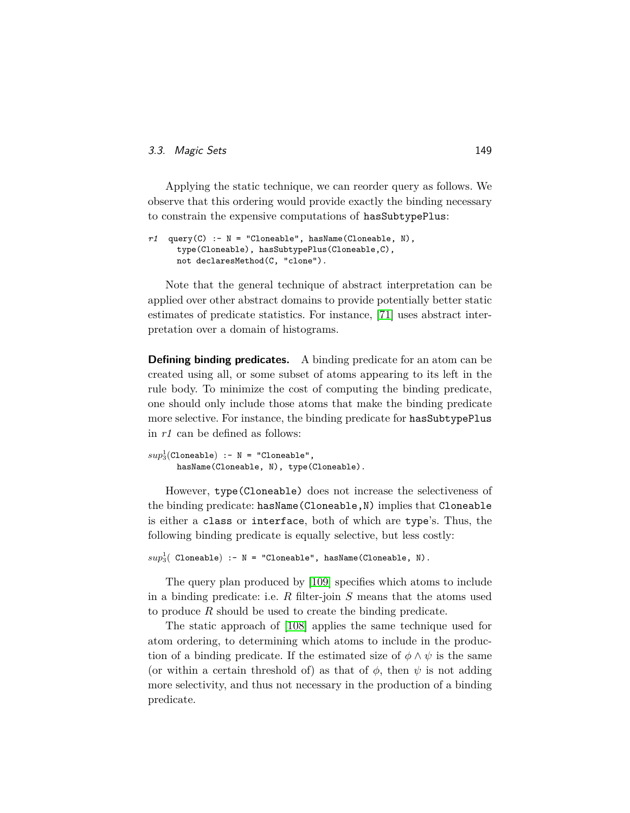## 3.3. Magic Sets 149

Applying the static technique, we can reorder query as follows. We observe that this ordering would provide exactly the binding necessary to constrain the expensive computations of hasSubtypePlus:

```
r1 query(C) :- N = "Cloneable", hasName(Cloneable, N),
      type(Cloneable), hasSubtypePlus(Cloneable,C),
      not declaresMethod(C, "clone").
```
Note that the general technique of abstract interpretation can be applied over other abstract domains to provide potentially better static estimates of predicate statistics. For instance, [\[71\]](#page-89-0) uses abstract interpretation over a domain of histograms.

**Defining binding predicates.** A binding predicate for an atom can be created using all, or some subset of atoms appearing to its left in the rule body. To minimize the cost of computing the binding predicate, one should only include those atoms that make the binding predicate more selective. For instance, the binding predicate for hasSubtypePlus in *r1* can be defined as follows:

```
sup_3^1(Cloneable) :- N = "Cloneable",
      hasName(Cloneable, N), type(Cloneable).
```
However, type(Cloneable) does not increase the selectiveness of the binding predicate: hasName(Cloneable,N) implies that Cloneable is either a class or interface, both of which are type's. Thus, the following binding predicate is equally selective, but less costly:

```
sup_{3}^{1}({\bf \texttt{Cloneable}}) :- N = "Cloneable", hasName(Cloneable, N).
```
The query plan produced by [\[109\]](#page-92-1) specifies which atoms to include in a binding predicate: i.e. *R* filter-join *S* means that the atoms used to produce *R* should be used to create the binding predicate.

The static approach of [\[108\]](#page-92-0) applies the same technique used for atom ordering, to determining which atoms to include in the production of a binding predicate. If the estimated size of  $\phi \wedge \psi$  is the same (or within a certain threshold of) as that of  $\phi$ , then  $\psi$  is not adding more selectivity, and thus not necessary in the production of a binding predicate.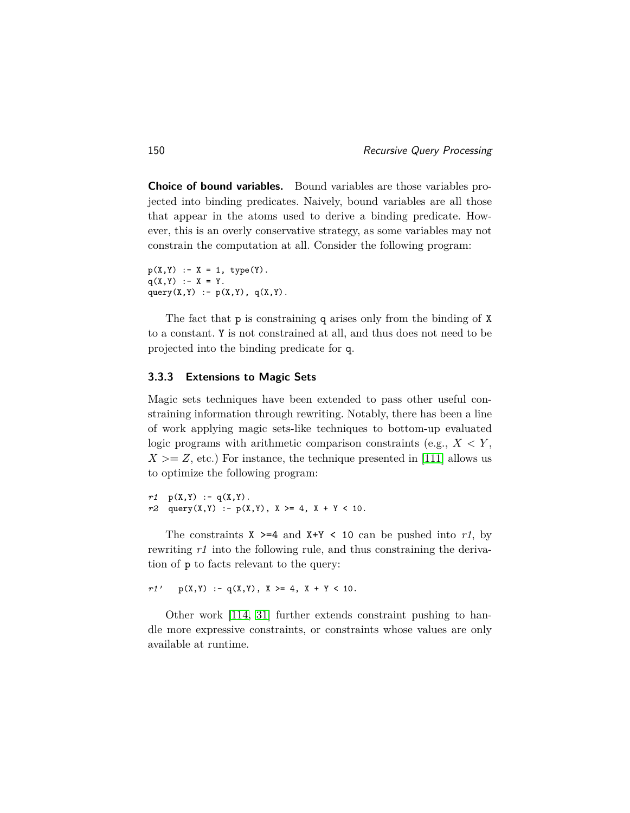**Choice of bound variables.** Bound variables are those variables projected into binding predicates. Naively, bound variables are all those that appear in the atoms used to derive a binding predicate. However, this is an overly conservative strategy, as some variables may not constrain the computation at all. Consider the following program:

 $p(X,Y)$  :-  $X = 1$ , type(Y).  $q(X,Y)$  :-  $X = Y$ . query $(X, Y)$  :-  $p(X, Y)$ ,  $q(X, Y)$ .

The fact that **p** is constraining **q** arises only from the binding of **X** to a constant. Y is not constrained at all, and thus does not need to be projected into the binding predicate for q.

## **3.3.3 Extensions to Magic Sets**

Magic sets techniques have been extended to pass other useful constraining information through rewriting. Notably, there has been a line of work applying magic sets-like techniques to bottom-up evaluated logic programs with arithmetic comparison constraints (e.g.,  $X < Y$ ,  $X \geq Z$ , etc.) For instance, the technique presented in [\[111\]](#page-92-2) allows us to optimize the following program:

 $r1 p(X,Y) := q(X,Y)$ .  $r2$  query(X,Y) :-  $p(X,Y)$ , X >= 4, X + Y < 10.

The constraints  $X \geq -4$  and  $X+Y \leq 10$  can be pushed into r1, by rewriting *r1* into the following rule, and thus constraining the derivation of p to facts relevant to the query:

 $r1'$  p(X,Y) :- q(X,Y), X >= 4, X + Y < 10.

Other work [\[114,](#page-92-3) [31\]](#page-87-1) further extends constraint pushing to handle more expressive constraints, or constraints whose values are only available at runtime.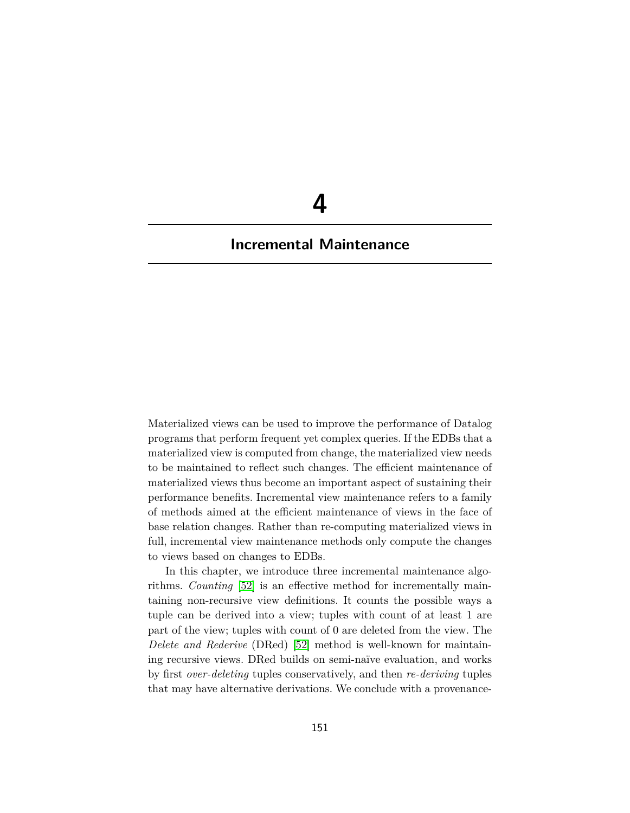# **4**

# **Incremental Maintenance**

Materialized views can be used to improve the performance of Datalog programs that perform frequent yet complex queries. If the EDBs that a materialized view is computed from change, the materialized view needs to be maintained to reflect such changes. The efficient maintenance of materialized views thus become an important aspect of sustaining their performance benefits. Incremental view maintenance refers to a family of methods aimed at the efficient maintenance of views in the face of base relation changes. Rather than re-computing materialized views in full, incremental view maintenance methods only compute the changes to views based on changes to EDBs.

In this chapter, we introduce three incremental maintenance algorithms. *Counting* [\[52\]](#page-88-0) is an effective method for incrementally maintaining non-recursive view definitions. It counts the possible ways a tuple can be derived into a view; tuples with count of at least 1 are part of the view; tuples with count of 0 are deleted from the view. The *Delete and Rederive* (DRed) [\[52\]](#page-88-0) method is well-known for maintaining recursive views. DRed builds on semi-naïve evaluation, and works by first *over-deleting* tuples conservatively, and then *re-deriving* tuples that may have alternative derivations. We conclude with a provenance-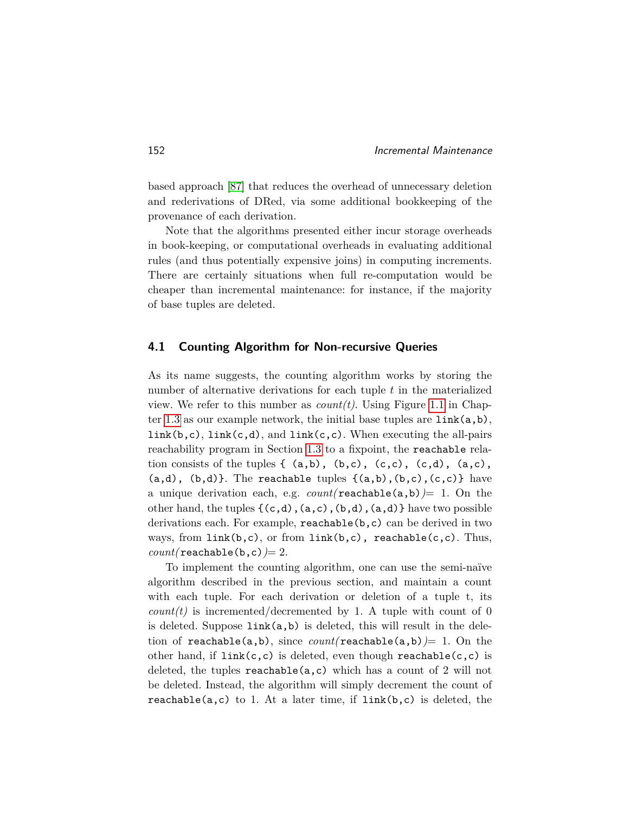based approach [\[87\]](#page-91-1) that reduces the overhead of unnecessary deletion and rederivations of DRed, via some additional bookkeeping of the provenance of each derivation.

Note that the algorithms presented either incur storage overheads in book-keeping, or computational overheads in evaluating additional rules (and thus potentially expensive joins) in computing increments. There are certainly situations when full re-computation would be cheaper than incremental maintenance: for instance, if the majority of base tuples are deleted.

### **4.1 Counting Algorithm for Non-recursive Queries**

As its name suggests, the counting algorithm works by storing the number of alternative derivations for each tuple *t* in the materialized view. We refer to this number as *count(t)*. Using Figure [1.1](#page-8-0) in Chap-ter [1.3](#page-8-1) as our example network, the initial base tuples are  $link(a,b)$ ,  $link(b, c)$ ,  $link(c, d)$ , and  $link(c, c)$ . When executing the all-pairs reachability program in Section [1.3](#page-8-1) to a fixpoint, the reachable relation consists of the tuples  $\{ (a,b), (b,c), (c,c), (c,d), (a,c), \}$  $(a,d)$ ,  $(b,d)$ . The reachable tuples  $\{(a,b),(b,c),(c,c)\}$  have a unique derivation each, e.g. *count(* reachable(a,b)*)*= 1. On the other hand, the tuples  $\{(c,d), (a,c), (b,d), (a,d)\}\$  have two possible derivations each. For example, reachable(b,c) can be derived in two ways, from link(b,c), or from link(b,c), reachable(c,c). Thus,  $count(\texttt{reachable}(b, c)) = 2.$ 

To implement the counting algorithm, one can use the semi-naïve algorithm described in the previous section, and maintain a count with each tuple. For each derivation or deletion of a tuple t, its  $count(t)$  is incremented/decremented by 1. A tuple with count of 0 is deleted. Suppose  $link(a, b)$  is deleted, this will result in the deletion of **reachable(a,b)**, since  $count(\text{reachable}(a,b)) = 1$ . On the other hand, if  $link(c, c)$  is deleted, even though reachable(c,c) is deleted, the tuples reachable(a,c) which has a count of 2 will not be deleted. Instead, the algorithm will simply decrement the count of  $reachable(a, c)$  to 1. At a later time, if  $link(b, c)$  is deleted, the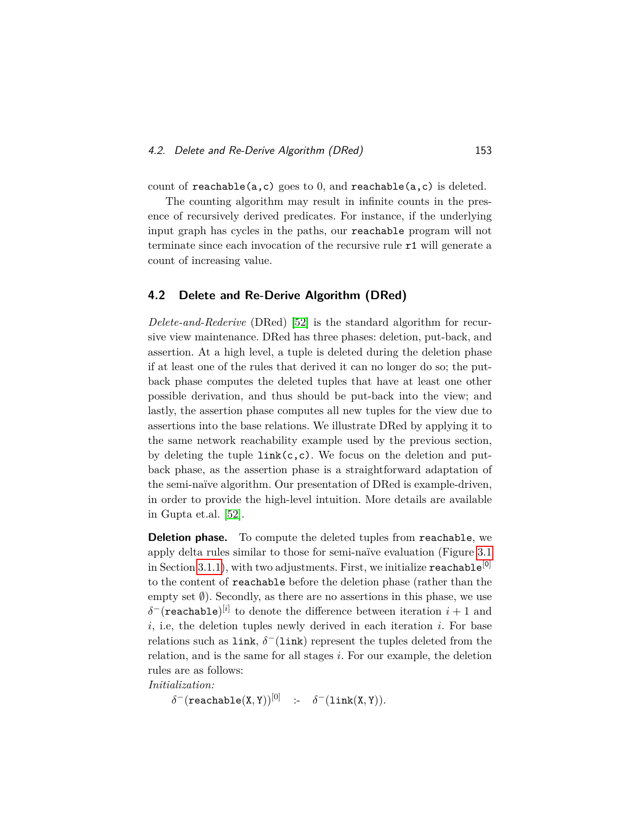count of reachable( $a, c$ ) goes to 0, and reachable( $a, c$ ) is deleted.

The counting algorithm may result in infinite counts in the presence of recursively derived predicates. For instance, if the underlying input graph has cycles in the paths, our reachable program will not terminate since each invocation of the recursive rule r1 will generate a count of increasing value.

# **4.2 Delete and Re-Derive Algorithm (DRed)**

*Delete-and-Rederive* (DRed) [\[52\]](#page-88-0) is the standard algorithm for recursive view maintenance. DRed has three phases: deletion, put-back, and assertion. At a high level, a tuple is deleted during the deletion phase if at least one of the rules that derived it can no longer do so; the putback phase computes the deleted tuples that have at least one other possible derivation, and thus should be put-back into the view; and lastly, the assertion phase computes all new tuples for the view due to assertions into the base relations. We illustrate DRed by applying it to the same network reachability example used by the previous section, by deleting the tuple  $\text{link}(c,c)$ . We focus on the deletion and putback phase, as the assertion phase is a straightforward adaptation of the semi-naïve algorithm. Our presentation of DRed is example-driven, in order to provide the high-level intuition. More details are available in Gupta et.al. [\[52\]](#page-88-0).

**Deletion phase.** To compute the deleted tuples from reachable, we apply delta rules similar to those for semi-naïve evaluation (Figure [3.1](#page-32-0) in Section [3.1.1\)](#page-31-0), with two adjustments. First, we initialize reachable<sup>[0]</sup> to the content of reachable before the deletion phase (rather than the empty set  $\emptyset$ ). Secondly, as there are no assertions in this phase, we use  $\delta$ <sup>-</sup>(reachable)<sup>[*i*]</sup> to denote the difference between iteration *i* + 1 and *i*, i.e, the deletion tuples newly derived in each iteration *i*. For base relations such as link,  $\delta$ <sup>-</sup>(link) represent the tuples deleted from the relation, and is the same for all stages *i*. For our example, the deletion rules are as follows:

*Initialization:*

 $\delta^-(\texttt{reachable}(\texttt{X}, \texttt{Y}))^{[0]}$  :-  $\delta^-(\texttt{link}(\texttt{X}, \texttt{Y})).$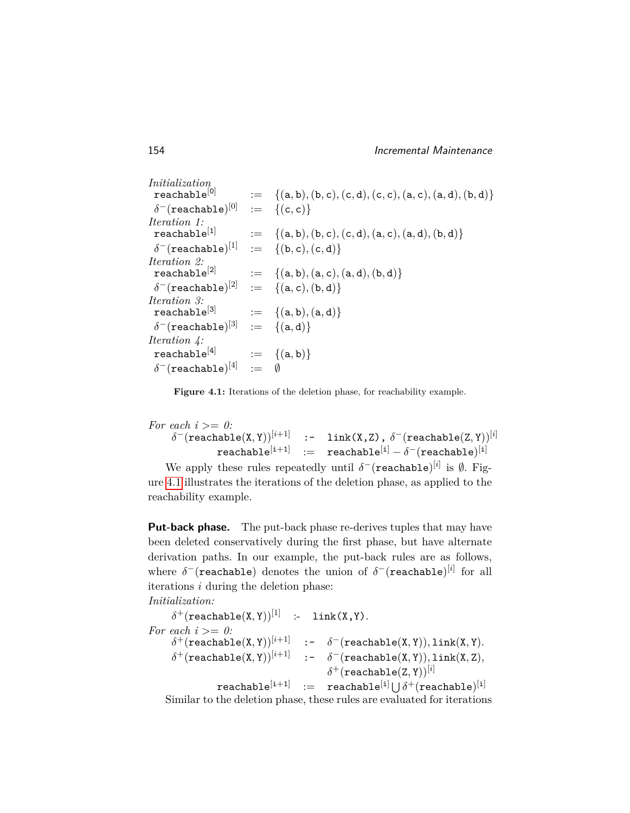<span id="page-52-0"></span>*Initialization* reachable<sup>[0]</sup>  $:= \{(a, b), (b, c), (c, d), (c, c), (a, c), (a, d), (b, d)\}$ *δ* <sup>−</sup>(reachable)  $:= \{(c, c)\}\$ *Iteration 1:*  $\mathtt{reachable}^{[1]}$ := {(a*,* b)*,*(b*,* c)*,*(c*,* d)*,*(a*,* c)*,*(a*,* d)*,*(b*,* d)} *δ* <sup>−</sup>(reachable)  $:= \{(b, c), (c, d)\}$ *Iteration 2:* reachable[2] := {(a*,* b)*,*(a*,* c)*,*(a*,* d)*,*(b*,* d)} *δ* <sup>−</sup>(reachable)  $:= \{(a, c), (b, d)\}$ *Iteration 3:*  $\mathtt{reachable}^{[3]}$ := {(a*,* b)*,*(a*,* d)} *δ* <sup>−</sup>(reachable)  $:= \{(a, d)\}\$ *Iteration 4:*  $\texttt{reachable}^{[4]}$  $:= \{(a, b)\}\$ *δ* <sup>−</sup>(reachable)  $:= \emptyset$ 

Figure 4.1: Iterations of the deletion phase, for reachability example.

| For each $i >= 0$ : |                                                                                                           |
|---------------------|-----------------------------------------------------------------------------------------------------------|
|                     | $\delta^{-}(\mathtt{reachable(X,Y)})^{[i+1]}$ :- link(X,Z), $\delta^{-}(\mathtt{reachable(Z,Y)})^{[i]}$   |
|                     | $\texttt{reachable}^{[i+1]} \quad := \quad \texttt{reachable}^{[i]} - \delta^-(\texttt{reachable})^{[i]}$ |

We apply these rules repeatedly until  $\delta$ <sup>-</sup>(reachable)<sup>[*i*]</sup> is  $\emptyset$ . Figure [4.1](#page-52-0) illustrates the iterations of the deletion phase, as applied to the reachability example.

**Put-back phase.** The put-back phase re-derives tuples that may have been deleted conservatively during the first phase, but have alternate derivation paths. In our example, the put-back rules are as follows, where  $\delta^-$ (reachable) denotes the union of  $\delta^-$ (reachable)<sup>[*i*]</sup> for all iterations *i* during the deletion phase:

*Initialization:*

 $\delta^+({\tt reachable(X,Y)})^{[1]}$  :- link(X,Y). *For each i >*= *0:*  $\delta^+$ (reachable(X,Y))<sup>[ $i+1$ ]</sup> :-  $\delta^-$ (reachable(X,Y)),link(X,Y).  $\delta^+$ (reachable(X,Y))<sup>[ $i+1$ ]</sup> :-  $\delta^-$ (reachable(X,Y)),link(X,Z),  $\delta^+(\texttt{reachable}(\texttt{Z}, \texttt{Y}))^{[i]}$  $\texttt{reachable}^{[\texttt{i}+1]} \quad \texttt{:=} \quad \texttt{reachable}^{[\texttt{i}]} \bigcup \delta^+(\texttt{reachable})^{[\texttt{i}]}$ Similar to the deletion phase, these rules are evaluated for iterations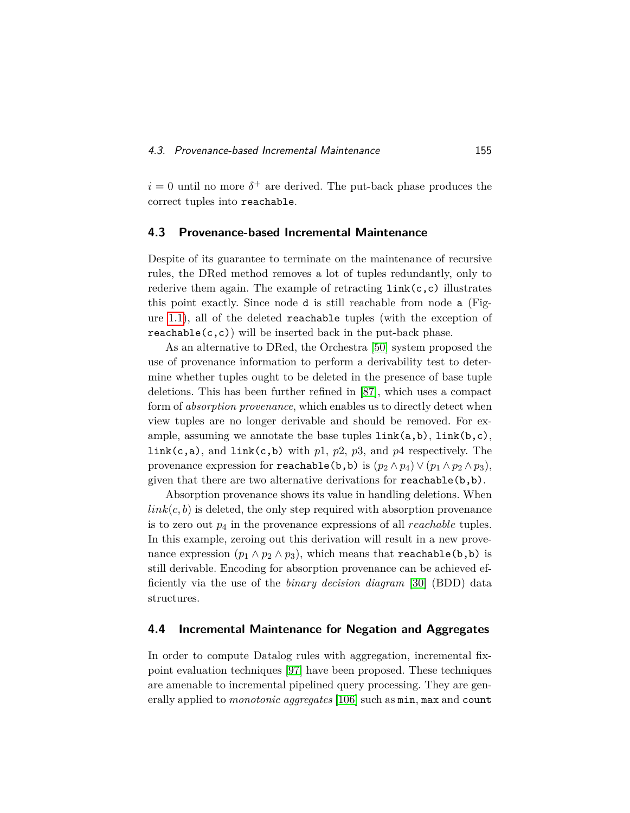$i = 0$  until no more  $\delta^+$  are derived. The put-back phase produces the correct tuples into reachable.

# **4.3 Provenance-based Incremental Maintenance**

Despite of its guarantee to terminate on the maintenance of recursive rules, the DRed method removes a lot of tuples redundantly, only to rederive them again. The example of retracting  $link(c, c)$  illustrates this point exactly. Since node d is still reachable from node a (Figure [1.1\)](#page-8-0), all of the deleted reachable tuples (with the exception of  $reachable(c, c)$ ) will be inserted back in the put-back phase.

As an alternative to DRed, the Orchestra [\[50\]](#page-88-1) system proposed the use of provenance information to perform a derivability test to determine whether tuples ought to be deleted in the presence of base tuple deletions. This has been further refined in [\[87\]](#page-91-1), which uses a compact form of *absorption provenance*, which enables us to directly detect when view tuples are no longer derivable and should be removed. For example, assuming we annotate the base tuples  $link(a,b)$ ,  $link(b,c)$ , link(c,a), and link(c,b) with  $p1$ ,  $p2$ ,  $p3$ , and  $p4$  respectively. The provenance expression for **reachable(b,b)** is  $(p_2 \wedge p_4) \vee (p_1 \wedge p_2 \wedge p_3)$ , given that there are two alternative derivations for reachable(b,b).

Absorption provenance shows its value in handling deletions. When  $link(c, b)$  is deleted, the only step required with absorption provenance is to zero out  $p_4$  in the provenance expressions of all *reachable* tuples. In this example, zeroing out this derivation will result in a new provenance expression  $(p_1 \wedge p_2 \wedge p_3)$ , which means that **reachable(b,b)** is still derivable. Encoding for absorption provenance can be achieved efficiently via the use of the *binary decision diagram* [\[30\]](#page-87-2) (BDD) data structures.

# **4.4 Incremental Maintenance for Negation and Aggregates**

In order to compute Datalog rules with aggregation, incremental fixpoint evaluation techniques [\[97\]](#page-91-2) have been proposed. These techniques are amenable to incremental pipelined query processing. They are generally applied to *monotonic aggregates* [\[106\]](#page-92-4) such as min, max and count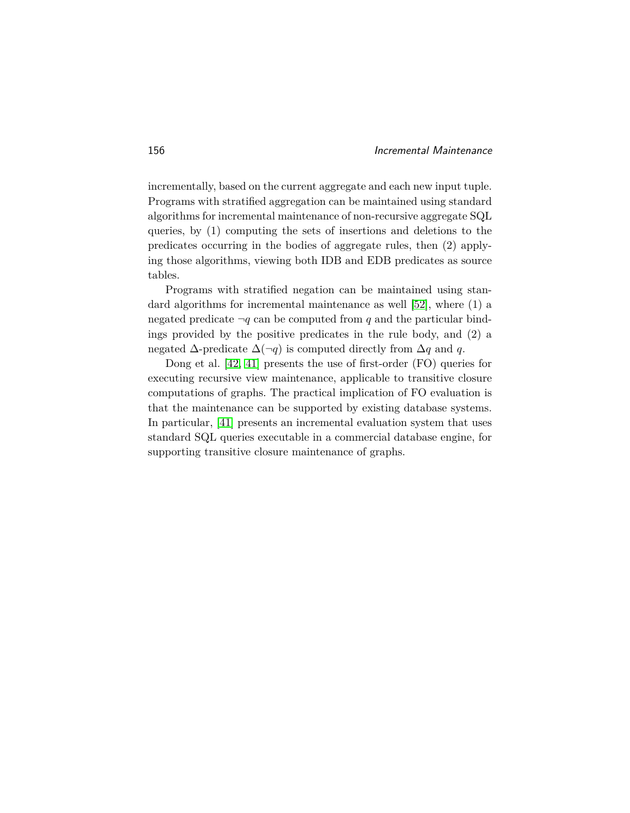incrementally, based on the current aggregate and each new input tuple. Programs with stratified aggregation can be maintained using standard algorithms for incremental maintenance of non-recursive aggregate SQL queries, by (1) computing the sets of insertions and deletions to the predicates occurring in the bodies of aggregate rules, then (2) applying those algorithms, viewing both IDB and EDB predicates as source tables.

Programs with stratified negation can be maintained using standard algorithms for incremental maintenance as well [\[52\]](#page-88-0), where (1) a negated predicate  $\neg q$  can be computed from *q* and the particular bindings provided by the positive predicates in the rule body, and (2) a negated  $\Delta$ -predicate  $\Delta(\neg q)$  is computed directly from  $\Delta q$  and *q*.

Dong et al. [\[42,](#page-87-3) [41\]](#page-87-4) presents the use of first-order (FO) queries for executing recursive view maintenance, applicable to transitive closure computations of graphs. The practical implication of FO evaluation is that the maintenance can be supported by existing database systems. In particular, [\[41\]](#page-87-4) presents an incremental evaluation system that uses standard SQL queries executable in a commercial database engine, for supporting transitive closure maintenance of graphs.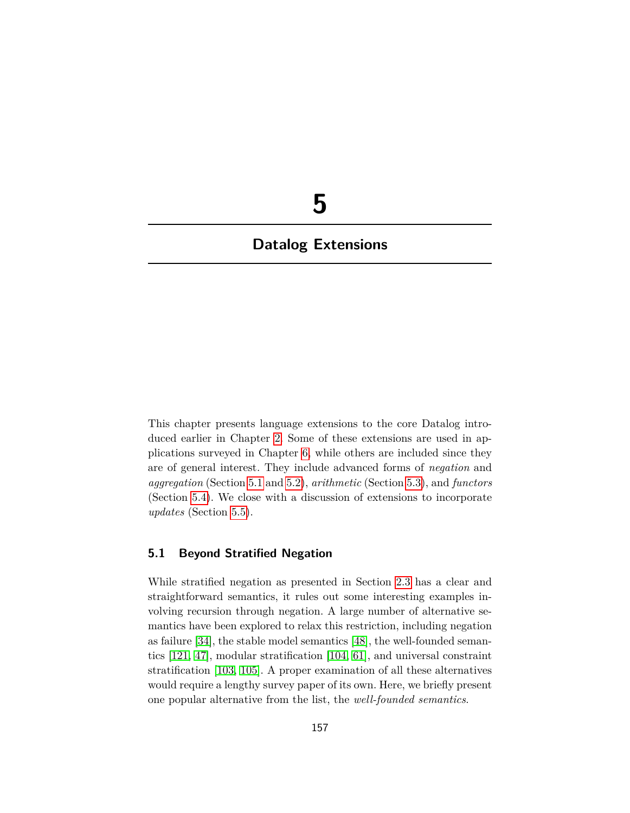# **5**

# **Datalog Extensions**

This chapter presents language extensions to the core Datalog introduced earlier in Chapter [2.](#page-11-0) Some of these extensions are used in applications surveyed in Chapter [6,](#page-67-0) while others are included since they are of general interest. They include advanced forms of *negation* and *aggregation* (Section [5.1](#page-55-0) and [5.2\)](#page-57-0), *arithmetic* (Section [5.3\)](#page-59-0), and *functors* (Section [5.4\)](#page-61-0). We close with a discussion of extensions to incorporate *updates* (Section [5.5\)](#page-63-0).

# <span id="page-55-0"></span>**5.1 Beyond Stratified Negation**

While stratified negation as presented in Section [2.3](#page-18-0) has a clear and straightforward semantics, it rules out some interesting examples involving recursion through negation. A large number of alternative semantics have been explored to relax this restriction, including negation as failure [\[34\]](#page-87-5), the stable model semantics [\[48\]](#page-88-2), the well-founded semantics [\[121,](#page-93-1) [47\]](#page-88-3), modular stratification [\[104,](#page-92-5) [61\]](#page-89-1), and universal constraint stratification [\[103,](#page-92-6) [105\]](#page-92-7). A proper examination of all these alternatives would require a lengthy survey paper of its own. Here, we briefly present one popular alternative from the list, the *well-founded semantics*.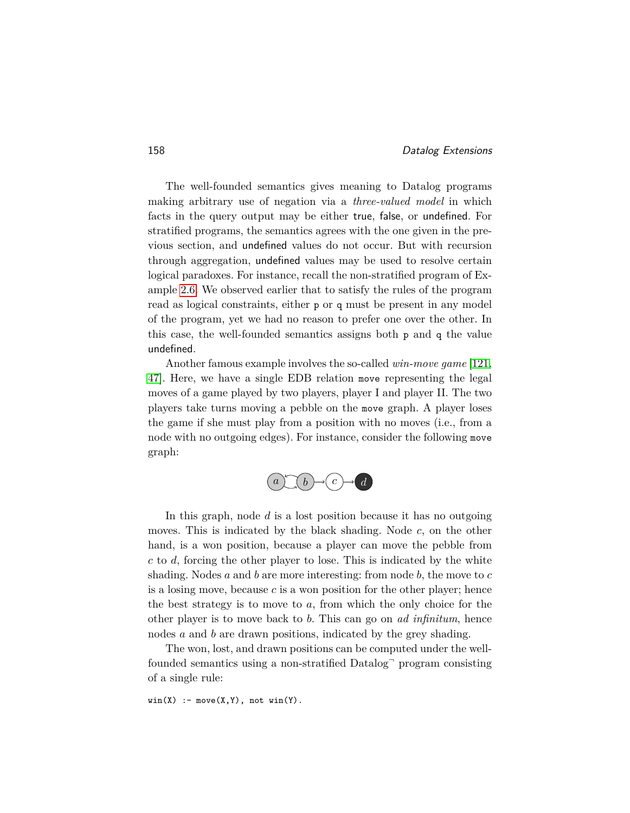The well-founded semantics gives meaning to Datalog programs making arbitrary use of negation via a *three-valued model* in which facts in the query output may be either true, false, or undefined. For stratified programs, the semantics agrees with the one given in the previous section, and undefined values do not occur. But with recursion through aggregation, undefined values may be used to resolve certain logical paradoxes. For instance, recall the non-stratified program of Example [2.6.](#page-19-0) We observed earlier that to satisfy the rules of the program read as logical constraints, either p or q must be present in any model of the program, yet we had no reason to prefer one over the other. In this case, the well-founded semantics assigns both p and q the value undefined.

Another famous example involves the so-called *win-move game* [\[121,](#page-93-1) [47\]](#page-88-3). Here, we have a single EDB relation move representing the legal moves of a game played by two players, player I and player II. The two players take turns moving a pebble on the move graph. A player loses the game if she must play from a position with no moves (i.e., from a node with no outgoing edges). For instance, consider the following move graph:



In this graph, node *d* is a lost position because it has no outgoing moves. This is indicated by the black shading. Node *c*, on the other hand, is a won position, because a player can move the pebble from *c* to *d*, forcing the other player to lose. This is indicated by the white shading. Nodes *a* and *b* are more interesting: from node *b*, the move to *c* is a losing move, because *c* is a won position for the other player; hence the best strategy is to move to *a*, from which the only choice for the other player is to move back to *b*. This can go on *ad infinitum*, hence nodes *a* and *b* are drawn positions, indicated by the grey shading.

The won, lost, and drawn positions can be computed under the wellfounded semantics using a non-stratified Datalog<sup>¬</sup> program consisting of a single rule:

 $win(X)$  :- move $(X, Y)$ , not  $win(Y)$ .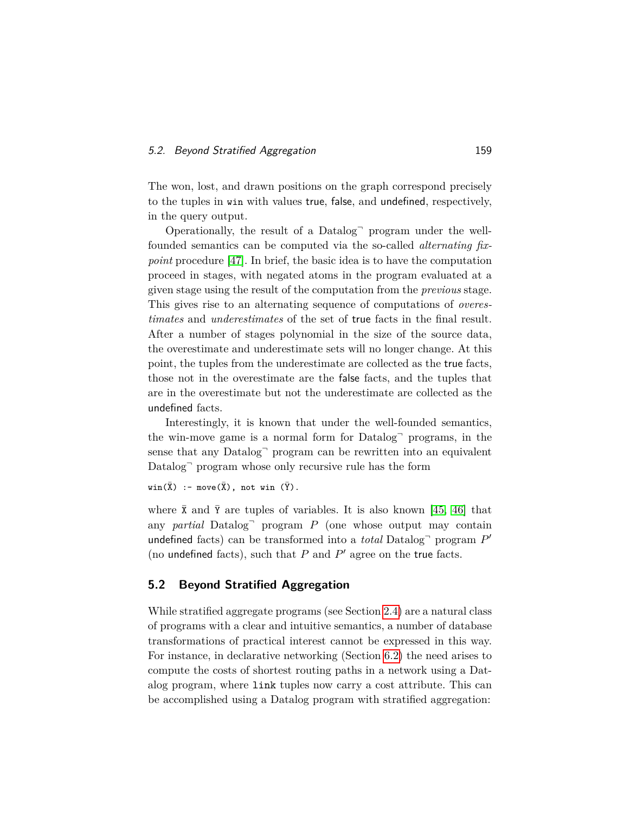The won, lost, and drawn positions on the graph correspond precisely to the tuples in win with values true, false, and undefined, respectively, in the query output.

Operationally, the result of a Datalog<sup>-</sup> program under the wellfounded semantics can be computed via the so-called *alternating fixpoint* procedure [\[47\]](#page-88-3). In brief, the basic idea is to have the computation proceed in stages, with negated atoms in the program evaluated at a given stage using the result of the computation from the *previous* stage. This gives rise to an alternating sequence of computations of *overestimates* and *underestimates* of the set of true facts in the final result. After a number of stages polynomial in the size of the source data, the overestimate and underestimate sets will no longer change. At this point, the tuples from the underestimate are collected as the true facts, those not in the overestimate are the false facts, and the tuples that are in the overestimate but not the underestimate are collected as the undefined facts.

Interestingly, it is known that under the well-founded semantics, the win-move game is a normal form for Datalog<sup>¬</sup> programs, in the sense that any Datalog<sup>-</sup> program can be rewritten into an equivalent Datalog<sup>-</sup> program whose only recursive rule has the form

win( $\bar{X}$ ) :- move( $\bar{X}$ ), not win ( $\bar{Y}$ ).

where  $\bar{x}$  and  $\bar{y}$  are tuples of variables. It is also known [\[45,](#page-88-4) [46\]](#page-88-5) that any *partial* Datalog<sup>¬</sup> program *P* (one whose output may contain undefined facts) can be transformed into a *total* Datalog<sup>-</sup> program  $P'$ (no undefined facts), such that  $P$  and  $P'$  agree on the true facts.

# <span id="page-57-0"></span>**5.2 Beyond Stratified Aggregation**

While stratified aggregate programs (see Section [2.4\)](#page-24-0) are a natural class of programs with a clear and intuitive semantics, a number of database transformations of practical interest cannot be expressed in this way. For instance, in declarative networking (Section [6.2\)](#page-70-0) the need arises to compute the costs of shortest routing paths in a network using a Datalog program, where link tuples now carry a cost attribute. This can be accomplished using a Datalog program with stratified aggregation: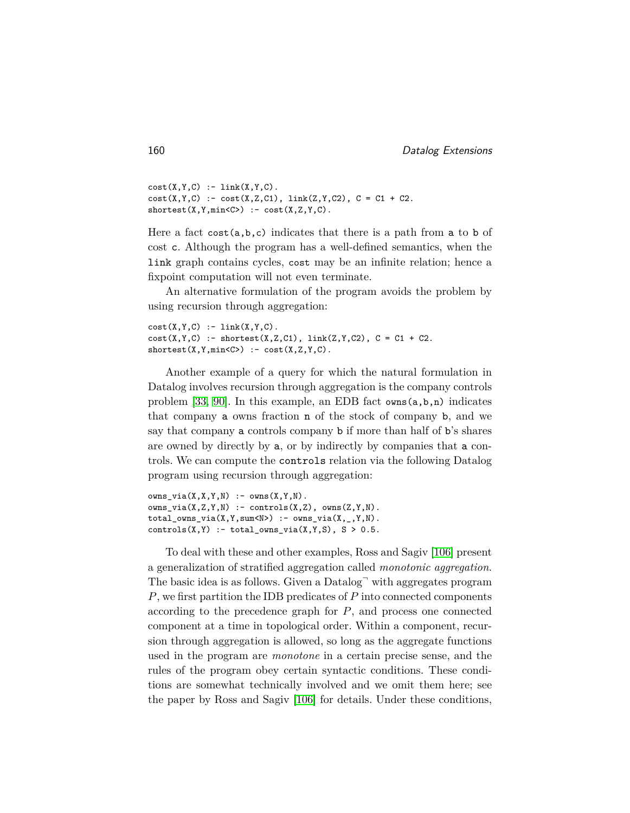```
cost(X,Y,C) := link(X,Y,C).
cost(X,Y,C) :- cost(X,Z,C1), link(Z,Y,C2), C = C1 + C2.
shortest(X,Y,min\langle C \rangle) :- cost(X,Z,Y,C).
```
Here a fact cost(a,b,c) indicates that there is a path from a to b of cost c. Although the program has a well-defined semantics, when the link graph contains cycles, cost may be an infinite relation; hence a fixpoint computation will not even terminate.

An alternative formulation of the program avoids the problem by using recursion through aggregation:

 $cost(X,Y,C)$  :-  $link(X,Y,C)$ .  $cost(X, Y, C)$  :- shortest(X,Z,C1),  $link(Z, Y, C2)$ ,  $C = C1 + C2$ .  $shortest(X,Y,min\langle C \rangle)$  :-  $cost(X,Z,Y,C)$ .

Another example of a query for which the natural formulation in Datalog involves recursion through aggregation is the company controls problem [\[33,](#page-87-6) [90\]](#page-91-3). In this example, an EDB fact owns $(a, b, n)$  indicates that company a owns fraction n of the stock of company b, and we say that company a controls company b if more than half of b's shares are owned by directly by a, or by indirectly by companies that a controls. We can compute the controls relation via the following Datalog program using recursion through aggregation:

```
owns via(X,X,Y,N) :- owns(X,Y,N).
owns_via(X,Z,Y,N) :- controls(X,Z), owns(Z,Y,N).
total_owns_via(X,Y,sum<N>) :- owns_via(X,_,Y,N).
controls(X,Y) :- total_owns_via(X,Y,S), S > 0.5.
```
To deal with these and other examples, Ross and Sagiv [\[106\]](#page-92-4) present a generalization of stratified aggregation called *monotonic aggregation*. The basic idea is as follows. Given a Datalog<sup>-</sup> with aggregates program *P*, we first partition the IDB predicates of *P* into connected components according to the precedence graph for *P*, and process one connected component at a time in topological order. Within a component, recursion through aggregation is allowed, so long as the aggregate functions used in the program are *monotone* in a certain precise sense, and the rules of the program obey certain syntactic conditions. These conditions are somewhat technically involved and we omit them here; see the paper by Ross and Sagiv [\[106\]](#page-92-4) for details. Under these conditions,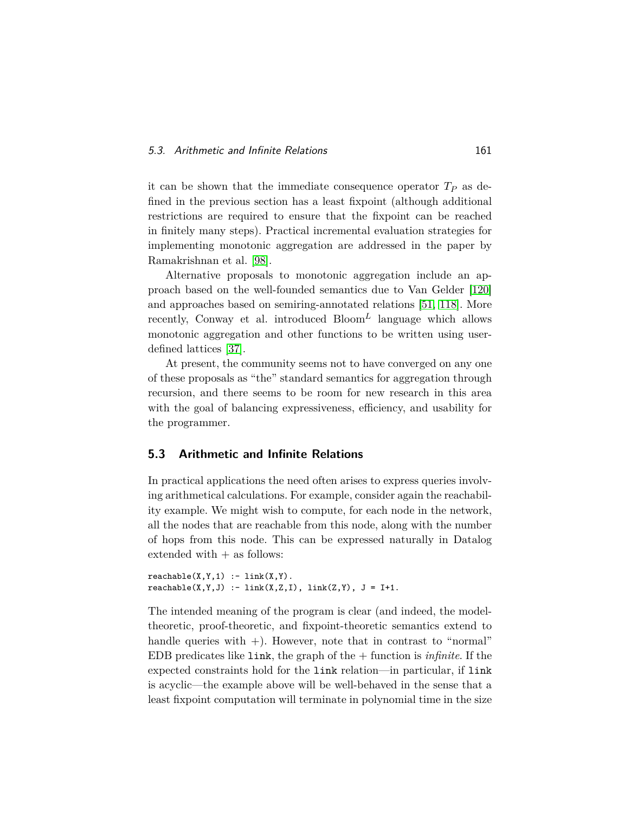it can be shown that the immediate consequence operator  $T_P$  as defined in the previous section has a least fixpoint (although additional restrictions are required to ensure that the fixpoint can be reached in finitely many steps). Practical incremental evaluation strategies for implementing monotonic aggregation are addressed in the paper by Ramakrishnan et al. [\[98\]](#page-91-4).

Alternative proposals to monotonic aggregation include an approach based on the well-founded semantics due to Van Gelder [\[120\]](#page-93-2) and approaches based on semiring-annotated relations [\[51,](#page-88-6) [118\]](#page-93-3). More recently, Conway et al. introduced Bloom*<sup>L</sup>* language which allows monotonic aggregation and other functions to be written using userdefined lattices [\[37\]](#page-87-7).

At present, the community seems not to have converged on any one of these proposals as "the" standard semantics for aggregation through recursion, and there seems to be room for new research in this area with the goal of balancing expressiveness, efficiency, and usability for the programmer.

# <span id="page-59-0"></span>**5.3 Arithmetic and Infinite Relations**

In practical applications the need often arises to express queries involving arithmetical calculations. For example, consider again the reachability example. We might wish to compute, for each node in the network, all the nodes that are reachable from this node, along with the number of hops from this node. This can be expressed naturally in Datalog extended with  $+$  as follows:

```
reachable(X, Y, 1) :- link(X, Y).reachable(X, Y, J) :- link(X, Z, I), link(Z, Y), J = I+1.
```
The intended meaning of the program is clear (and indeed, the modeltheoretic, proof-theoretic, and fixpoint-theoretic semantics extend to handle queries with  $+$ ). However, note that in contrast to "normal" EDB predicates like  $\text{link}$ , the graph of the  $+$  function is *infinite*. If the expected constraints hold for the link relation—in particular, if link is acyclic—the example above will be well-behaved in the sense that a least fixpoint computation will terminate in polynomial time in the size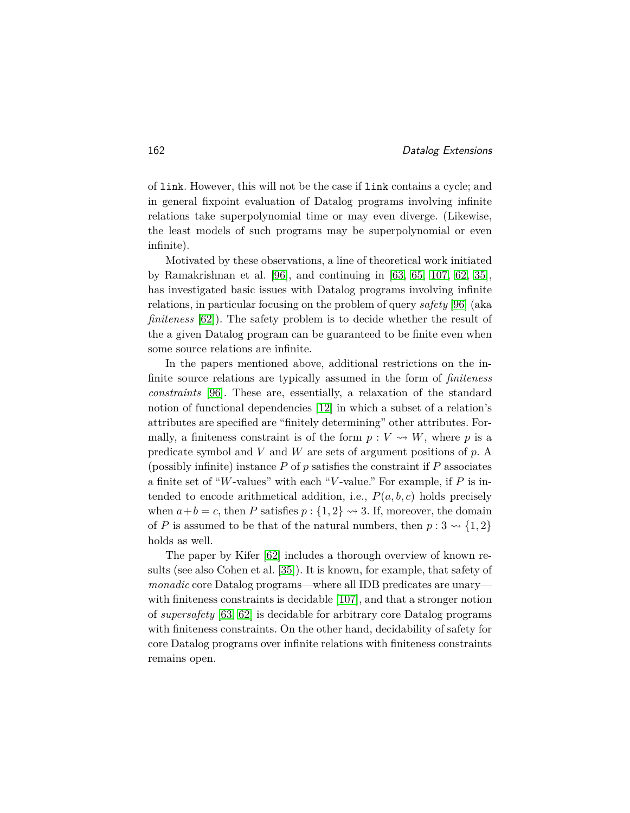of link. However, this will not be the case if link contains a cycle; and in general fixpoint evaluation of Datalog programs involving infinite relations take superpolynomial time or may even diverge. (Likewise, the least models of such programs may be superpolynomial or even infinite).

Motivated by these observations, a line of theoretical work initiated by Ramakrishnan et al. [\[96\]](#page-91-5), and continuing in [\[63,](#page-89-2) [65,](#page-89-3) [107,](#page-92-8) [62,](#page-89-4) [35\]](#page-87-8), has investigated basic issues with Datalog programs involving infinite relations, in particular focusing on the problem of query *safety* [\[96\]](#page-91-5) (aka *finiteness* [\[62\]](#page-89-4)). The safety problem is to decide whether the result of the a given Datalog program can be guaranteed to be finite even when some source relations are infinite.

In the papers mentioned above, additional restrictions on the infinite source relations are typically assumed in the form of *finiteness constraints* [\[96\]](#page-91-5). These are, essentially, a relaxation of the standard notion of functional dependencies [\[12\]](#page-85-0) in which a subset of a relation's attributes are specified are "finitely determining" other attributes. Formally, a finiteness constraint is of the form  $p: V \rightsquigarrow W$ , where p is a predicate symbol and *V* and *W* are sets of argument positions of *p*. A (possibly infinite) instance *P* of *p* satisfies the constraint if *P* associates a finite set of "*W*-values" with each "*V* -value." For example, if *P* is intended to encode arithmetical addition, i.e.,  $P(a, b, c)$  holds precisely when  $a+b=c$ , then P satisfies  $p: \{1,2\} \rightarrow 3$ . If, moreover, the domain of *P* is assumed to be that of the natural numbers, then  $p: 3 \rightarrow \{1, 2\}$ holds as well.

The paper by Kifer [\[62\]](#page-89-4) includes a thorough overview of known results (see also Cohen et al. [\[35\]](#page-87-8)). It is known, for example, that safety of *monadic* core Datalog programs—where all IDB predicates are unary with finiteness constraints is decidable [\[107\]](#page-92-8), and that a stronger notion of *supersafety* [\[63,](#page-89-2) [62\]](#page-89-4) is decidable for arbitrary core Datalog programs with finiteness constraints. On the other hand, decidability of safety for core Datalog programs over infinite relations with finiteness constraints remains open.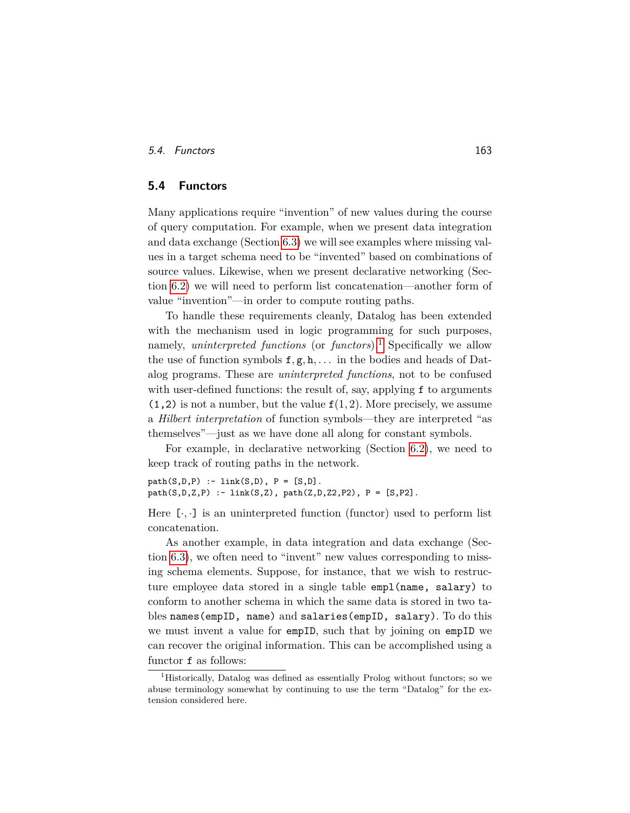#### 5.4. Functors 163

### <span id="page-61-0"></span>**5.4 Functors**

Many applications require "invention" of new values during the course of query computation. For example, when we present data integration and data exchange (Section [6.3\)](#page-73-0) we will see examples where missing values in a target schema need to be "invented" based on combinations of source values. Likewise, when we present declarative networking (Section [6.2\)](#page-70-0) we will need to perform list concatenation—another form of value "invention"—in order to compute routing paths.

To handle these requirements cleanly, Datalog has been extended with the mechanism used in logic programming for such purposes, namely, *uninterpreted functions* (or *functors*).<sup>[1](#page-61-1)</sup> Specifically we allow the use of function symbols f*,* g*,* h*, . . .* in the bodies and heads of Datalog programs. These are *uninterpreted functions*, not to be confused with user-defined functions: the result of, say, applying f to arguments  $(1,2)$  is not a number, but the value  $f(1,2)$ . More precisely, we assume a *Hilbert interpretation* of function symbols—they are interpreted "as themselves"—just as we have done all along for constant symbols.

For example, in declarative networking (Section [6.2\)](#page-70-0), we need to keep track of routing paths in the network.

 $path(S, D, P)$  :- link(S,D),  $P = [S, D]$ .  $path(S, D, Z, P)$  :- link(S,Z), path(Z,D,Z2,P2), P = [S,P2].

Here  $[\cdot, \cdot]$  is an uninterpreted function (functor) used to perform list concatenation.

As another example, in data integration and data exchange (Section [6.3\)](#page-73-0), we often need to "invent" new values corresponding to missing schema elements. Suppose, for instance, that we wish to restructure employee data stored in a single table empl(name, salary) to conform to another schema in which the same data is stored in two tables names(empID, name) and salaries(empID, salary). To do this we must invent a value for empID, such that by joining on empID we can recover the original information. This can be accomplished using a functor f as follows:

<span id="page-61-1"></span><sup>&</sup>lt;sup>1</sup>Historically, Datalog was defined as essentially Prolog without functors; so we abuse terminology somewhat by continuing to use the term "Datalog" for the extension considered here.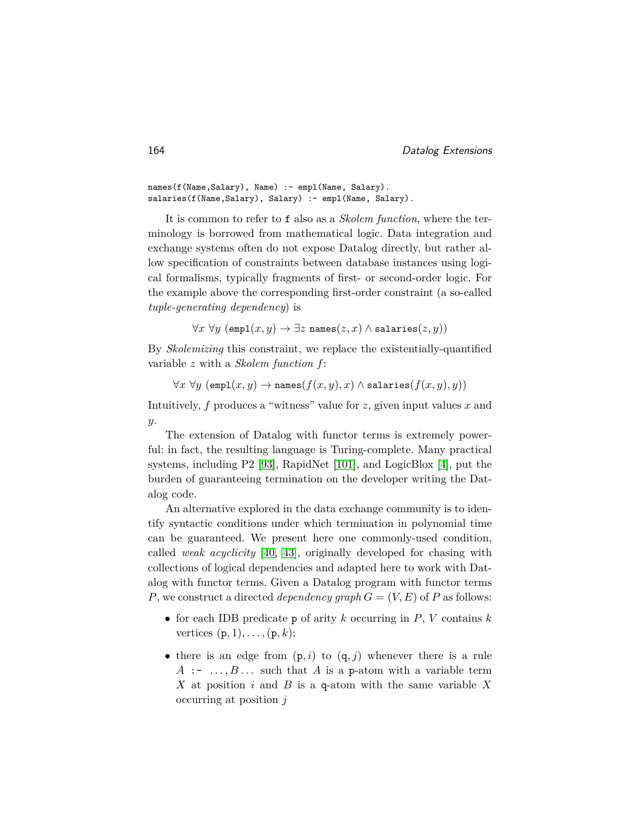```
names(f(Name,Salary), Name) :- empl(Name, Salary).
salaries(f(Name,Salary), Salary) :- empl(Name, Salary).
```
It is common to refer to f also as a *Skolem function*, where the terminology is borrowed from mathematical logic. Data integration and exchange systems often do not expose Datalog directly, but rather allow specification of constraints between database instances using logical formalisms, typically fragments of first- or second-order logic. For the example above the corresponding first-order constraint (a so-called *tuple-generating dependency*) is

∀*x* ∀*y* (empl(*x, y*) → ∃*z* names(*z, x*) ∧ salaries(*z, y*))

By *Skolemizing* this constraint, we replace the existentially-quantified variable *z* with a *Skolem function f*:

∀*x* ∀*y* (empl(*x, y*) → names(*f*(*x, y*)*, x*) ∧ salaries(*f*(*x, y*)*, y*))

Intuitively, *f* produces a "witness" value for *z*, given input values *x* and *y*.

The extension of Datalog with functor terms is extremely powerful: in fact, the resulting language is Turing-complete. Many practical systems, including P2 [\[93\]](#page-91-6), RapidNet [\[101\]](#page-92-9), and LogicBlox [\[4\]](#page-85-1), put the burden of guaranteeing termination on the developer writing the Datalog code.

An alternative explored in the data exchange community is to identify syntactic conditions under which termination in polynomial time can be guaranteed. We present here one commonly-used condition, called *weak acyclicity* [\[40,](#page-87-9) [43\]](#page-88-7), originally developed for chasing with collections of logical dependencies and adapted here to work with Datalog with functor terms. Given a Datalog program with functor terms *P*, we construct a directed *dependency graph*  $G = (V, E)$  of *P* as follows:

- for each IDB predicate p of arity *k* occurring in *P*, *V* contains *k* vertices  $(p, 1), \ldots, (p, k)$ ;
- there is an edge from  $(p, i)$  to  $(q, j)$  whenever there is a rule  $A : \dots, B \dots$  such that *A* is a p-atom with a variable term *X* at position *i* and *B* is a q-atom with the same variable *X* occurring at position *j*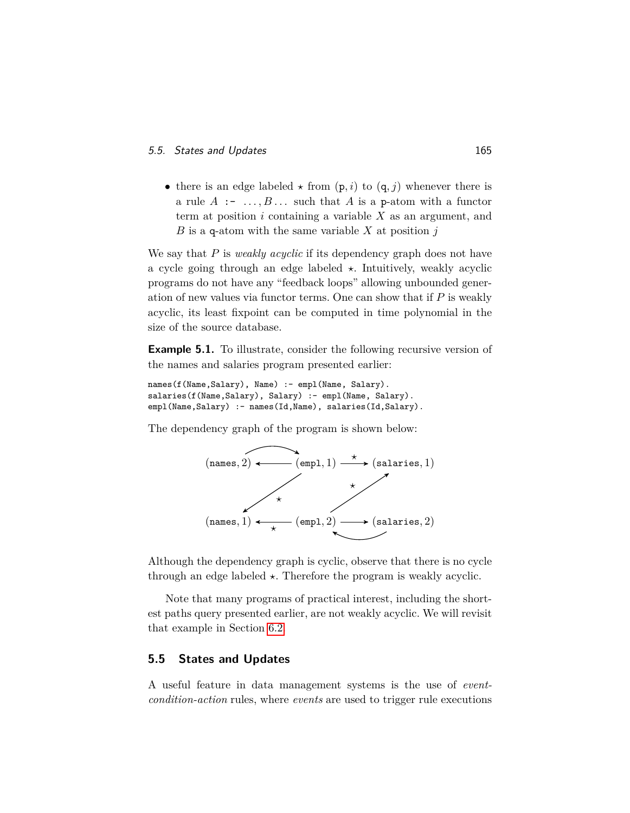### 5.5. States and Updates 165

• there is an edge labeled  $\star$  from  $(p, i)$  to  $(q, j)$  whenever there is a rule  $A : - \ldots, B \ldots$  such that  $A$  is a p-atom with a functor term at position *i* containing a variable *X* as an argument, and *B* is a q-atom with the same variable  $X$  at position  $j$ 

We say that *P* is *weakly acyclic* if its dependency graph does not have a cycle going through an edge labeled  $\star$ . Intuitively, weakly acyclic programs do not have any "feedback loops" allowing unbounded generation of new values via functor terms. One can show that if *P* is weakly acyclic, its least fixpoint can be computed in time polynomial in the size of the source database.

**Example 5.1.** To illustrate, consider the following recursive version of the names and salaries program presented earlier:

```
names(f(Name,Salary), Name) :- empl(Name, Salary).
salaries(f(Name,Salary), Salary) :- empl(Name, Salary).
empl(Name,Salary) :- names(Id,Name), salaries(Id,Salary).
```
The dependency graph of the program is shown below:



Although the dependency graph is cyclic, observe that there is no cycle through an edge labeled  $\star$ . Therefore the program is weakly acyclic.

Note that many programs of practical interest, including the shortest paths query presented earlier, are not weakly acyclic. We will revisit that example in Section [6.2.](#page-70-0)

# <span id="page-63-0"></span>**5.5 States and Updates**

A useful feature in data management systems is the use of *eventcondition-action* rules, where *events* are used to trigger rule executions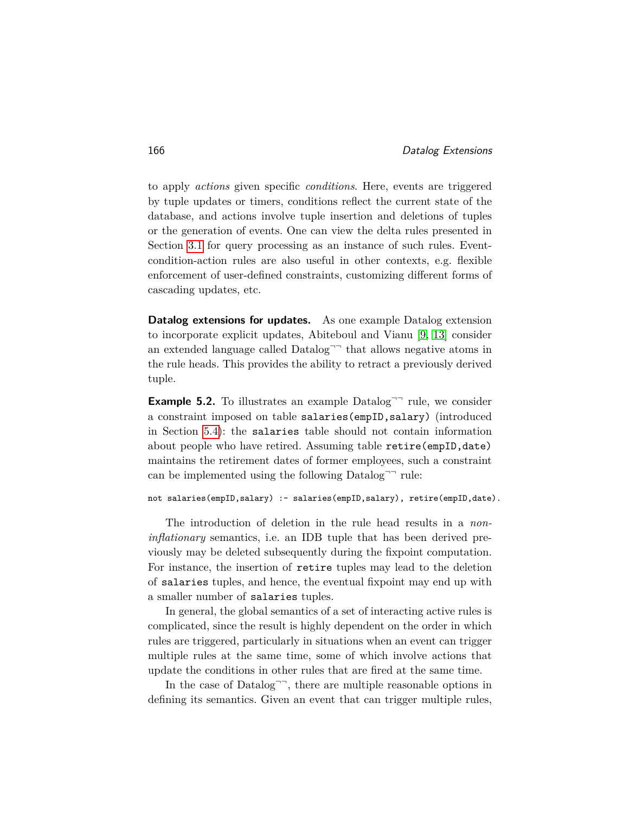to apply *actions* given specific *conditions*. Here, events are triggered by tuple updates or timers, conditions reflect the current state of the database, and actions involve tuple insertion and deletions of tuples or the generation of events. One can view the delta rules presented in Section [3.1](#page-30-0) for query processing as an instance of such rules. Eventcondition-action rules are also useful in other contexts, e.g. flexible enforcement of user-defined constraints, customizing different forms of cascading updates, etc.

**Datalog extensions for updates.** As one example Datalog extension to incorporate explicit updates, Abiteboul and Vianu [\[9,](#page-85-2) [13\]](#page-85-3) consider an extended language called  $\text{Database}^{-}$  that allows negative atoms in the rule heads. This provides the ability to retract a previously derived tuple.

**Example 5.2.** To illustrates an example Datalog<sup>--</sup> rule, we consider a constraint imposed on table salaries(empID,salary) (introduced in Section [5.4\)](#page-61-0): the salaries table should not contain information about people who have retired. Assuming table retire(empID,date) maintains the retirement dates of former employees, such a constraint can be implemented using the following  $\text{Database}$ <sup>--</sup> rule:

not salaries(empID,salary) :- salaries(empID,salary), retire(empID,date).

The introduction of deletion in the rule head results in a *noninflationary* semantics, i.e. an IDB tuple that has been derived previously may be deleted subsequently during the fixpoint computation. For instance, the insertion of retire tuples may lead to the deletion of salaries tuples, and hence, the eventual fixpoint may end up with a smaller number of salaries tuples.

In general, the global semantics of a set of interacting active rules is complicated, since the result is highly dependent on the order in which rules are triggered, particularly in situations when an event can trigger multiple rules at the same time, some of which involve actions that update the conditions in other rules that are fired at the same time.

In the case of  $\text{Database}$ <sup> $\neg$ </sup>, there are multiple reasonable options in defining its semantics. Given an event that can trigger multiple rules,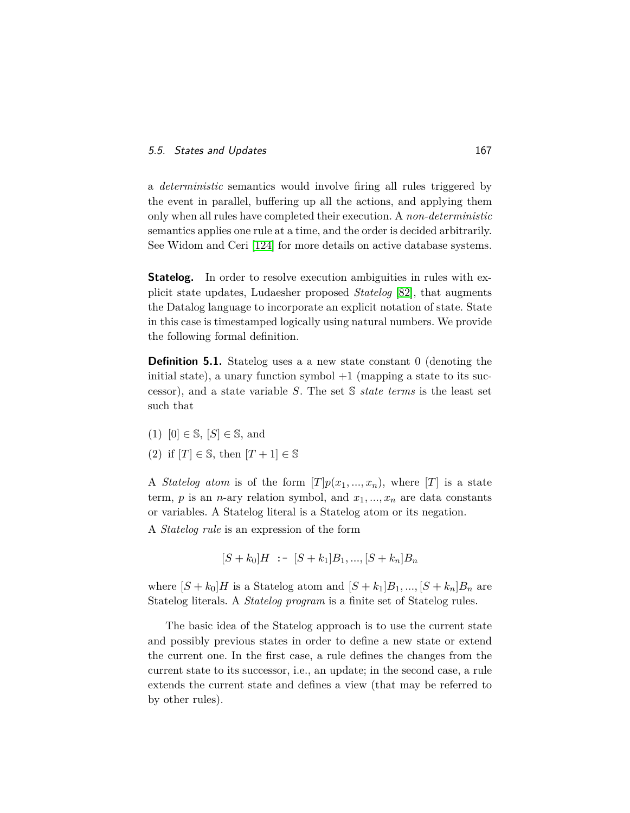a *deterministic* semantics would involve firing all rules triggered by the event in parallel, buffering up all the actions, and applying them only when all rules have completed their execution. A *non-deterministic* semantics applies one rule at a time, and the order is decided arbitrarily. See Widom and Ceri [\[124\]](#page-93-4) for more details on active database systems.

**Statelog.** In order to resolve execution ambiguities in rules with explicit state updates, Ludaesher proposed *Statelog* [\[82\]](#page-90-0), that augments the Datalog language to incorporate an explicit notation of state. State in this case is timestamped logically using natural numbers. We provide the following formal definition.

**Definition 5.1.** Statelog uses a a new state constant 0 (denoting the initial state), a unary function symbol  $+1$  (mapping a state to its successor), and a state variable *S*. The set S *state terms* is the least set such that

- (1)  $[0] \in \mathbb{S}, [S] \in \mathbb{S}, \text{ and}$
- (2) if  $[T] \in \mathbb{S}$ , then  $[T+1] \in \mathbb{S}$

A *Statelog atom* is of the form  $[T]p(x_1, ..., x_n)$ , where  $[T]$  is a state term,  $p$  is an *n*-ary relation symbol, and  $x_1, ..., x_n$  are data constants or variables. A Statelog literal is a Statelog atom or its negation.

A *Statelog rule* is an expression of the form

$$
[S + k_0]H \; : \; [S + k_1]B_1, \ldots, [S + k_n]B_n
$$

where  $[S + k_0]H$  is a Statelog atom and  $[S + k_1]B_1, ..., [S + k_n]B_n$  are Statelog literals. A *Statelog program* is a finite set of Statelog rules.

The basic idea of the Statelog approach is to use the current state and possibly previous states in order to define a new state or extend the current one. In the first case, a rule defines the changes from the current state to its successor, i.e., an update; in the second case, a rule extends the current state and defines a view (that may be referred to by other rules).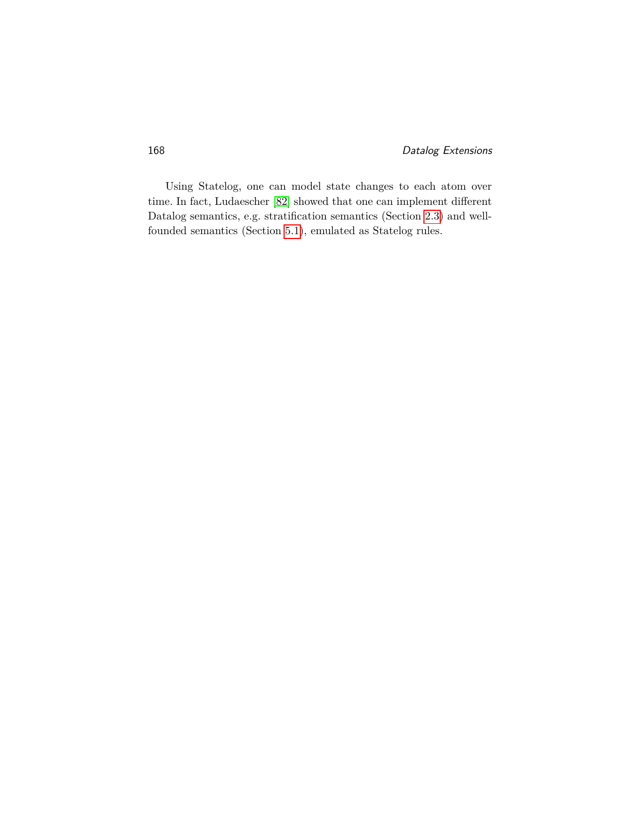Using Statelog, one can model state changes to each atom over time. In fact, Ludaescher [\[82\]](#page-90-0) showed that one can implement different Datalog semantics, e.g. stratification semantics (Section [2.3\)](#page-18-0) and wellfounded semantics (Section [5.1\)](#page-55-0), emulated as Statelog rules.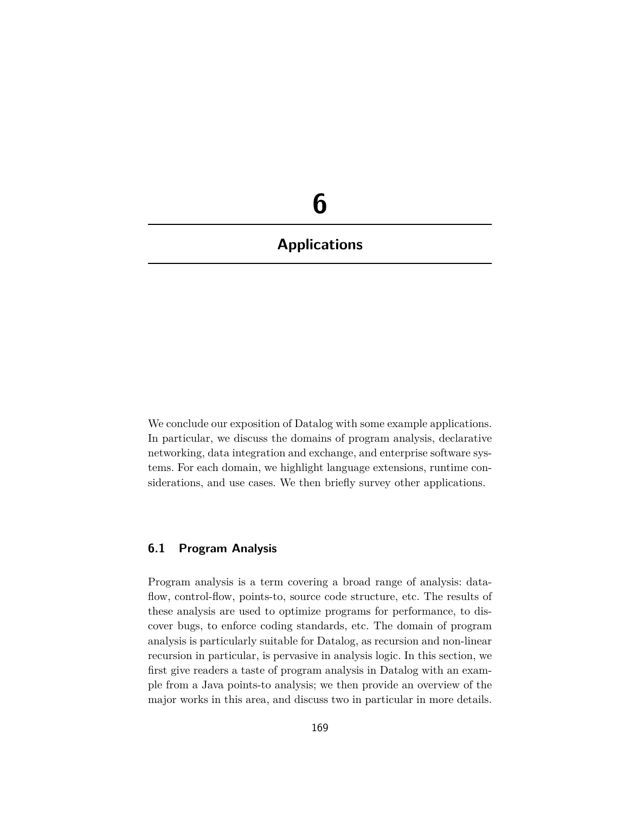# **6**

# <span id="page-67-0"></span>**Applications**

We conclude our exposition of Datalog with some example applications. In particular, we discuss the domains of program analysis, declarative networking, data integration and exchange, and enterprise software systems. For each domain, we highlight language extensions, runtime considerations, and use cases. We then briefly survey other applications.

# **6.1 Program Analysis**

Program analysis is a term covering a broad range of analysis: dataflow, control-flow, points-to, source code structure, etc. The results of these analysis are used to optimize programs for performance, to discover bugs, to enforce coding standards, etc. The domain of program analysis is particularly suitable for Datalog, as recursion and non-linear recursion in particular, is pervasive in analysis logic. In this section, we first give readers a taste of program analysis in Datalog with an example from a Java points-to analysis; we then provide an overview of the major works in this area, and discuss two in particular in more details.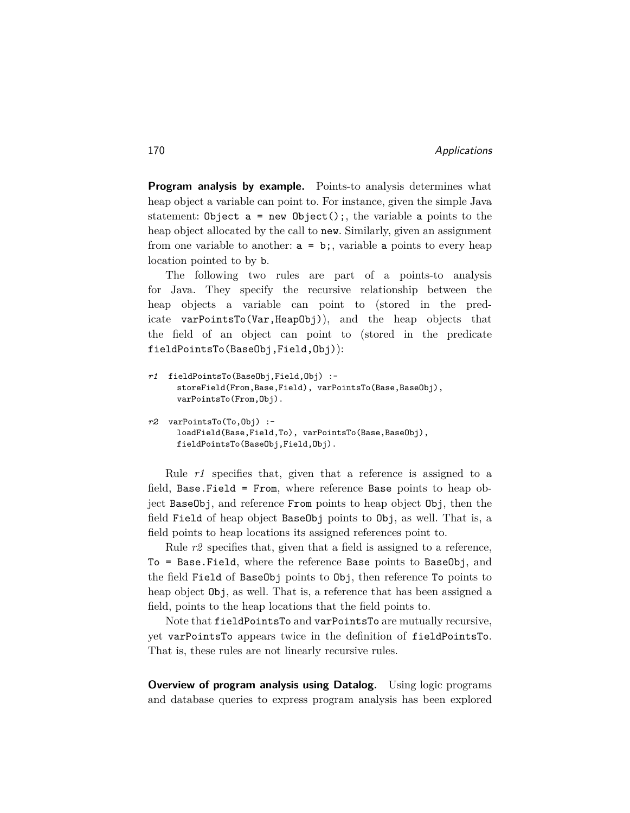**Program analysis by example.** Points-to analysis determines what heap object a variable can point to. For instance, given the simple Java statement: Object  $a = new Object()$ ;, the variable a points to the heap object allocated by the call to new. Similarly, given an assignment from one variable to another:  $a = b$ ;, variable a points to every heap location pointed to by b.

The following two rules are part of a points-to analysis for Java. They specify the recursive relationship between the heap objects a variable can point to (stored in the predicate varPointsTo(Var,HeapObj)), and the heap objects that the field of an object can point to (stored in the predicate fieldPointsTo(BaseObj,Field,Obj)):

```
r1 fieldPointsTo(BaseObj,Field,Obj) :-
      storeField(From,Base,Field), varPointsTo(Base,BaseObj),
      varPointsTo(From,Obj).
r2 varPointsTo(To,Obj) :-
      loadField(Base,Field,To), varPointsTo(Base,BaseObj),
```

```
fieldPointsTo(BaseObj,Field,Obj).
```
Rule *r1* specifies that, given that a reference is assigned to a field, Base.Field = From, where reference Base points to heap object BaseObj, and reference From points to heap object Obj, then the field Field of heap object BaseObj points to Obj, as well. That is, a field points to heap locations its assigned references point to.

Rule *r2* specifies that, given that a field is assigned to a reference, To = Base.Field, where the reference Base points to BaseObj, and the field Field of BaseObj points to Obj, then reference To points to heap object  $\mathsf{Obj}$ , as well. That is, a reference that has been assigned a field, points to the heap locations that the field points to.

Note that fieldPointsTo and varPointsTo are mutually recursive, yet varPointsTo appears twice in the definition of fieldPointsTo. That is, these rules are not linearly recursive rules.

**Overview of program analysis using Datalog.** Using logic programs and database queries to express program analysis has been explored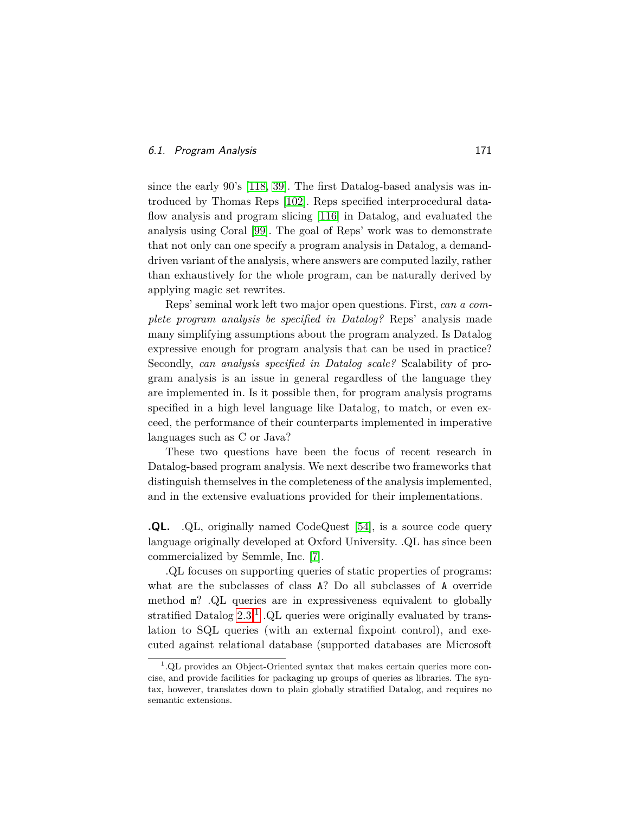### 6.1. Program Analysis 171

since the early 90's [\[118,](#page-93-3) [39\]](#page-87-10). The first Datalog-based analysis was introduced by Thomas Reps [\[102\]](#page-92-10). Reps specified interprocedural dataflow analysis and program slicing [\[116\]](#page-93-5) in Datalog, and evaluated the analysis using Coral [\[99\]](#page-91-7). The goal of Reps' work was to demonstrate that not only can one specify a program analysis in Datalog, a demanddriven variant of the analysis, where answers are computed lazily, rather than exhaustively for the whole program, can be naturally derived by applying magic set rewrites.

Reps' seminal work left two major open questions. First, *can a complete program analysis be specified in Datalog?* Reps' analysis made many simplifying assumptions about the program analyzed. Is Datalog expressive enough for program analysis that can be used in practice? Secondly, *can analysis specified in Datalog scale?* Scalability of program analysis is an issue in general regardless of the language they are implemented in. Is it possible then, for program analysis programs specified in a high level language like Datalog, to match, or even exceed, the performance of their counterparts implemented in imperative languages such as C or Java?

These two questions have been the focus of recent research in Datalog-based program analysis. We next describe two frameworks that distinguish themselves in the completeness of the analysis implemented, and in the extensive evaluations provided for their implementations.

**.QL.** .QL, originally named CodeQuest [\[54\]](#page-88-8), is a source code query language originally developed at Oxford University. .QL has since been commercialized by Semmle, Inc. [\[7\]](#page-85-4).

.QL focuses on supporting queries of static properties of programs: what are the subclasses of class A? Do all subclasses of A override method m? .QL queries are in expressiveness equivalent to globally stratified Datalog  $2.3<sup>1</sup>$  $2.3<sup>1</sup>$  $2.3<sup>1</sup>$  .QL queries were originally evaluated by translation to SQL queries (with an external fixpoint control), and executed against relational database (supported databases are Microsoft

<span id="page-69-0"></span><sup>&</sup>lt;sup>1</sup>.QL provides an Object-Oriented syntax that makes certain queries more concise, and provide facilities for packaging up groups of queries as libraries. The syntax, however, translates down to plain globally stratified Datalog, and requires no semantic extensions.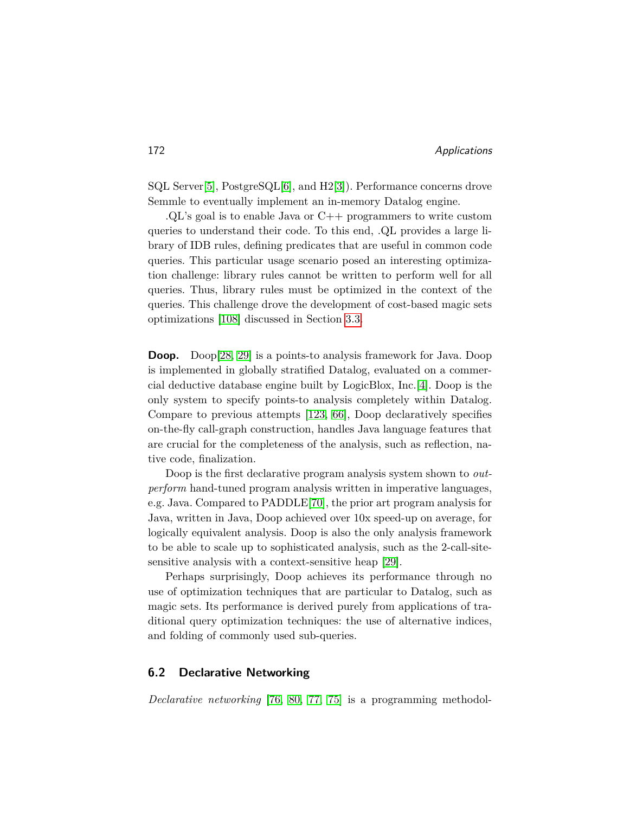SQL Server[\[5\]](#page-85-5), PostgreSQL[\[6\]](#page-85-6), and H2[\[3\]](#page-85-7)). Performance concerns drove Semmle to eventually implement an in-memory Datalog engine.

 $.QL's goal is to enable Java or C++ programmers to write custom.$ queries to understand their code. To this end, .QL provides a large library of IDB rules, defining predicates that are useful in common code queries. This particular usage scenario posed an interesting optimization challenge: library rules cannot be written to perform well for all queries. Thus, library rules must be optimized in the context of the queries. This challenge drove the development of cost-based magic sets optimizations [\[108\]](#page-92-0) discussed in Section [3.3.](#page-39-0)

**Doop.** Doop[\[28,](#page-86-2) [29\]](#page-86-3) is a points-to analysis framework for Java. Doop is implemented in globally stratified Datalog, evaluated on a commercial deductive database engine built by LogicBlox, Inc.[\[4\]](#page-85-1). Doop is the only system to specify points-to analysis completely within Datalog. Compare to previous attempts [\[123,](#page-93-6) [66\]](#page-89-5), Doop declaratively specifies on-the-fly call-graph construction, handles Java language features that are crucial for the completeness of the analysis, such as reflection, native code, finalization.

Doop is the first declarative program analysis system shown to *outperform* hand-tuned program analysis written in imperative languages, e.g. Java. Compared to PADDLE[\[70\]](#page-89-6), the prior art program analysis for Java, written in Java, Doop achieved over 10x speed-up on average, for logically equivalent analysis. Doop is also the only analysis framework to be able to scale up to sophisticated analysis, such as the 2-call-sitesensitive analysis with a context-sensitive heap [\[29\]](#page-86-3).

Perhaps surprisingly, Doop achieves its performance through no use of optimization techniques that are particular to Datalog, such as magic sets. Its performance is derived purely from applications of traditional query optimization techniques: the use of alternative indices, and folding of commonly used sub-queries.

# <span id="page-70-0"></span>**6.2 Declarative Networking**

*Declarative networking* [\[76,](#page-90-1) [80,](#page-90-2) [77,](#page-90-3) [75\]](#page-90-4) is a programming methodol-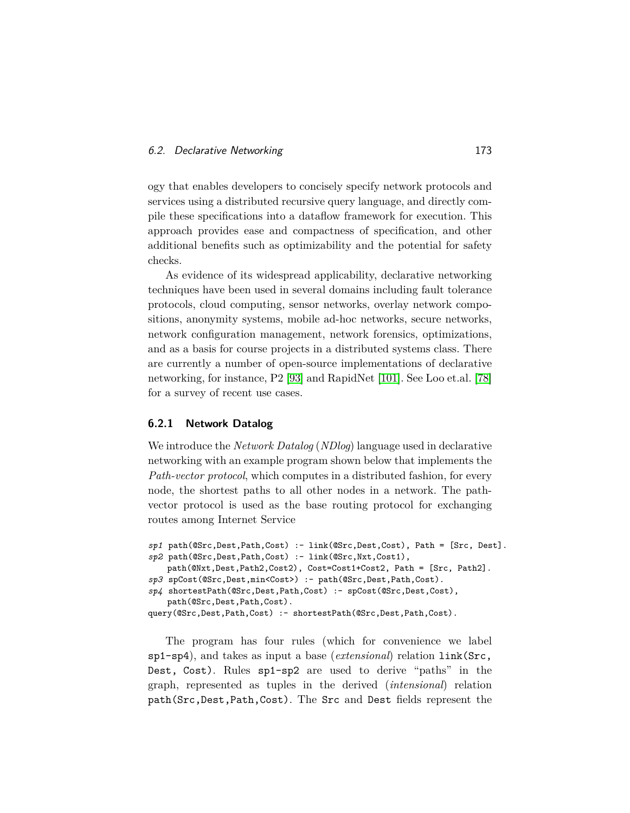ogy that enables developers to concisely specify network protocols and services using a distributed recursive query language, and directly compile these specifications into a dataflow framework for execution. This approach provides ease and compactness of specification, and other additional benefits such as optimizability and the potential for safety checks.

As evidence of its widespread applicability, declarative networking techniques have been used in several domains including fault tolerance protocols, cloud computing, sensor networks, overlay network compositions, anonymity systems, mobile ad-hoc networks, secure networks, network configuration management, network forensics, optimizations, and as a basis for course projects in a distributed systems class. There are currently a number of open-source implementations of declarative networking, for instance, P2 [\[93\]](#page-91-6) and RapidNet [\[101\]](#page-92-9). See Loo et.al. [\[78\]](#page-90-5) for a survey of recent use cases.

#### **6.2.1 Network Datalog**

We introduce the *Network Datalog* (*NDlog*) language used in declarative networking with an example program shown below that implements the *Path-vector protocol*, which computes in a distributed fashion, for every node, the shortest paths to all other nodes in a network. The pathvector protocol is used as the base routing protocol for exchanging routes among Internet Service

```
sp1 path(@Src,Dest,Path,Cost) :- link(@Src,Dest,Cost), Path = [Src, Dest].
sp2 path(@Src,Dest,Path,Cost) :- link(@Src,Nxt,Cost1),
    path(@Nxt,Dest,Path2,Cost2), Cost=Cost1+Cost2, Path = [Src, Path2].
sp3 spCost(@Src,Dest,min<Cost>) :- path(@Src,Dest,Path,Cost).
sp4 shortestPath(@Src,Dest,Path,Cost) :- spCost(@Src,Dest,Cost),
    path(@Src,Dest,Path,Cost).
query(@Src,Dest,Path,Cost) :- shortestPath(@Src,Dest,Path,Cost).
```
The program has four rules (which for convenience we label sp1-sp4), and takes as input a base (*extensional*) relation link(Src, Dest, Cost). Rules sp1-sp2 are used to derive "paths" in the graph, represented as tuples in the derived (*intensional*) relation path(Src,Dest,Path,Cost). The Src and Dest fields represent the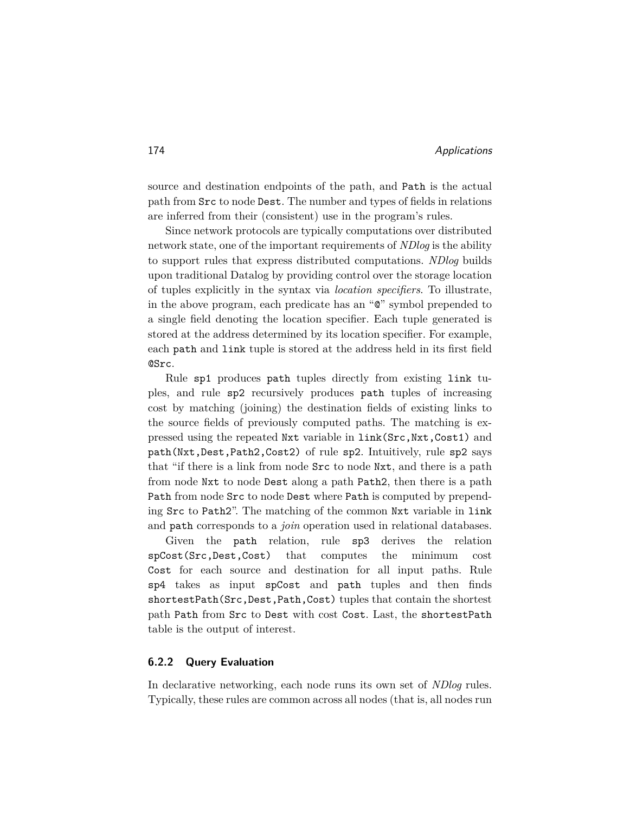source and destination endpoints of the path, and Path is the actual path from Src to node Dest. The number and types of fields in relations are inferred from their (consistent) use in the program's rules.

Since network protocols are typically computations over distributed network state, one of the important requirements of *NDlog* is the ability to support rules that express distributed computations. *NDlog* builds upon traditional Datalog by providing control over the storage location of tuples explicitly in the syntax via *location specifiers*. To illustrate, in the above program, each predicate has an "@" symbol prepended to a single field denoting the location specifier. Each tuple generated is stored at the address determined by its location specifier. For example, each path and link tuple is stored at the address held in its first field @Src.

Rule sp1 produces path tuples directly from existing link tuples, and rule sp2 recursively produces path tuples of increasing cost by matching (joining) the destination fields of existing links to the source fields of previously computed paths. The matching is expressed using the repeated Nxt variable in link(Src,Nxt,Cost1) and path(Nxt,Dest,Path2,Cost2) of rule sp2. Intuitively, rule sp2 says that "if there is a link from node Src to node Nxt, and there is a path from node Nxt to node Dest along a path Path2, then there is a path Path from node Src to node Dest where Path is computed by prepending Src to Path2". The matching of the common Nxt variable in link and path corresponds to a *join* operation used in relational databases.

Given the path relation, rule sp3 derives the relation spCost(Src,Dest,Cost) that computes the minimum cost Cost for each source and destination for all input paths. Rule sp4 takes as input spCost and path tuples and then finds shortestPath(Src,Dest,Path,Cost) tuples that contain the shortest path Path from Src to Dest with cost Cost. Last, the shortestPath table is the output of interest.

## **6.2.2 Query Evaluation**

In declarative networking, each node runs its own set of *NDlog* rules. Typically, these rules are common across all nodes (that is, all nodes run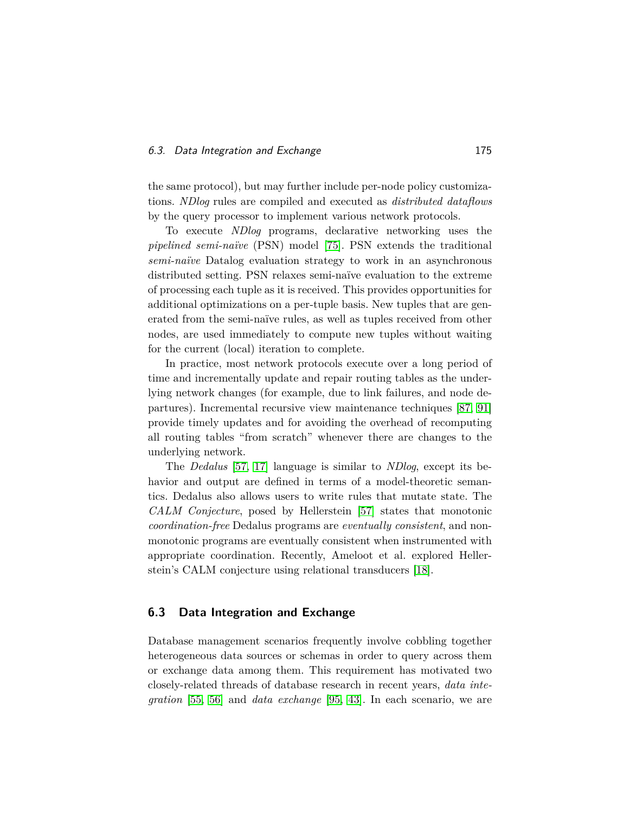the same protocol), but may further include per-node policy customizations. *NDlog* rules are compiled and executed as *distributed dataflows* by the query processor to implement various network protocols.

To execute *NDlog* programs, declarative networking uses the *pipelined semi-naïve* (PSN) model [\[75\]](#page-90-0). PSN extends the traditional *semi-naïve* Datalog evaluation strategy to work in an asynchronous distributed setting. PSN relaxes semi-naïve evaluation to the extreme of processing each tuple as it is received. This provides opportunities for additional optimizations on a per-tuple basis. New tuples that are generated from the semi-naïve rules, as well as tuples received from other nodes, are used immediately to compute new tuples without waiting for the current (local) iteration to complete.

In practice, most network protocols execute over a long period of time and incrementally update and repair routing tables as the underlying network changes (for example, due to link failures, and node departures). Incremental recursive view maintenance techniques [\[87,](#page-91-0) [91\]](#page-91-1) provide timely updates and for avoiding the overhead of recomputing all routing tables "from scratch" whenever there are changes to the underlying network.

The *Dedalus* [\[57,](#page-88-0) [17\]](#page-86-0) language is similar to *NDlog*, except its behavior and output are defined in terms of a model-theoretic semantics. Dedalus also allows users to write rules that mutate state. The *CALM Conjecture*, posed by Hellerstein [\[57\]](#page-88-0) states that monotonic *coordination-free* Dedalus programs are *eventually consistent*, and nonmonotonic programs are eventually consistent when instrumented with appropriate coordination. Recently, Ameloot et al. explored Hellerstein's CALM conjecture using relational transducers [\[18\]](#page-86-1).

## **6.3 Data Integration and Exchange**

Database management scenarios frequently involve cobbling together heterogeneous data sources or schemas in order to query across them or exchange data among them. This requirement has motivated two closely-related threads of database research in recent years, *data integration* [\[55,](#page-88-1) [56\]](#page-88-2) and *data exchange* [\[95,](#page-91-2) [43\]](#page-88-3). In each scenario, we are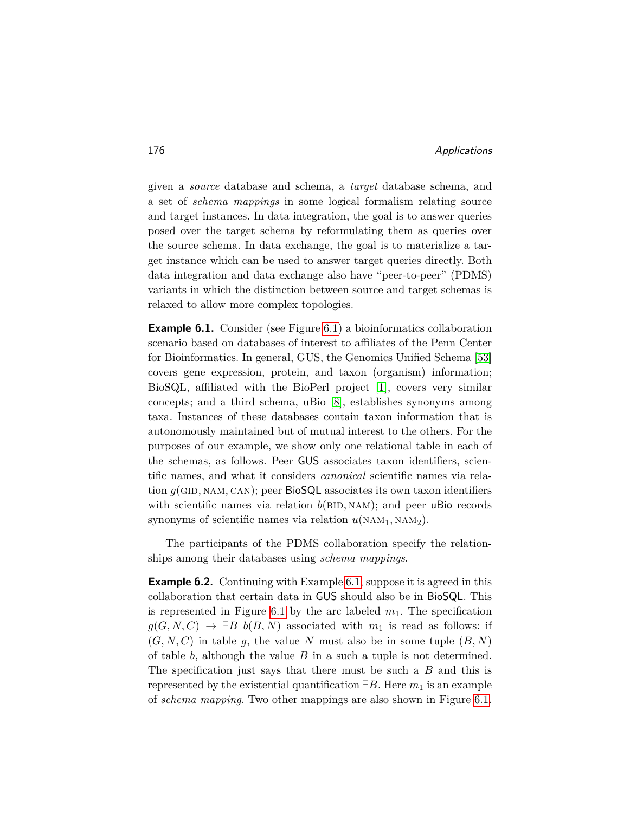given a *source* database and schema, a *target* database schema, and a set of *schema mappings* in some logical formalism relating source and target instances. In data integration, the goal is to answer queries posed over the target schema by reformulating them as queries over the source schema. In data exchange, the goal is to materialize a target instance which can be used to answer target queries directly. Both data integration and data exchange also have "peer-to-peer" (PDMS) variants in which the distinction between source and target schemas is relaxed to allow more complex topologies.

<span id="page-74-0"></span>**Example 6.1.** Consider (see Figure [6.1\)](#page-75-0) a bioinformatics collaboration scenario based on databases of interest to affiliates of the Penn Center for Bioinformatics. In general, GUS, the Genomics Unified Schema [\[53\]](#page-88-4) covers gene expression, protein, and taxon (organism) information; BioSQL, affiliated with the BioPerl project [\[1\]](#page-85-0), covers very similar concepts; and a third schema, uBio [\[8\]](#page-85-1), establishes synonyms among taxa. Instances of these databases contain taxon information that is autonomously maintained but of mutual interest to the others. For the purposes of our example, we show only one relational table in each of the schemas, as follows. Peer GUS associates taxon identifiers, scientific names, and what it considers *canonical* scientific names via relation  $g(GID, NAM, CAN)$ ; peer  $BioSQL$  associates its own taxon identifiers with scientific names via relation  $b(BID, NAM)$ ; and peer uBio records synonyms of scientific names via relation  $u(NAM_1, NAM_2)$ .

The participants of the PDMS collaboration specify the relationships among their databases using *schema mappings*.

**Example 6.2.** Continuing with Example [6.1,](#page-74-0) suppose it is agreed in this collaboration that certain data in GUS should also be in BioSQL. This is represented in Figure [6.1](#page-75-0) by the arc labeled  $m_1$ . The specification  $g(G, N, C) \rightarrow \exists B \; b(B, N)$  associated with  $m_1$  is read as follows: if  $(G, N, C)$  in table g, the value N must also be in some tuple  $(B, N)$ of table *b*, although the value *B* in a such a tuple is not determined. The specification just says that there must be such a *B* and this is represented by the existential quantification ∃*B*. Here *m*<sup>1</sup> is an example of *schema mapping*. Two other mappings are also shown in Figure [6.1.](#page-75-0)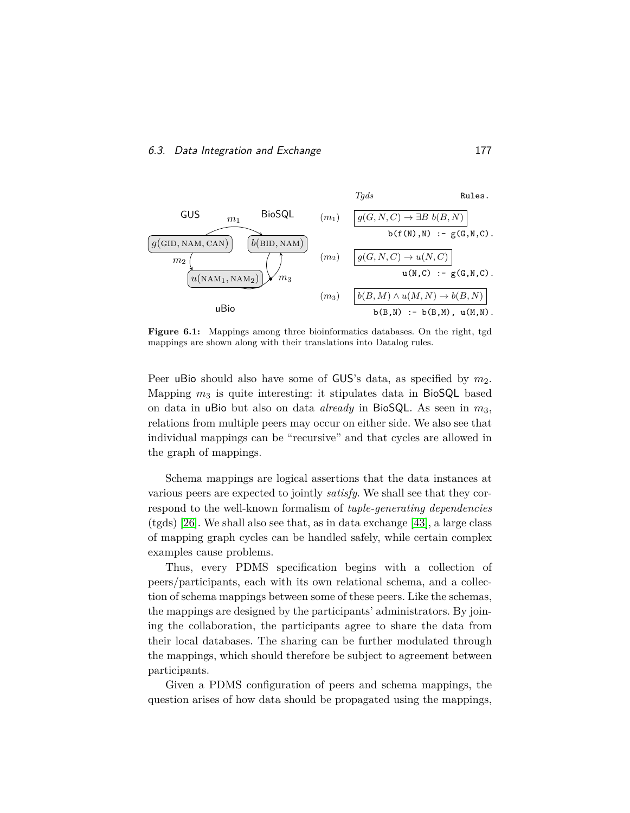## 6.3. Data Integration and Exchange 177

<span id="page-75-0"></span>

**Figure 6.1:** Mappings among three bioinformatics databases. On the right, tgd mappings are shown along with their translations into Datalog rules.

Peer uBio should also have some of GUS's data, as specified by *m*2. Mapping *m*<sup>3</sup> is quite interesting: it stipulates data in BioSQL based on data in uBio but also on data *already* in BioSQL. As seen in *m*3, relations from multiple peers may occur on either side. We also see that individual mappings can be "recursive" and that cycles are allowed in the graph of mappings.

Schema mappings are logical assertions that the data instances at various peers are expected to jointly *satisfy*. We shall see that they correspond to the well-known formalism of *tuple-generating dependencies* (tgds) [\[26\]](#page-86-2). We shall also see that, as in data exchange [\[43\]](#page-88-3), a large class of mapping graph cycles can be handled safely, while certain complex examples cause problems.

Thus, every PDMS specification begins with a collection of peers/participants, each with its own relational schema, and a collection of schema mappings between some of these peers. Like the schemas, the mappings are designed by the participants' administrators. By joining the collaboration, the participants agree to share the data from their local databases. The sharing can be further modulated through the mappings, which should therefore be subject to agreement between participants.

Given a PDMS configuration of peers and schema mappings, the question arises of how data should be propagated using the mappings,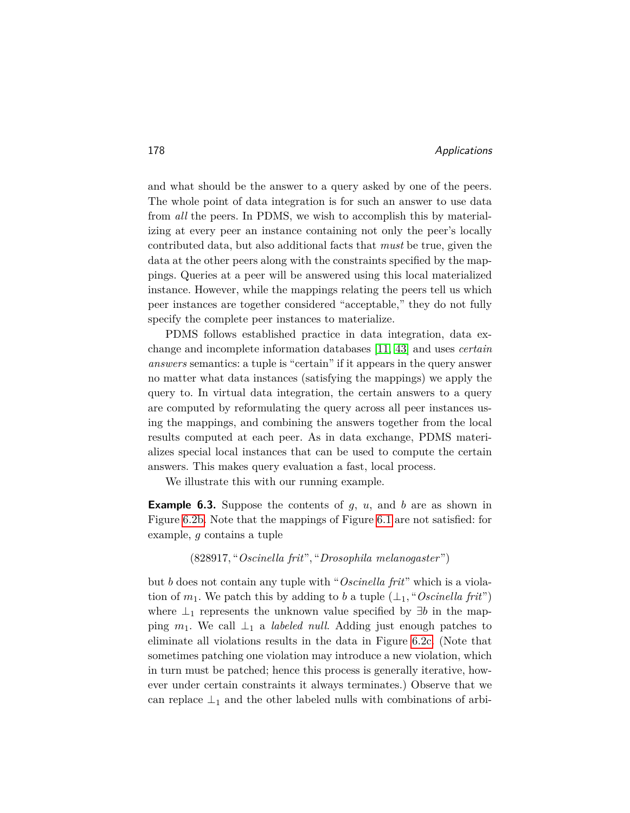and what should be the answer to a query asked by one of the peers. The whole point of data integration is for such an answer to use data from *all* the peers. In PDMS, we wish to accomplish this by materializing at every peer an instance containing not only the peer's locally contributed data, but also additional facts that *must* be true, given the data at the other peers along with the constraints specified by the mappings. Queries at a peer will be answered using this local materialized instance. However, while the mappings relating the peers tell us which peer instances are together considered "acceptable," they do not fully specify the complete peer instances to materialize.

PDMS follows established practice in data integration, data exchange and incomplete information databases [\[11,](#page-85-2) [43\]](#page-88-3) and uses *certain answers* semantics: a tuple is "certain" if it appears in the query answer no matter what data instances (satisfying the mappings) we apply the query to. In virtual data integration, the certain answers to a query are computed by reformulating the query across all peer instances using the mappings, and combining the answers together from the local results computed at each peer. As in data exchange, PDMS materializes special local instances that can be used to compute the certain answers. This makes query evaluation a fast, local process.

We illustrate this with our running example.

**Example 6.3.** Suppose the contents of *g*, *u*, and *b* are as shown in Figure [6.2b.](#page-77-0) Note that the mappings of Figure [6.1](#page-75-0) are not satisfied: for example, *g* contains a tuple

(828917*,* "*Oscinella frit*"*,* "*Drosophila melanogaster*")

but *b* does not contain any tuple with "*Oscinella frit*" which is a violation of  $m_1$ . We patch this by adding to *b* a tuple  $(\perp_1, "Oscinella frit")$ where  $\perp_1$  represents the unknown value specified by  $\exists b$  in the mapping  $m_1$ . We call  $\perp_1$  a *labeled null*. Adding just enough patches to eliminate all violations results in the data in Figure [6.2c.](#page-77-0) (Note that sometimes patching one violation may introduce a new violation, which in turn must be patched; hence this process is generally iterative, however under certain constraints it always terminates.) Observe that we can replace  $\perp_1$  and the other labeled nulls with combinations of arbi-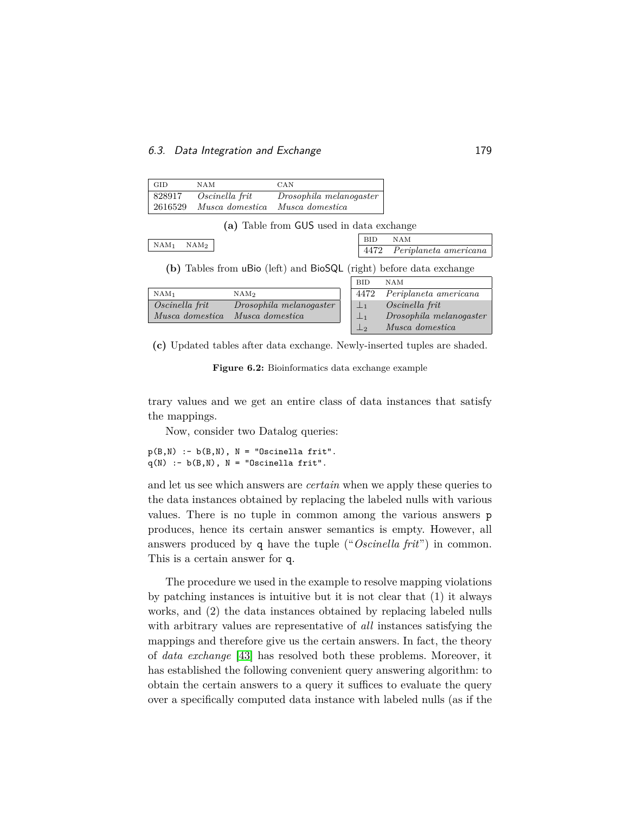## 6.3. Data Integration and Exchange 179

 $NAM<sub>1</sub>$   $NAM<sub>2</sub>$ 

<span id="page-77-0"></span>

| $\mid$ GID | NAM             | CAN                     |
|------------|-----------------|-------------------------|
| 828917     | Oscinella frit  | Drosophila melanogaster |
| $2616529$  | Musca domestica | Musca domestica         |

**(a)** Table from GUS used in data exchange

| <b>RID</b> | NAM                   |
|------------|-----------------------|
|            | Periplaneta americana |

**(b)** Tables from uBio (left) and BioSQL (right) before data exchange

|                 |                         | <b>BID</b> | NAM                        |
|-----------------|-------------------------|------------|----------------------------|
| $NAM_1$         | NAM <sub>2</sub>        |            | 4472 Periplaneta americana |
| Oscinella frit  | Drosophila melanogaster | $\perp$ 1  | Oscinella frit             |
| Musca domestica | Musca domestica         |            | Drosophila melanogaster    |
|                 |                         |            | Musca domestica            |

**(c)** Updated tables after data exchange. Newly-inserted tuples are shaded.

**Figure 6.2:** Bioinformatics data exchange example

trary values and we get an entire class of data instances that satisfy the mappings.

Now, consider two Datalog queries:

 $p(B,N)$  :-  $b(B,N)$ ,  $N =$  "Oscinella frit".  $q(N)$  :-  $b(B,N)$ ,  $N =$  "Oscinella frit".

and let us see which answers are *certain* when we apply these queries to the data instances obtained by replacing the labeled nulls with various values. There is no tuple in common among the various answers p produces, hence its certain answer semantics is empty. However, all answers produced by q have the tuple ("*Oscinella frit*") in common. This is a certain answer for q.

The procedure we used in the example to resolve mapping violations by patching instances is intuitive but it is not clear that (1) it always works, and (2) the data instances obtained by replacing labeled nulls with arbitrary values are representative of *all* instances satisfying the mappings and therefore give us the certain answers. In fact, the theory of *data exchange* [\[43\]](#page-88-3) has resolved both these problems. Moreover, it has established the following convenient query answering algorithm: to obtain the certain answers to a query it suffices to evaluate the query over a specifically computed data instance with labeled nulls (as if the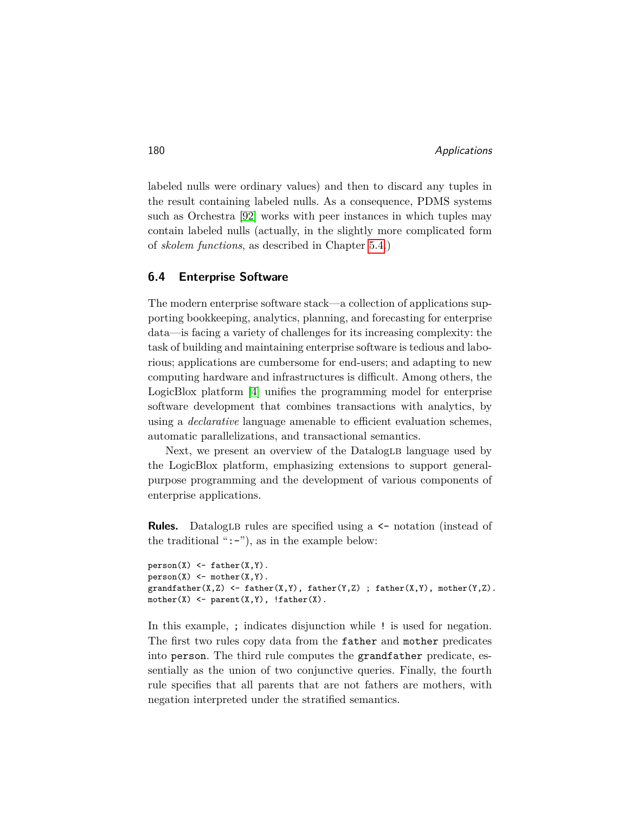labeled nulls were ordinary values) and then to discard any tuples in the result containing labeled nulls. As a consequence, PDMS systems such as Orchestra [\[92\]](#page-91-3) works with peer instances in which tuples may contain labeled nulls (actually, in the slightly more complicated form of *skolem functions*, as described in Chapter [5.4.](#page-61-0))

#### **6.4 Enterprise Software**

The modern enterprise software stack—a collection of applications supporting bookkeeping, analytics, planning, and forecasting for enterprise data—is facing a variety of challenges for its increasing complexity: the task of building and maintaining enterprise software is tedious and laborious; applications are cumbersome for end-users; and adapting to new computing hardware and infrastructures is difficult. Among others, the LogicBlox platform [\[4\]](#page-85-3) unifies the programming model for enterprise software development that combines transactions with analytics, by using a *declarative* language amenable to efficient evaluation schemes, automatic parallelizations, and transactional semantics.

Next, we present an overview of the Datalog<sub>LB</sub> language used by the LogicBlox platform, emphasizing extensions to support generalpurpose programming and the development of various components of enterprise applications.

**Rules.** Datalog<sub>LB</sub> rules are specified using a  $\leq$ - notation (instead of the traditional " $:-$ "), as in the example below:

```
person(X) \leftarrow father(X,Y).
person(X) \leftarrow mother(X,Y).
grandfather(X,Z) \leftarrow father(X,Y), father(Y,Z); father(X,Y), mother(Y,Z).
mother(X) \leq parent(X,Y), !father(X).
```
In this example, ; indicates disjunction while ! is used for negation. The first two rules copy data from the father and mother predicates into person. The third rule computes the grandfather predicate, essentially as the union of two conjunctive queries. Finally, the fourth rule specifies that all parents that are not fathers are mothers, with negation interpreted under the stratified semantics.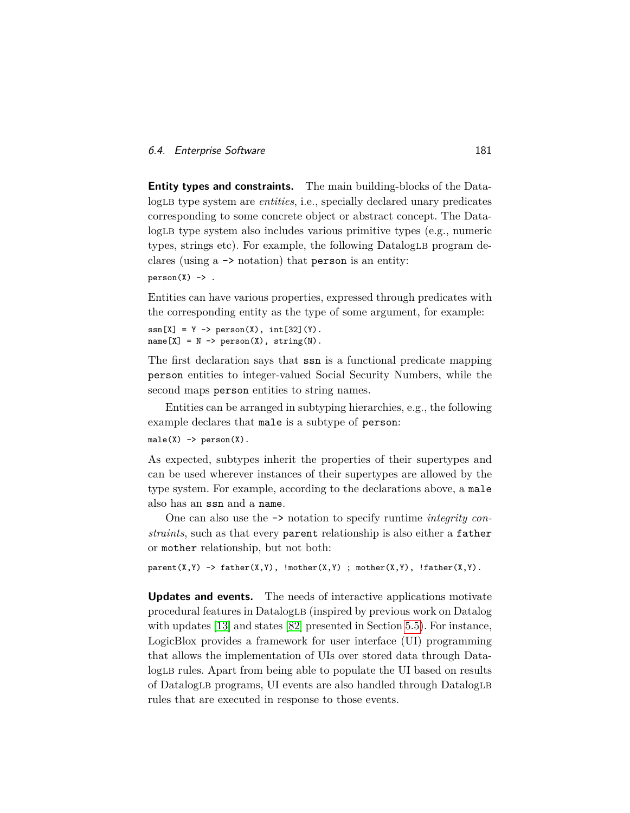**Entity types and constraints.** The main building-blocks of the Dataloglb type system are *entities*, i.e., specially declared unary predicates corresponding to some concrete object or abstract concept. The Dataloglb type system also includes various primitive types (e.g., numeric types, strings etc). For example, the following DatalogLB program declares (using a -> notation) that person is an entity:  $person(X) \rightarrow$ .

Entities can have various properties, expressed through predicates with the corresponding entity as the type of some argument, for example:

```
ssn[X] = Y \rightarrow person(X), int[32](Y).
name[X] = N \rightarrow person(X), string(N).
```
The first declaration says that ssn is a functional predicate mapping person entities to integer-valued Social Security Numbers, while the second maps person entities to string names.

Entities can be arranged in subtyping hierarchies, e.g., the following example declares that male is a subtype of person:

 $male(X)$  ->  $person(X)$ .

As expected, subtypes inherit the properties of their supertypes and can be used wherever instances of their supertypes are allowed by the type system. For example, according to the declarations above, a male also has an ssn and a name.

One can also use the -> notation to specify runtime *integrity constraints*, such as that every parent relationship is also either a father or mother relationship, but not both:

```
parent(X, Y) \rightarrow father(X, Y), !mother(X, Y); mother(X, Y), !father(X, Y).
```
**Updates and events.** The needs of interactive applications motivate procedural features in DatalogLB (inspired by previous work on Datalog with updates [\[13\]](#page-85-4) and states [\[82\]](#page-90-1) presented in Section [5.5\)](#page-63-0). For instance, LogicBlox provides a framework for user interface (UI) programming that allows the implementation of UIs over stored data through Datalog<sub>LB</sub> rules. Apart from being able to populate the UI based on results of DatalogLB programs, UI events are also handled through DatalogLB rules that are executed in response to those events.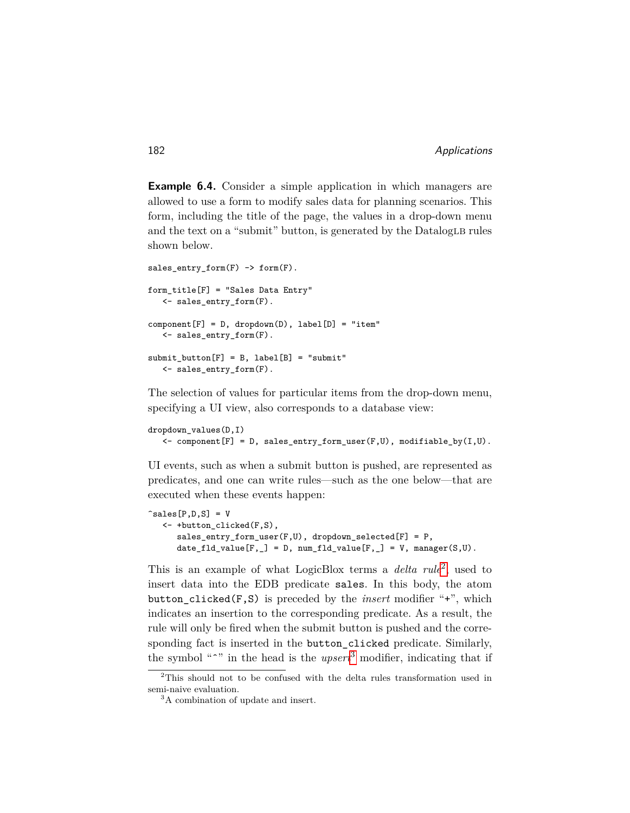**Example 6.4.** Consider a simple application in which managers are allowed to use a form to modify sales data for planning scenarios. This form, including the title of the page, the values in a drop-down menu and the text on a "submit" button, is generated by the DatalogLB rules shown below.

```
sales_entry_form(F) -> form(F).
form title[F] = "Sales Data Entry"
   <- sales_entry_form(F).
component[F] = D, dropdown(D), label[D] = "item"<- sales_entry_form(F).
submit button[F] = B, label[B] = "submit"<- sales_entry_form(F).
```
The selection of values for particular items from the drop-down menu, specifying a UI view, also corresponds to a database view:

```
dropdown_values(D,I)
   <- component[F] = D, sales_entry_form_user(F,U), modifiable_by(I,U).
```
UI events, such as when a submit button is pushed, are represented as predicates, and one can write rules—such as the one below—that are executed when these events happen:

```
\hat{}sales[P,D,S] = V<- +button_clicked(F,S),
      sales entry form user(F,U), dropdown selected[F] = P,
      date_fld_value[F,_] = D, num_fld_value[F,_] = V, manager(S,U).
```
This is an example of what LogicBlox terms a *delta rule*<sup>[2](#page-80-0)</sup>, used to insert data into the EDB predicate sales. In this body, the atom button\_clicked(F,S) is preceded by the *insert* modifier "+", which indicates an insertion to the corresponding predicate. As a result, the rule will only be fired when the submit button is pushed and the corresponding fact is inserted in the button\_clicked predicate. Similarly, the symbol "ˆ" in the head is the *upsert*[3](#page-80-1) modifier, indicating that if

<span id="page-80-0"></span><sup>2</sup>This should not to be confused with the delta rules transformation used in semi-naive evaluation.

<span id="page-80-1"></span><sup>3</sup>A combination of update and insert.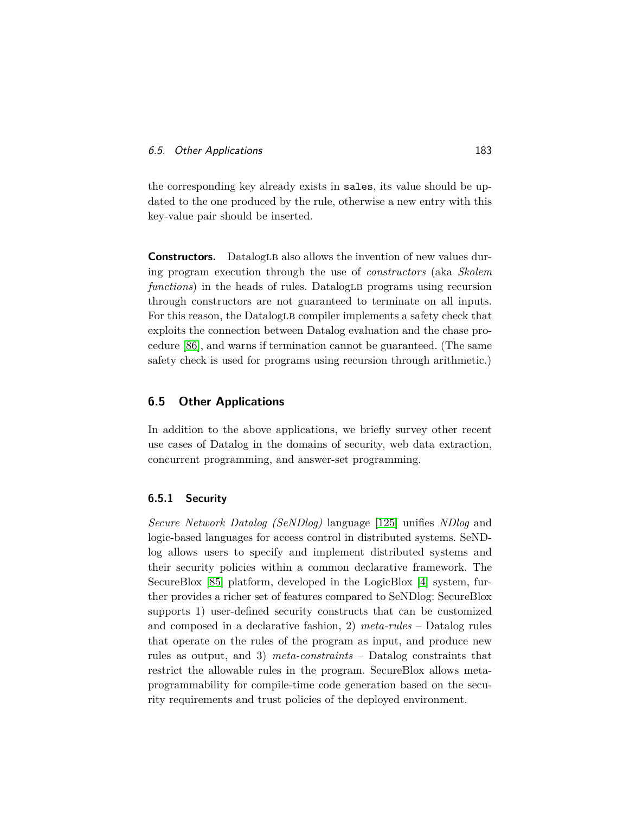the corresponding key already exists in sales, its value should be updated to the one produced by the rule, otherwise a new entry with this key-value pair should be inserted.

**Constructors.** Datalog<sub>LB</sub> also allows the invention of new values during program execution through the use of *constructors* (aka *Skolem functions*) in the heads of rules. Datalogle programs using recursion through constructors are not guaranteed to terminate on all inputs. For this reason, the Datalog<sub>LB</sub> compiler implements a safety check that exploits the connection between Datalog evaluation and the chase procedure [\[86\]](#page-91-4), and warns if termination cannot be guaranteed. (The same safety check is used for programs using recursion through arithmetic.)

## **6.5 Other Applications**

In addition to the above applications, we briefly survey other recent use cases of Datalog in the domains of security, web data extraction, concurrent programming, and answer-set programming.

## **6.5.1 Security**

*Secure Network Datalog (SeNDlog)* language [\[125\]](#page-93-0) unifies *NDlog* and logic-based languages for access control in distributed systems. SeNDlog allows users to specify and implement distributed systems and their security policies within a common declarative framework. The SecureBlox [\[85\]](#page-90-2) platform, developed in the LogicBlox [\[4\]](#page-85-3) system, further provides a richer set of features compared to SeNDlog: SecureBlox supports 1) user-defined security constructs that can be customized and composed in a declarative fashion, 2) *meta-rules* – Datalog rules that operate on the rules of the program as input, and produce new rules as output, and 3) *meta-constraints* – Datalog constraints that restrict the allowable rules in the program. SecureBlox allows metaprogrammability for compile-time code generation based on the security requirements and trust policies of the deployed environment.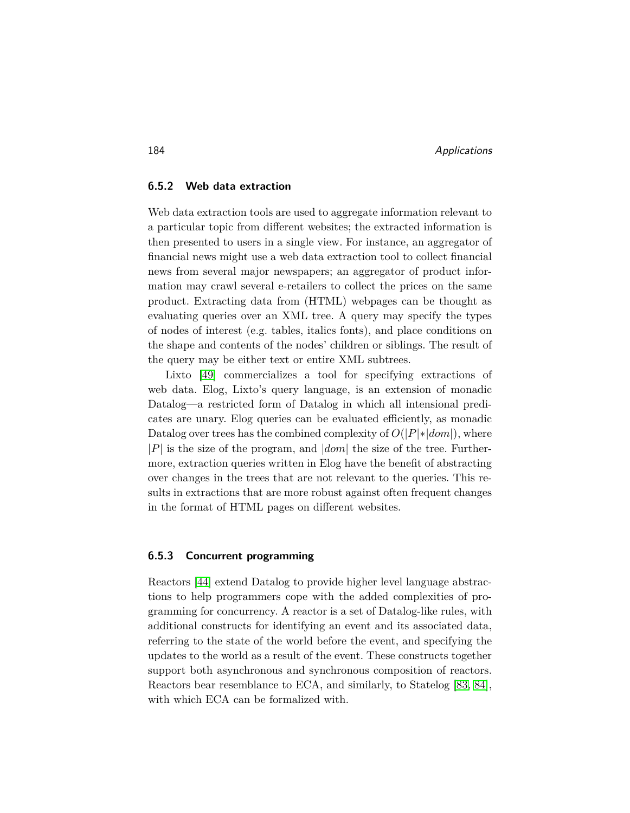#### **6.5.2 Web data extraction**

Web data extraction tools are used to aggregate information relevant to a particular topic from different websites; the extracted information is then presented to users in a single view. For instance, an aggregator of financial news might use a web data extraction tool to collect financial news from several major newspapers; an aggregator of product information may crawl several e-retailers to collect the prices on the same product. Extracting data from (HTML) webpages can be thought as evaluating queries over an XML tree. A query may specify the types of nodes of interest (e.g. tables, italics fonts), and place conditions on the shape and contents of the nodes' children or siblings. The result of the query may be either text or entire XML subtrees.

Lixto [\[49\]](#page-88-5) commercializes a tool for specifying extractions of web data. Elog, Lixto's query language, is an extension of monadic Datalog—a restricted form of Datalog in which all intensional predicates are unary. Elog queries can be evaluated efficiently, as monadic Datalog over trees has the combined complexity of *O*(|*P*|∗|*dom*|), where |*P*| is the size of the program, and |*dom*| the size of the tree. Furthermore, extraction queries written in Elog have the benefit of abstracting over changes in the trees that are not relevant to the queries. This results in extractions that are more robust against often frequent changes in the format of HTML pages on different websites.

#### **6.5.3 Concurrent programming**

Reactors [\[44\]](#page-88-6) extend Datalog to provide higher level language abstractions to help programmers cope with the added complexities of programming for concurrency. A reactor is a set of Datalog-like rules, with additional constructs for identifying an event and its associated data, referring to the state of the world before the event, and specifying the updates to the world as a result of the event. These constructs together support both asynchronous and synchronous composition of reactors. Reactors bear resemblance to ECA, and similarly, to Statelog [\[83,](#page-90-3) [84\]](#page-90-4), with which ECA can be formalized with.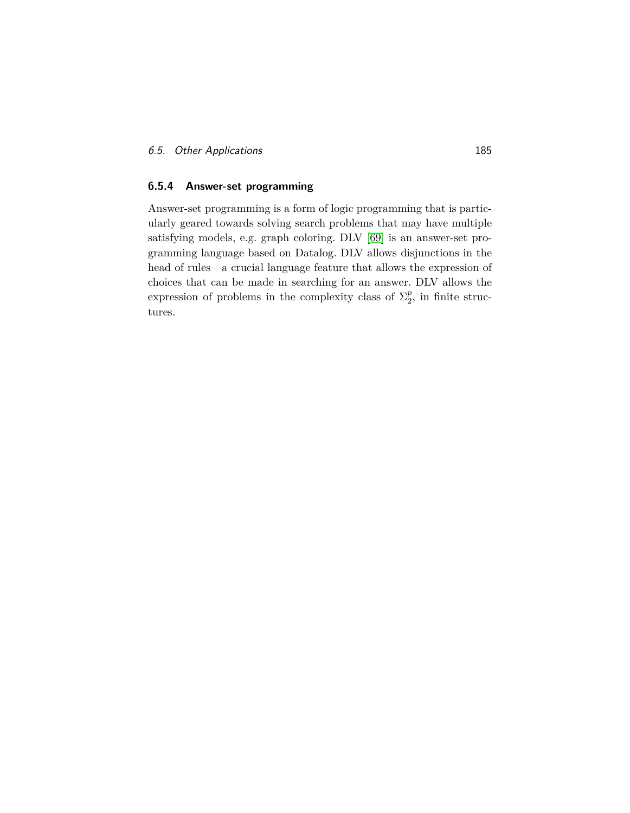#### **6.5.4 Answer-set programming**

Answer-set programming is a form of logic programming that is particularly geared towards solving search problems that may have multiple satisfying models, e.g. graph coloring. DLV [\[69\]](#page-89-0) is an answer-set programming language based on Datalog. DLV allows disjunctions in the head of rules—a crucial language feature that allows the expression of choices that can be made in searching for an answer. DLV allows the expression of problems in the complexity class of  $\Sigma_2^p$  $_2^p$ , in finite structures.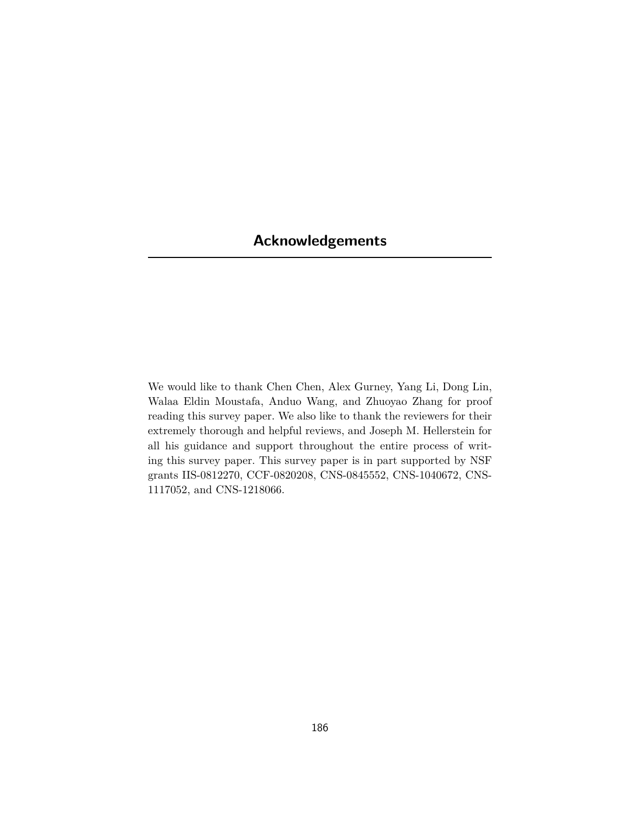## **Acknowledgements**

We would like to thank Chen Chen, Alex Gurney, Yang Li, Dong Lin, Walaa Eldin Moustafa, Anduo Wang, and Zhuoyao Zhang for proof reading this survey paper. We also like to thank the reviewers for their extremely thorough and helpful reviews, and Joseph M. Hellerstein for all his guidance and support throughout the entire process of writing this survey paper. This survey paper is in part supported by NSF grants IIS-0812270, CCF-0820208, CNS-0845552, CNS-1040672, CNS-1117052, and CNS-1218066.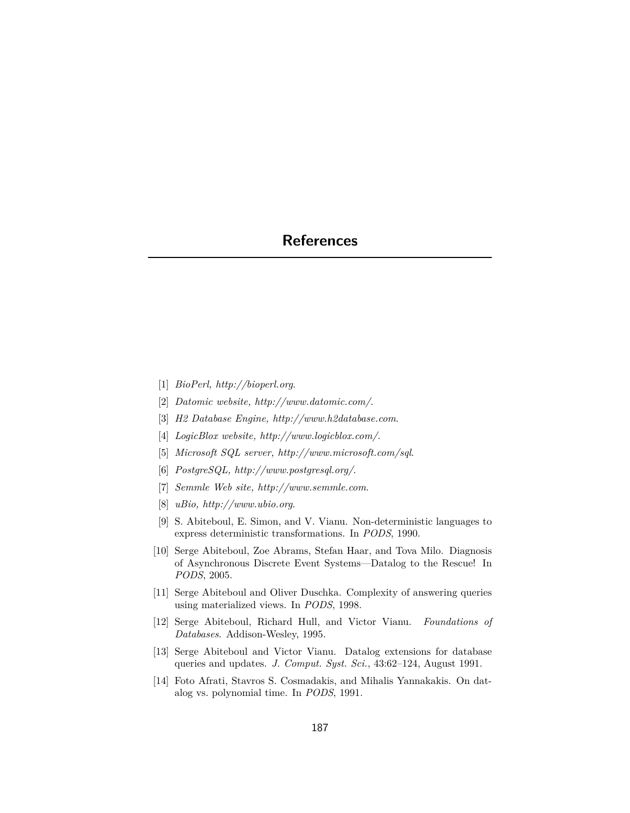# **References**

- <span id="page-85-0"></span>[1] *BioPerl, http://bioperl.org*.
- [2] *Datomic website, http://www.datomic.com/*.
- [3] *H2 Database Engine, http://www.h2database.com*.
- <span id="page-85-3"></span>[4] *LogicBlox website, http://www.logicblox.com/*.
- [5] *Microsoft SQL server, http://www.microsoft.com/sql*.
- [6] *PostgreSQL, http://www.postgresql.org/*.
- [7] *Semmle Web site, http://www.semmle.com*.
- <span id="page-85-1"></span>[8] *uBio, http://www.ubio.org*.
- [9] S. Abiteboul, E. Simon, and V. Vianu. Non-deterministic languages to express deterministic transformations. In *PODS*, 1990.
- [10] Serge Abiteboul, Zoe Abrams, Stefan Haar, and Tova Milo. Diagnosis of Asynchronous Discrete Event Systems—Datalog to the Rescue! In *PODS*, 2005.
- <span id="page-85-2"></span>[11] Serge Abiteboul and Oliver Duschka. Complexity of answering queries using materialized views. In *PODS*, 1998.
- [12] Serge Abiteboul, Richard Hull, and Victor Vianu. *Foundations of Databases*. Addison-Wesley, 1995.
- <span id="page-85-4"></span>[13] Serge Abiteboul and Victor Vianu. Datalog extensions for database queries and updates. *J. Comput. Syst. Sci.*, 43:62–124, August 1991.
- [14] Foto Afrati, Stavros S. Cosmadakis, and Mihalis Yannakakis. On datalog vs. polynomial time. In *PODS*, 1991.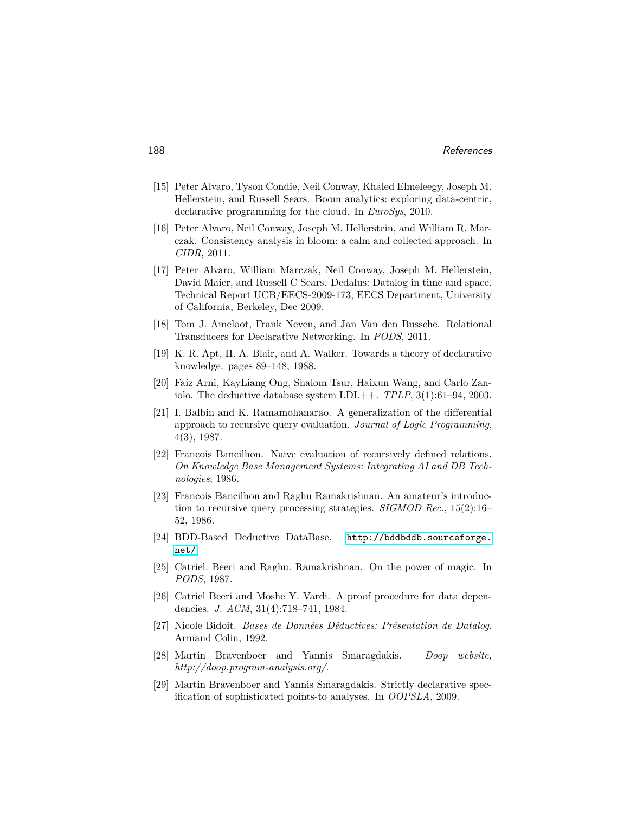- [15] Peter Alvaro, Tyson Condie, Neil Conway, Khaled Elmeleegy, Joseph M. Hellerstein, and Russell Sears. Boom analytics: exploring data-centric, declarative programming for the cloud. In *EuroSys*, 2010.
- [16] Peter Alvaro, Neil Conway, Joseph M. Hellerstein, and William R. Marczak. Consistency analysis in bloom: a calm and collected approach. In *CIDR*, 2011.
- <span id="page-86-0"></span>[17] Peter Alvaro, William Marczak, Neil Conway, Joseph M. Hellerstein, David Maier, and Russell C Sears. Dedalus: Datalog in time and space. Technical Report UCB/EECS-2009-173, EECS Department, University of California, Berkeley, Dec 2009.
- <span id="page-86-1"></span>[18] Tom J. Ameloot, Frank Neven, and Jan Van den Bussche. Relational Transducers for Declarative Networking. In *PODS*, 2011.
- [19] K. R. Apt, H. A. Blair, and A. Walker. Towards a theory of declarative knowledge. pages 89–148, 1988.
- [20] Faiz Arni, KayLiang Ong, Shalom Tsur, Haixun Wang, and Carlo Zaniolo. The deductive database system LDL++. *TPLP*, 3(1):61–94, 2003.
- [21] I. Balbin and K. Ramamohanarao. A generalization of the differential approach to recursive query evaluation. *Journal of Logic Programming*, 4(3), 1987.
- [22] Francois Bancilhon. Naive evaluation of recursively defined relations. *On Knowledge Base Management Systems: Integrating AI and DB Technologies*, 1986.
- [23] Francois Bancilhon and Raghu Ramakrishnan. An amateur's introduction to recursive query processing strategies. *SIGMOD Rec.*, 15(2):16– 52, 1986.
- [24] BDD-Based Deductive DataBase. [http://bddbddb.sourceforge.](http://bddbddb.sourceforge.net/) [net/](http://bddbddb.sourceforge.net/).
- [25] Catriel. Beeri and Raghu. Ramakrishnan. On the power of magic. In *PODS*, 1987.
- <span id="page-86-2"></span>[26] Catriel Beeri and Moshe Y. Vardi. A proof procedure for data dependencies. *J. ACM*, 31(4):718–741, 1984.
- [27] Nicole Bidoit. *Bases de Données Déductives: Présentation de Datalog*. Armand Colin, 1992.
- [28] Martin Bravenboer and Yannis Smaragdakis. *Doop website, http://doop.program-analysis.org/*.
- [29] Martin Bravenboer and Yannis Smaragdakis. Strictly declarative specification of sophisticated points-to analyses. In *OOPSLA*, 2009.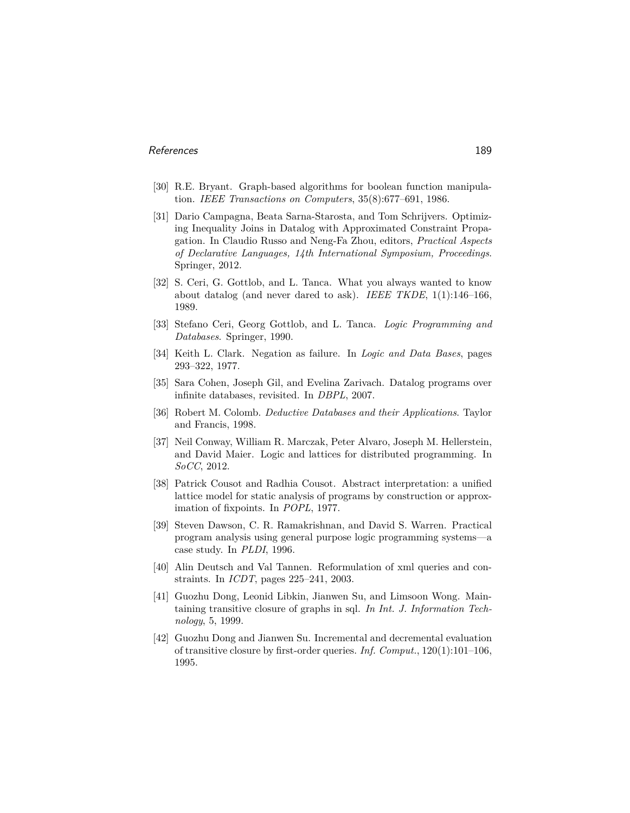## References and the set of the set of the set of the set of the set of the set of the set of the set of the set of the set of the set of the set of the set of the set of the set of the set of the set of the set of the set o

- [30] R.E. Bryant. Graph-based algorithms for boolean function manipulation. *IEEE Transactions on Computers*, 35(8):677–691, 1986.
- [31] Dario Campagna, Beata Sarna-Starosta, and Tom Schrijvers. Optimizing Inequality Joins in Datalog with Approximated Constraint Propagation. In Claudio Russo and Neng-Fa Zhou, editors, *Practical Aspects of Declarative Languages, 14th International Symposium, Proceedings*. Springer, 2012.
- [32] S. Ceri, G. Gottlob, and L. Tanca. What you always wanted to know about datalog (and never dared to ask). *IEEE TKDE*, 1(1):146–166, 1989.
- [33] Stefano Ceri, Georg Gottlob, and L. Tanca. *Logic Programming and Databases*. Springer, 1990.
- [34] Keith L. Clark. Negation as failure. In *Logic and Data Bases*, pages 293–322, 1977.
- [35] Sara Cohen, Joseph Gil, and Evelina Zarivach. Datalog programs over infinite databases, revisited. In *DBPL*, 2007.
- [36] Robert M. Colomb. *Deductive Databases and their Applications*. Taylor and Francis, 1998.
- [37] Neil Conway, William R. Marczak, Peter Alvaro, Joseph M. Hellerstein, and David Maier. Logic and lattices for distributed programming. In *SoCC*, 2012.
- [38] Patrick Cousot and Radhia Cousot. Abstract interpretation: a unified lattice model for static analysis of programs by construction or approximation of fixpoints. In *POPL*, 1977.
- [39] Steven Dawson, C. R. Ramakrishnan, and David S. Warren. Practical program analysis using general purpose logic programming systems—a case study. In *PLDI*, 1996.
- [40] Alin Deutsch and Val Tannen. Reformulation of xml queries and constraints. In *ICDT*, pages 225–241, 2003.
- [41] Guozhu Dong, Leonid Libkin, Jianwen Su, and Limsoon Wong. Maintaining transitive closure of graphs in sql. *In Int. J. Information Technology*, 5, 1999.
- [42] Guozhu Dong and Jianwen Su. Incremental and decremental evaluation of transitive closure by first-order queries. *Inf. Comput.*, 120(1):101–106, 1995.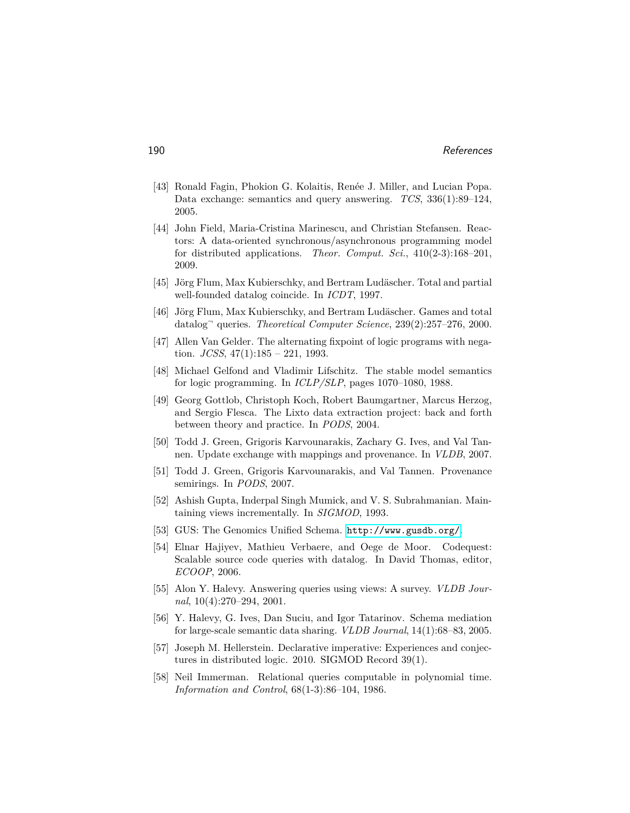- <span id="page-88-3"></span>[43] Ronald Fagin, Phokion G. Kolaitis, Renée J. Miller, and Lucian Popa. Data exchange: semantics and query answering. *TCS*, 336(1):89–124, 2005.
- <span id="page-88-6"></span>[44] John Field, Maria-Cristina Marinescu, and Christian Stefansen. Reactors: A data-oriented synchronous/asynchronous programming model for distributed applications. *Theor. Comput. Sci.*, 410(2-3):168–201, 2009.
- [45] Jörg Flum, Max Kubierschky, and Bertram Ludäscher. Total and partial well-founded datalog coincide. In *ICDT*, 1997.
- [46] Jörg Flum, Max Kubierschky, and Bertram Ludäscher. Games and total datalog<sup>¬</sup> queries. *Theoretical Computer Science*, 239(2):257–276, 2000.
- [47] Allen Van Gelder. The alternating fixpoint of logic programs with negation. *JCSS*, 47(1):185 – 221, 1993.
- [48] Michael Gelfond and Vladimir Lifschitz. The stable model semantics for logic programming. In *ICLP/SLP*, pages 1070–1080, 1988.
- <span id="page-88-5"></span>[49] Georg Gottlob, Christoph Koch, Robert Baumgartner, Marcus Herzog, and Sergio Flesca. The Lixto data extraction project: back and forth between theory and practice. In *PODS*, 2004.
- [50] Todd J. Green, Grigoris Karvounarakis, Zachary G. Ives, and Val Tannen. Update exchange with mappings and provenance. In *VLDB*, 2007.
- [51] Todd J. Green, Grigoris Karvounarakis, and Val Tannen. Provenance semirings. In *PODS*, 2007.
- [52] Ashish Gupta, Inderpal Singh Mumick, and V. S. Subrahmanian. Maintaining views incrementally. In *SIGMOD*, 1993.
- <span id="page-88-4"></span>[53] GUS: The Genomics Unified Schema. <http://www.gusdb.org/>.
- [54] Elnar Hajiyev, Mathieu Verbaere, and Oege de Moor. Codequest: Scalable source code queries with datalog. In David Thomas, editor, *ECOOP*, 2006.
- <span id="page-88-1"></span>[55] Alon Y. Halevy. Answering queries using views: A survey. *VLDB Journal*, 10(4):270–294, 2001.
- <span id="page-88-2"></span>[56] Y. Halevy, G. Ives, Dan Suciu, and Igor Tatarinov. Schema mediation for large-scale semantic data sharing. *VLDB Journal*, 14(1):68–83, 2005.
- <span id="page-88-0"></span>[57] Joseph M. Hellerstein. Declarative imperative: Experiences and conjectures in distributed logic. 2010. SIGMOD Record 39(1).
- [58] Neil Immerman. Relational queries computable in polynomial time. *Information and Control*, 68(1-3):86–104, 1986.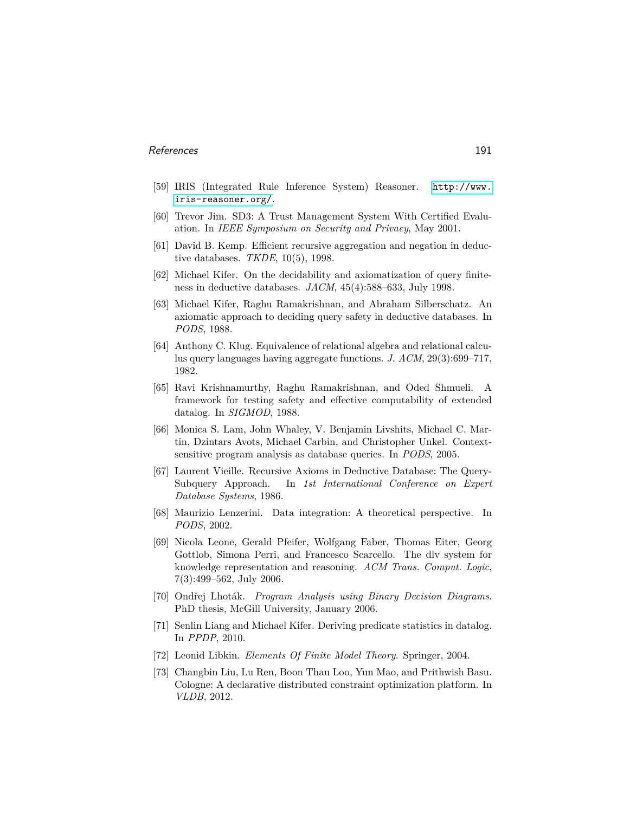- [59] IRIS (Integrated Rule Inference System) Reasoner. [http://www.](http://www.iris-reasoner.org/) [iris-reasoner.org/](http://www.iris-reasoner.org/).
- [60] Trevor Jim. SD3: A Trust Management System With Certified Evaluation. In *IEEE Symposium on Security and Privacy*, May 2001.
- [61] David B. Kemp. Efficient recursive aggregation and negation in deductive databases. *TKDE*, 10(5), 1998.
- [62] Michael Kifer. On the decidability and axiomatization of query finiteness in deductive databases. *JACM*, 45(4):588–633, July 1998.
- [63] Michael Kifer, Raghu Ramakrishnan, and Abraham Silberschatz. An axiomatic approach to deciding query safety in deductive databases. In *PODS*, 1988.
- [64] Anthony C. Klug. Equivalence of relational algebra and relational calculus query languages having aggregate functions. *J. ACM*, 29(3):699–717, 1982.
- [65] Ravi Krishnamurthy, Raghu Ramakrishnan, and Oded Shmueli. A framework for testing safety and effective computability of extended datalog. In *SIGMOD*, 1988.
- [66] Monica S. Lam, John Whaley, V. Benjamin Livshits, Michael C. Martin, Dzintars Avots, Michael Carbin, and Christopher Unkel. Contextsensitive program analysis as database queries. In *PODS*, 2005.
- [67] Laurent Vieille. Recursive Axioms in Deductive Database: The Query-Subquery Approach. In *1st International Conference on Expert Database Systems*, 1986.
- [68] Maurizio Lenzerini. Data integration: A theoretical perspective. In *PODS*, 2002.
- <span id="page-89-0"></span>[69] Nicola Leone, Gerald Pfeifer, Wolfgang Faber, Thomas Eiter, Georg Gottlob, Simona Perri, and Francesco Scarcello. The dlv system for knowledge representation and reasoning. *ACM Trans. Comput. Logic*, 7(3):499–562, July 2006.
- [70] Ondřej Lhoták. *Program Analysis using Binary Decision Diagrams*. PhD thesis, McGill University, January 2006.
- [71] Senlin Liang and Michael Kifer. Deriving predicate statistics in datalog. In *PPDP*, 2010.
- [72] Leonid Libkin. *Elements Of Finite Model Theory*. Springer, 2004.
- [73] Changbin Liu, Lu Ren, Boon Thau Loo, Yun Mao, and Prithwish Basu. Cologne: A declarative distributed constraint optimization platform. In *VLDB*, 2012.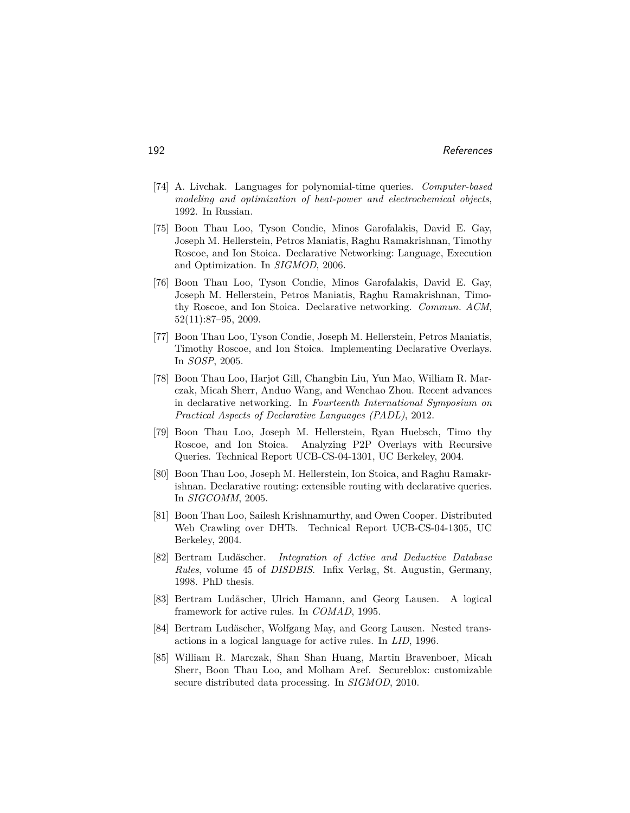- [74] A. Livchak. Languages for polynomial-time queries. *Computer-based modeling and optimization of heat-power and electrochemical objects*, 1992. In Russian.
- <span id="page-90-0"></span>[75] Boon Thau Loo, Tyson Condie, Minos Garofalakis, David E. Gay, Joseph M. Hellerstein, Petros Maniatis, Raghu Ramakrishnan, Timothy Roscoe, and Ion Stoica. Declarative Networking: Language, Execution and Optimization. In *SIGMOD*, 2006.
- [76] Boon Thau Loo, Tyson Condie, Minos Garofalakis, David E. Gay, Joseph M. Hellerstein, Petros Maniatis, Raghu Ramakrishnan, Timothy Roscoe, and Ion Stoica. Declarative networking. *Commun. ACM*, 52(11):87–95, 2009.
- [77] Boon Thau Loo, Tyson Condie, Joseph M. Hellerstein, Petros Maniatis, Timothy Roscoe, and Ion Stoica. Implementing Declarative Overlays. In *SOSP*, 2005.
- [78] Boon Thau Loo, Harjot Gill, Changbin Liu, Yun Mao, William R. Marczak, Micah Sherr, Anduo Wang, and Wenchao Zhou. Recent advances in declarative networking. In *Fourteenth International Symposium on Practical Aspects of Declarative Languages (PADL)*, 2012.
- [79] Boon Thau Loo, Joseph M. Hellerstein, Ryan Huebsch, Timo thy Roscoe, and Ion Stoica. Analyzing P2P Overlays with Recursive Queries. Technical Report UCB-CS-04-1301, UC Berkeley, 2004.
- [80] Boon Thau Loo, Joseph M. Hellerstein, Ion Stoica, and Raghu Ramakrishnan. Declarative routing: extensible routing with declarative queries. In *SIGCOMM*, 2005.
- [81] Boon Thau Loo, Sailesh Krishnamurthy, and Owen Cooper. Distributed Web Crawling over DHTs. Technical Report UCB-CS-04-1305, UC Berkeley, 2004.
- <span id="page-90-1"></span>[82] Bertram Ludäscher. *Integration of Active and Deductive Database Rules*, volume 45 of *DISDBIS*. Infix Verlag, St. Augustin, Germany, 1998. PhD thesis.
- <span id="page-90-3"></span>[83] Bertram Ludäscher, Ulrich Hamann, and Georg Lausen. A logical framework for active rules. In *COMAD*, 1995.
- <span id="page-90-4"></span>[84] Bertram Ludäscher, Wolfgang May, and Georg Lausen. Nested transactions in a logical language for active rules. In *LID*, 1996.
- <span id="page-90-2"></span>[85] William R. Marczak, Shan Shan Huang, Martin Bravenboer, Micah Sherr, Boon Thau Loo, and Molham Aref. Secureblox: customizable secure distributed data processing. In *SIGMOD*, 2010.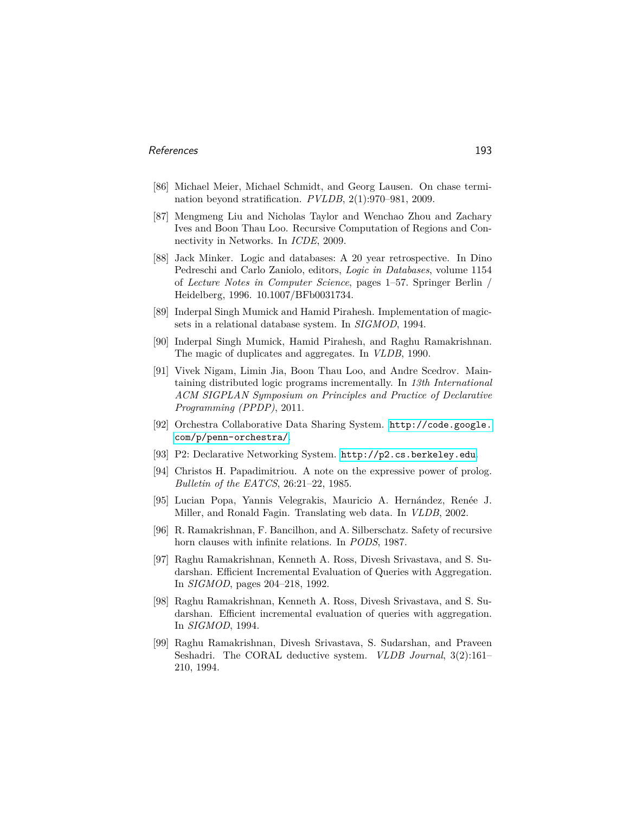## References and the set of the set of the set of the set of the set of the set of the set of the set of the set of the set of the set of the set of the set of the set of the set of the set of the set of the set of the set o

- <span id="page-91-4"></span>[86] Michael Meier, Michael Schmidt, and Georg Lausen. On chase termination beyond stratification. *PVLDB*, 2(1):970–981, 2009.
- <span id="page-91-0"></span>[87] Mengmeng Liu and Nicholas Taylor and Wenchao Zhou and Zachary Ives and Boon Thau Loo. Recursive Computation of Regions and Connectivity in Networks. In *ICDE*, 2009.
- [88] Jack Minker. Logic and databases: A 20 year retrospective. In Dino Pedreschi and Carlo Zaniolo, editors, *Logic in Databases*, volume 1154 of *Lecture Notes in Computer Science*, pages 1–57. Springer Berlin / Heidelberg, 1996. 10.1007/BFb0031734.
- [89] Inderpal Singh Mumick and Hamid Pirahesh. Implementation of magicsets in a relational database system. In *SIGMOD*, 1994.
- [90] Inderpal Singh Mumick, Hamid Pirahesh, and Raghu Ramakrishnan. The magic of duplicates and aggregates. In *VLDB*, 1990.
- <span id="page-91-1"></span>[91] Vivek Nigam, Limin Jia, Boon Thau Loo, and Andre Scedrov. Maintaining distributed logic programs incrementally. In *13th International ACM SIGPLAN Symposium on Principles and Practice of Declarative Programming (PPDP)*, 2011.
- <span id="page-91-3"></span>[92] Orchestra Collaborative Data Sharing System. [http://code.google.](http://code.google.com/p/penn-orchestra/) [com/p/penn-orchestra/](http://code.google.com/p/penn-orchestra/).
- [93] P2: Declarative Networking System. <http://p2.cs.berkeley.edu>.
- [94] Christos H. Papadimitriou. A note on the expressive power of prolog. *Bulletin of the EATCS*, 26:21–22, 1985.
- <span id="page-91-2"></span>[95] Lucian Popa, Yannis Velegrakis, Mauricio A. Hernández, Renée J. Miller, and Ronald Fagin. Translating web data. In *VLDB*, 2002.
- [96] R. Ramakrishnan, F. Bancilhon, and A. Silberschatz. Safety of recursive horn clauses with infinite relations. In *PODS*, 1987.
- [97] Raghu Ramakrishnan, Kenneth A. Ross, Divesh Srivastava, and S. Sudarshan. Efficient Incremental Evaluation of Queries with Aggregation. In *SIGMOD*, pages 204–218, 1992.
- [98] Raghu Ramakrishnan, Kenneth A. Ross, Divesh Srivastava, and S. Sudarshan. Efficient incremental evaluation of queries with aggregation. In *SIGMOD*, 1994.
- [99] Raghu Ramakrishnan, Divesh Srivastava, S. Sudarshan, and Praveen Seshadri. The CORAL deductive system. *VLDB Journal*, 3(2):161– 210, 1994.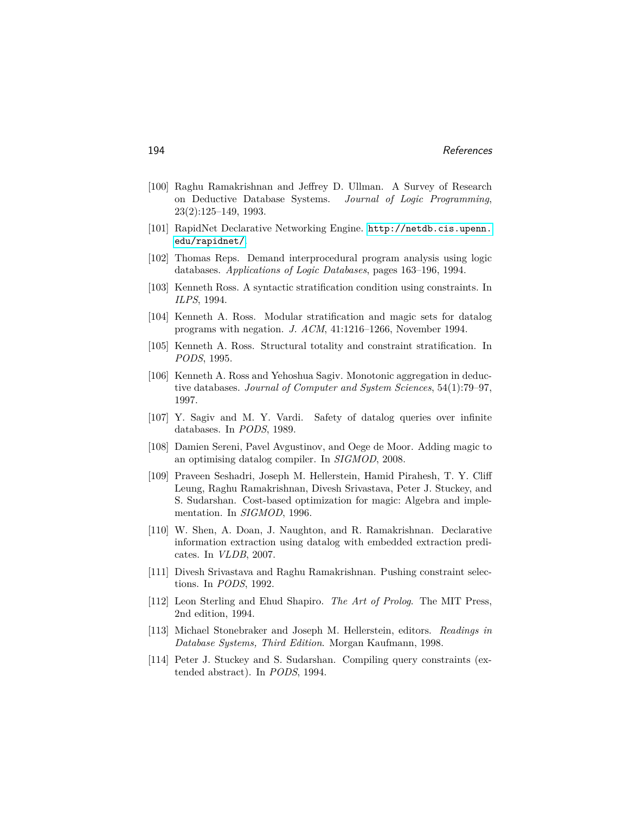- [100] Raghu Ramakrishnan and Jeffrey D. Ullman. A Survey of Research on Deductive Database Systems. *Journal of Logic Programming*, 23(2):125–149, 1993.
- [101] RapidNet Declarative Networking Engine. [http://netdb.cis.upenn.](http://netdb.cis.upenn.edu/rapidnet/) [edu/rapidnet/](http://netdb.cis.upenn.edu/rapidnet/).
- [102] Thomas Reps. Demand interprocedural program analysis using logic databases. *Applications of Logic Databases*, pages 163–196, 1994.
- [103] Kenneth Ross. A syntactic stratification condition using constraints. In *ILPS*, 1994.
- [104] Kenneth A. Ross. Modular stratification and magic sets for datalog programs with negation. *J. ACM*, 41:1216–1266, November 1994.
- [105] Kenneth A. Ross. Structural totality and constraint stratification. In *PODS*, 1995.
- [106] Kenneth A. Ross and Yehoshua Sagiv. Monotonic aggregation in deductive databases. *Journal of Computer and System Sciences*, 54(1):79–97, 1997.
- [107] Y. Sagiv and M. Y. Vardi. Safety of datalog queries over infinite databases. In *PODS*, 1989.
- [108] Damien Sereni, Pavel Avgustinov, and Oege de Moor. Adding magic to an optimising datalog compiler. In *SIGMOD*, 2008.
- [109] Praveen Seshadri, Joseph M. Hellerstein, Hamid Pirahesh, T. Y. Cliff Leung, Raghu Ramakrishnan, Divesh Srivastava, Peter J. Stuckey, and S. Sudarshan. Cost-based optimization for magic: Algebra and implementation. In *SIGMOD*, 1996.
- [110] W. Shen, A. Doan, J. Naughton, and R. Ramakrishnan. Declarative information extraction using datalog with embedded extraction predicates. In *VLDB*, 2007.
- [111] Divesh Srivastava and Raghu Ramakrishnan. Pushing constraint selections. In *PODS*, 1992.
- [112] Leon Sterling and Ehud Shapiro. *The Art of Prolog*. The MIT Press, 2nd edition, 1994.
- [113] Michael Stonebraker and Joseph M. Hellerstein, editors. *Readings in Database Systems, Third Edition*. Morgan Kaufmann, 1998.
- [114] Peter J. Stuckey and S. Sudarshan. Compiling query constraints (extended abstract). In *PODS*, 1994.